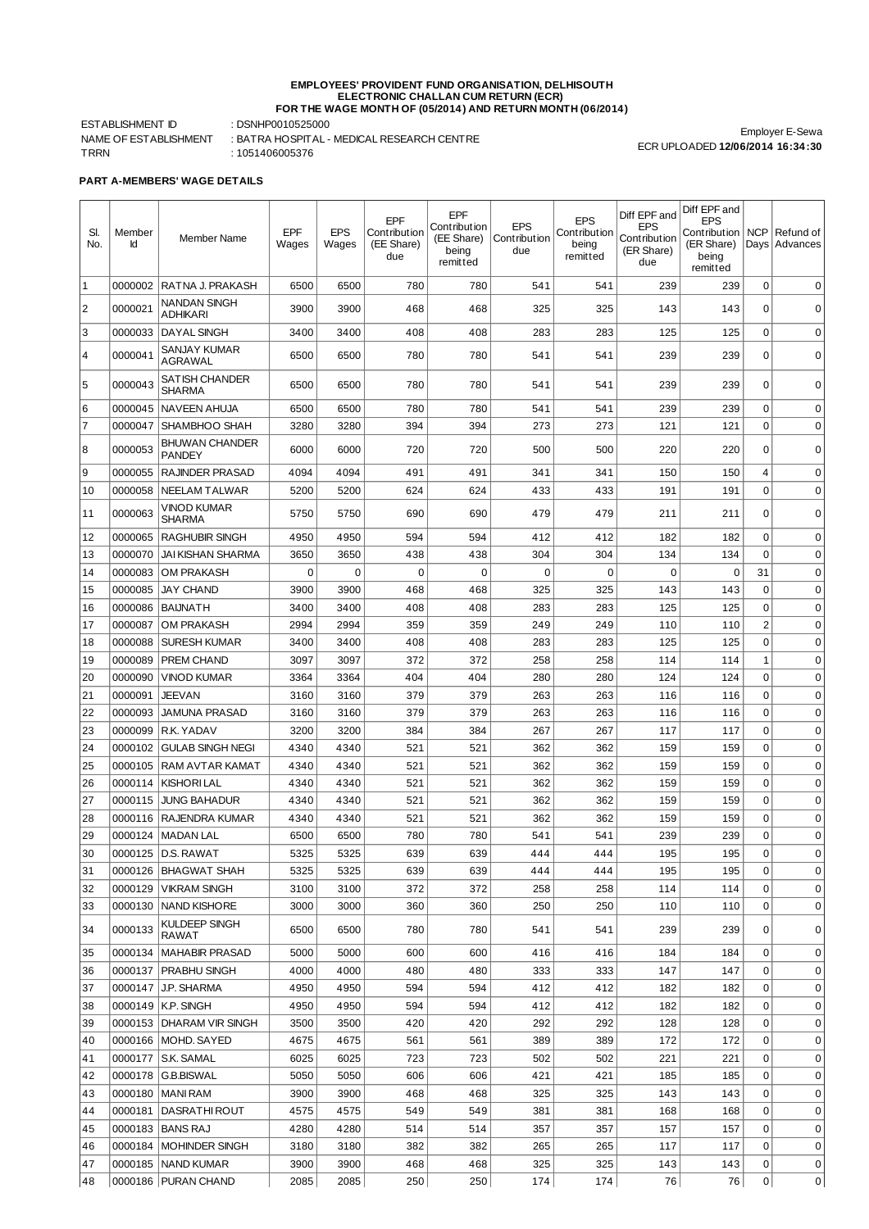## **EMPLOYEES' PROVIDENT FUND ORGANISATION, DELHISOUTH ELECTRONIC CHALLAN CUM RETURN (ECR) FOR THE WAGE MONTH OF (05/2014) AND RETURN MONTH (06/2014)**

ESTABLISHMENT ID : DSNHP0010525000 TRRN : 1051406005376

NAME OF ESTABLISHMENT : BATRA HOSPITAL - MEDICAL RESEARCH CENTRE

Employer E-Sewa ECR UPLOADED **12/06/2014 16:34:30**

**PART A-MEMBERS' WAGE DETAILS**

| SI.<br>No.     | Member<br>Id | Member Name                                   | EPF<br>Wages | <b>EPS</b><br>Wages | EPF<br>Contribution<br>(EE Share)<br>due | EPF<br>Contribution<br>(EE Share)<br>being<br>remitted | <b>EPS</b><br>Contribution<br>due | <b>EPS</b><br>Contribution<br>being<br>remitted | Diff EPF and<br><b>EPS</b><br>Contribution<br>(ER Share)<br>due | Diff EPF and<br><b>EPS</b><br>Contribution<br>(ER Share)<br>being<br>remitted | <b>NCP</b><br>Days | Refund of<br>Advances |
|----------------|--------------|-----------------------------------------------|--------------|---------------------|------------------------------------------|--------------------------------------------------------|-----------------------------------|-------------------------------------------------|-----------------------------------------------------------------|-------------------------------------------------------------------------------|--------------------|-----------------------|
| 1              | 0000002      | RATNA J. PRAKASH                              | 6500         | 6500                | 780                                      | 780                                                    | 541                               | 541                                             | 239                                                             | 239                                                                           | 0                  | $\mathbf 0$           |
| $\overline{2}$ | 0000021      | NANDAN SINGH<br>ADHIKARI                      | 3900         | 3900                | 468                                      | 468                                                    | 325                               | 325                                             | 143                                                             | 143                                                                           | 0                  | $\mathbf 0$           |
| 3              | 0000033      | <b>DAYAL SINGH</b>                            | 3400         | 3400                | 408                                      | 408                                                    | 283                               | 283                                             | 125                                                             | 125                                                                           | $\mathbf 0$        | $\mathbf 0$           |
| $\overline{4}$ | 0000041      | SANJAY KUMAR<br>AGRAWAL                       | 6500         | 6500                | 780                                      | 780                                                    | 541                               | 541                                             | 239                                                             | 239                                                                           | $\Omega$           | 0                     |
| 5              | 0000043      | <b>SATISH CHANDER</b><br>SHARMA               | 6500         | 6500                | 780                                      | 780                                                    | 541                               | 541                                             | 239                                                             | 239                                                                           | $\mathbf 0$        | $\mathbf 0$           |
| 6              | 0000045      | <b>NAVEEN AHUJA</b>                           | 6500         | 6500                | 780                                      | 780                                                    | 541                               | 541                                             | 239                                                             | 239                                                                           | 0                  | 0                     |
| $\overline{7}$ | 0000047      | SHAMBHOO SHAH                                 | 3280         | 3280                | 394                                      | 394                                                    | 273                               | 273                                             | 121                                                             | 121                                                                           | $\mathbf 0$        | 0                     |
| 8              | 0000053      | <b>BHUWAN CHANDER</b><br>PANDEY               | 6000         | 6000                | 720                                      | 720                                                    | 500                               | 500                                             | 220                                                             | 220                                                                           | $\Omega$           | $\mathbf 0$           |
| 9              | 0000055      | <b>RAJINDER PRASAD</b>                        | 4094         | 4094                | 491                                      | 491                                                    | 341                               | 341                                             | 150                                                             | 150                                                                           | 4                  | $\mathbf 0$           |
| 10             | 0000058      | NEELAM TALWAR                                 | 5200         | 5200                | 624                                      | 624                                                    | 433                               | 433                                             | 191                                                             | 191                                                                           | 0                  | 0                     |
| 11             | 0000063      | VINOD KUMAR<br>SHARMA                         | 5750         | 5750                | 690                                      | 690                                                    | 479                               | 479                                             | 211                                                             | 211                                                                           | 0                  | 0                     |
| 12             | 0000065      | <b>RAGHUBIR SINGH</b>                         | 4950         | 4950                | 594                                      | 594                                                    | 412                               | 412                                             | 182                                                             | 182                                                                           | 0                  | $\mathbf 0$           |
| 13             | 0000070      | <b>JAI KISHAN SHARMA</b>                      | 3650         | 3650                | 438                                      | 438                                                    | 304                               | 304                                             | 134                                                             | 134                                                                           | $\Omega$           | $\mathbf 0$           |
| 14             | 0000083      | OM PRAKASH                                    | 0            | 0                   | $\mathbf 0$                              | $\mathbf 0$                                            | $\Omega$                          | $\mathbf 0$                                     | $\mathbf 0$                                                     | $\mathbf 0$                                                                   | 31                 | $\mathbf 0$           |
| 15             | 0000085      | <b>JAY CHAND</b>                              | 3900         | 3900                | 468                                      | 468                                                    | 325                               | 325                                             | 143                                                             | 143                                                                           | $\mathbf 0$        | $\mathbf 0$           |
| 16             | 0000086      | <b>BAIJNATH</b>                               | 3400         | 3400                | 408                                      | 408                                                    | 283                               | 283                                             | 125                                                             | 125                                                                           | $\mathbf 0$        | $\mathbf 0$           |
| 17             | 0000087      | OM PRAKASH                                    | 2994         | 2994                | 359                                      | 359                                                    | 249                               | 249                                             | 110                                                             | 110                                                                           | $\overline{c}$     | $\mathbf 0$           |
| 18             | 0000088      | <b>SURESH KUMAR</b>                           | 3400         | 3400                | 408                                      | 408                                                    | 283                               | 283                                             | 125                                                             | 125                                                                           | $\mathbf 0$        | $\mathbf 0$           |
| 19             | 0000089      | PREM CHAND                                    | 3097         | 3097                | 372                                      | 372                                                    | 258                               | 258                                             | 114                                                             | 114                                                                           | $\mathbf{1}$       | $\mathbf 0$           |
| 20             | 0000090      | VINOD KUMAR                                   | 3364         | 3364                | 404                                      | 404                                                    | 280                               | 280                                             | 124                                                             | 124                                                                           | 0                  | $\mathbf 0$           |
| 21             | 0000091      | JEEVAN                                        | 3160         | 3160                | 379                                      | 379                                                    | 263                               | 263                                             | 116                                                             | 116                                                                           | $\mathbf 0$        | $\mathbf 0$           |
| 22             | 0000093      | <b>JAMUNA PRASAD</b>                          | 3160         | 3160                | 379                                      | 379                                                    | 263                               | 263                                             | 116                                                             | 116                                                                           | $\mathbf 0$        | $\mathbf 0$           |
| 23             | 0000099      | R.K. YADAV                                    | 3200         | 3200                | 384                                      | 384                                                    | 267                               | 267                                             | 117                                                             | 117                                                                           | $\mathbf 0$        | $\mathbf 0$           |
| 24             | 0000102      | <b>GULAB SINGH NEGI</b>                       | 4340         | 4340                | 521                                      | 521                                                    | 362                               | 362                                             | 159                                                             | 159                                                                           | $\mathbf 0$        | $\mathbf 0$           |
| 25             | 0000105      | RAM AVTAR KAMAT                               | 4340         | 4340                | 521                                      | 521                                                    | 362                               | 362                                             | 159                                                             | 159                                                                           | $\mathbf 0$        | $\mathbf 0$           |
| 26             | 0000114      | <b>KISHORI LAL</b>                            | 4340         | 4340                | 521                                      | 521                                                    | 362                               | 362                                             | 159                                                             | 159                                                                           | $\mathbf 0$        | $\mathbf 0$           |
| 27             | 0000115      | <b>JUNG BAHADUR</b>                           | 4340         | 4340                | 521                                      | 521                                                    | 362                               | 362                                             | 159                                                             | 159                                                                           | $\mathbf 0$        | $\mathbf 0$           |
| 28             | 0000116      | RAJENDRA KUMAR                                | 4340         | 4340                | 521                                      | 521                                                    | 362                               | 362                                             | 159                                                             | 159                                                                           | $\mathbf 0$        | $\mathbf 0$           |
| 29             | 0000124      | <b>MADAN LAL</b>                              | 6500         | 6500                | 780                                      | 780                                                    | 541                               | 541                                             | 239                                                             | 239                                                                           | 0                  | $\mathbf 0$           |
| 30             |              | 0000125 D.S. RAWAT                            | 5325         | 5325                | 639<br>639                               | 639<br>639                                             | 444                               | 444                                             | 195<br>195                                                      | 195<br>195                                                                    | 0<br>$\mathbf 0$   | 0<br>$\mathbf 0$      |
| 31<br>32       | 0000129      | 0000126   BHAGWAT SHAH<br><b>VIKRAM SINGH</b> | 5325<br>3100 | 5325<br>3100        | 372                                      | 372                                                    | 444<br>258                        | 444<br>258                                      | 114                                                             | 114                                                                           | 0                  | 0                     |
| 33             | 0000130      | <b>NAND KISHORE</b>                           | 3000         | 3000                | 360                                      | 360                                                    | 250                               | 250                                             | 110                                                             | 110                                                                           | 0                  | $\mathbf 0$           |
| 34             | 0000133      | KULDEEP SINGH<br>RAWAT                        | 6500         | 6500                | 780                                      | 780                                                    | 541                               | 541                                             | 239                                                             | 239                                                                           | 0                  | 0                     |
| 35             | 0000134      | <b>MAHABIR PRASAD</b>                         | 5000         | 5000                | 600                                      | 600                                                    | 416                               | 416                                             | 184                                                             | 184                                                                           | 0                  | 0                     |
| 36             | 0000137      | <b>PRABHU SINGH</b>                           | 4000         | 4000                | 480                                      | 480                                                    | 333                               | 333                                             | 147                                                             | 147                                                                           | $\mathbf 0$        | 0                     |
| 37             | 0000147      | J.P. SHARMA                                   | 4950         | 4950                | 594                                      | 594                                                    | 412                               | 412                                             | 182                                                             | 182                                                                           | 0                  | 0                     |
| 38             |              | 0000149   K.P. SINGH                          | 4950         | 4950                | 594                                      | 594                                                    | 412                               | 412                                             | 182                                                             | 182                                                                           | 0                  | 0                     |
| 39             |              | 0000153 DHARAM VIR SINGH                      | 3500         | 3500                | 420                                      | 420                                                    | 292                               | 292                                             | 128                                                             | 128                                                                           | 0                  | 0                     |
| 40             |              | 0000166   MOHD. SAYED                         | 4675         | 4675                | 561                                      | 561                                                    | 389                               | 389                                             | 172                                                             | 172                                                                           | 0                  | 0                     |
| 41             | 0000177      | S.K. SAMAL                                    | 6025         | 6025                | 723                                      | 723                                                    | 502                               | 502                                             | 221                                                             | 221                                                                           | 0                  | 0                     |
| 42             |              | 0000178   G.B.BISWAL                          | 5050         | 5050                | 606                                      | 606                                                    | 421                               | 421                                             | 185                                                             | 185                                                                           | 0                  | 0                     |
| 43             |              | 0000180   MANI RAM                            | 3900         | 3900                | 468                                      | 468                                                    | 325                               | 325                                             | 143                                                             | 143                                                                           | 0                  | 0                     |
| 44             |              | 0000181   DASRATHI ROUT                       | 4575         | 4575                | 549                                      | 549                                                    | 381                               | 381                                             | 168                                                             | 168                                                                           | 0                  | 0                     |
| 45             |              | 0000183   BANS RAJ                            | 4280         | 4280                | 514                                      | 514                                                    | 357                               | 357                                             | 157                                                             | 157                                                                           | 0                  | 0                     |
| 46             | 0000184      | <b>MOHINDER SINGH</b>                         | 3180         | 3180                | 382                                      | 382                                                    | 265                               | 265                                             | 117                                                             | 117                                                                           | 0                  | $\pmb{0}$             |
| 47             |              | 0000185   NAND KUMAR                          | 3900         | 3900                | 468                                      | 468                                                    | 325                               | 325                                             | 143                                                             | 143                                                                           | 0                  | 0                     |
| 48             |              | 0000186 PURAN CHAND                           | 2085         | 2085                | 250                                      | 250                                                    | 174                               | 174                                             | 76                                                              | 76                                                                            | 0                  | 0                     |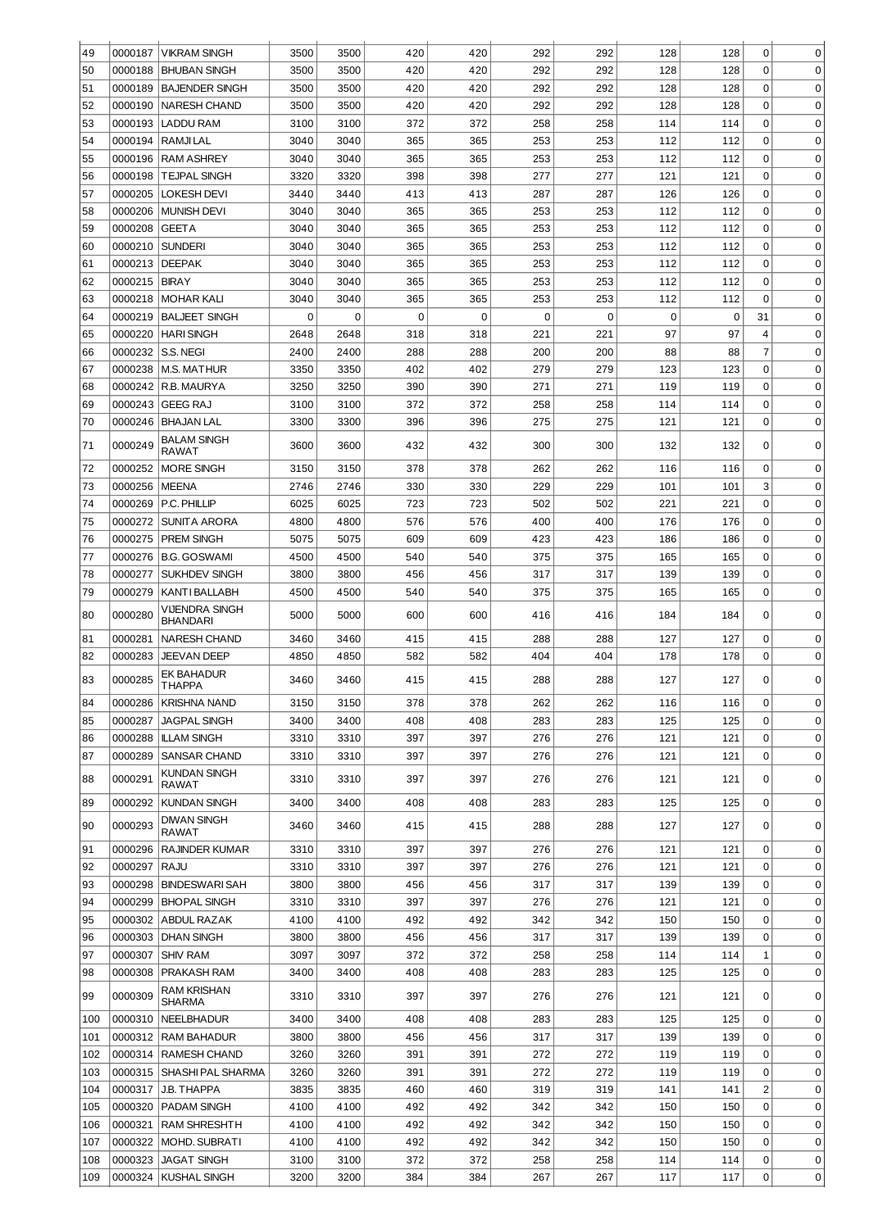| 49  | 0000187 | <b>VIKRAM SINGH</b>          | 3500 | 3500     | 420         | 420         | 292      | 292      | 128         | 128         | 0           | $\mathbf 0$ |
|-----|---------|------------------------------|------|----------|-------------|-------------|----------|----------|-------------|-------------|-------------|-------------|
| 50  | 0000188 | <b>BHUBAN SINGH</b>          | 3500 | 3500     | 420         | 420         | 292      | 292      | 128         | 128         | 0           | 0           |
| 51  | 0000189 | <b>BAJENDER SINGH</b>        | 3500 | 3500     | 420         | 420         | 292      | 292      | 128         | 128         | 0           | 0           |
| 52  | 0000190 | <b>NARESH CHAND</b>          | 3500 | 3500     | 420         | 420         | 292      | 292      | 128         | 128         | 0           | $\mathbf 0$ |
| 53  | 0000193 | <b>LADDU RAM</b>             | 3100 | 3100     | 372         | 372         | 258      | 258      | 114         | 114         | $\mathbf 0$ | $\mathbf 0$ |
|     | 0000194 | RAMJI LAL                    |      |          |             |             |          |          |             |             |             |             |
| 54  |         |                              | 3040 | 3040     | 365         | 365         | 253      | 253      | 112         | 112         | 0           | $\mathbf 0$ |
| 55  | 0000196 | <b>RAM ASHREY</b>            | 3040 | 3040     | 365         | 365         | 253      | 253      | 112         | 112         | 0           | $\mathbf 0$ |
| 56  | 0000198 | <b>TEJPAL SINGH</b>          | 3320 | 3320     | 398         | 398         | 277      | 277      | 121         | 121         | 0           | $\mathbf 0$ |
| 57  | 0000205 | <b>LOKESH DEVI</b>           | 3440 | 3440     | 413         | 413         | 287      | 287      | 126         | 126         | 0           | $\mathbf 0$ |
| 58  | 0000206 | <b>MUNISH DEVI</b>           | 3040 | 3040     | 365         | 365         | 253      | 253      | 112         | 112         | 0           | $\mathbf 0$ |
| 59  | 0000208 | <b>GEETA</b>                 | 3040 | 3040     | 365         | 365         | 253      | 253      | 112         | 112         | $\mathbf 0$ | $\mathbf 0$ |
| 60  | 0000210 | <b>SUNDERI</b>               | 3040 | 3040     | 365         | 365         | 253      | 253      | 112         | 112         | $\mathbf 0$ | $\mathbf 0$ |
| 61  | 0000213 | <b>DEEPAK</b>                | 3040 | 3040     | 365         | 365         | 253      | 253      | 112         | 112         | $\mathbf 0$ | $\mathbf 0$ |
| 62  | 0000215 | <b>BIRAY</b>                 | 3040 | 3040     | 365         | 365         | 253      | 253      | 112         | 112         | $\mathbf 0$ | $\mathbf 0$ |
| 63  | 0000218 | <b>MOHAR KALI</b>            | 3040 | 3040     | 365         | 365         | 253      | 253      | 112         | 112         | $\Omega$    | $\mathbf 0$ |
| 64  | 0000219 | <b>BALJEET SINGH</b>         | 0    | $\Omega$ | $\mathbf 0$ | $\mathbf 0$ | $\Omega$ | $\Omega$ | $\mathbf 0$ | $\mathbf 0$ | 31          | 0           |
| 65  | 0000220 | <b>HARI SINGH</b>            | 2648 | 2648     | 318         | 318         | 221      | 221      | 97          | 97          | 4           | 0           |
| 66  | 0000232 | S.S. NEGI                    | 2400 | 2400     | 288         | 288         | 200      | 200      | 88          | 88          | 7           | 0           |
| 67  | 0000238 | <b>M.S. MATHUR</b>           | 3350 | 3350     | 402         | 402         | 279      | 279      | 123         | 123         | $\Omega$    | 0           |
| 68  | 0000242 | R.B. MAURYA                  | 3250 | 3250     | 390         | 390         | 271      | 271      | 119         | 119         | $\Omega$    | 0           |
| 69  | 0000243 | <b>GEEG RAJ</b>              | 3100 | 3100     | 372         | 372         | 258      | 258      | 114         | 114         | $\Omega$    | $\mathbf 0$ |
| 70  | 0000246 | <b>BHAJAN LAL</b>            | 3300 | 3300     | 396         | 396         | 275      | 275      | 121         | 121         | $\Omega$    | 0           |
|     |         | <b>BALAM SINGH</b>           |      |          |             |             |          |          |             |             |             |             |
| 71  | 0000249 | <b>RAWAT</b>                 | 3600 | 3600     | 432         | 432         | 300      | 300      | 132         | 132         | 0           | $\mathbf 0$ |
| 72  | 0000252 | MORE SINGH                   | 3150 | 3150     | 378         | 378         | 262      | 262      | 116         | 116         | 0           | $\mathbf 0$ |
| 73  | 0000256 | <b>MEENA</b>                 | 2746 | 2746     | 330         | 330         | 229      | 229      | 101         | 101         | 3           | $\mathbf 0$ |
| 74  | 0000269 | P.C. PHILLIP                 | 6025 | 6025     | 723         | 723         | 502      | 502      | 221         | 221         | $\mathbf 0$ | $\mathbf 0$ |
| 75  | 0000272 | <b>SUNITA ARORA</b>          | 4800 | 4800     | 576         | 576         | 400      | 400      | 176         | 176         | 0           | $\mathbf 0$ |
| 76  | 0000275 | <b>PREM SINGH</b>            | 5075 | 5075     | 609         | 609         | 423      | 423      | 186         | 186         | 0           | $\mathbf 0$ |
| 77  | 0000276 | <b>B.G. GOSWAMI</b>          | 4500 | 4500     | 540         | 540         | 375      | 375      | 165         | 165         | 0           | $\mathbf 0$ |
| 78  | 0000277 | <b>SUKHDEV SINGH</b>         | 3800 | 3800     | 456         | 456         | 317      | 317      | 139         | 139         | $\mathbf 0$ | $\mathbf 0$ |
| 79  | 0000279 | KANTI BALLABH                | 4500 | 4500     | 540         | 540         | 375      | 375      | 165         | 165         | $\mathbf 0$ | $\mathbf 0$ |
| 80  | 0000280 | VIJENDRA SINGH               | 5000 | 5000     | 600         | 600         | 416      | 416      | 184         | 184         | $\Omega$    | 0           |
|     |         | <b>BHANDARI</b>              |      |          |             |             |          |          |             |             |             |             |
| 81  | 0000281 | <b>NARESH CHAND</b>          | 3460 | 3460     | 415         | 415         | 288      | 288      | 127         | 127         | 0           | 0           |
| 82  | 0000283 | <b>JEEVAN DEEP</b>           | 4850 | 4850     | 582         | 582         | 404      | 404      | 178         | 178         | 0           | $\mathbf 0$ |
| 83  | 0000285 | EK BAHADUR<br><b>THAPPA</b>  | 3460 | 3460     | 415         | 415         | 288      | 288      | 127         | 127         | 0           | $\mathbf 0$ |
| 84  | 0000286 | <b>KRISHNA NAND</b>          | 3150 | 3150     | 378         | 378         | 262      | 262      | 116         | 116         | 0           | 0           |
| 85  | 0000287 | <b>JAGPAL SINGH</b>          | 3400 | 3400     | 408         | 408         | 283      | 283      | 125         | 125         | 0           | $\mathbf 0$ |
| 86  | 0000288 | <b>ILLAM SINGH</b>           | 3310 | 3310     | 397         | 397         | 276      | 276      | 121         | 121         | $\mathbf 0$ | $\mathbf 0$ |
| 87  | 0000289 | <b>SANSAR CHAND</b>          | 3310 | 3310     | 397         | 397         | 276      | 276      | 121         | 121         | $\mathbf 0$ | $\mathbf 0$ |
|     |         | <b>KUNDAN SINGH</b>          |      |          |             |             |          |          |             |             |             |             |
| 88  | 0000291 | RAWAT                        | 3310 | 3310     | 397         | 397         | 276      | 276      | 121         | 121         | 0           | $\Omega$    |
| 89  | 0000292 | <b>KUNDAN SINGH</b>          | 3400 | 3400     | 408         | 408         | 283      | 283      | 125         | 125         | 0           | $\mathbf 0$ |
| 90  | 0000293 | <b>DIWAN SINGH</b>           | 3460 | 3460     | 415         | 415         | 288      | 288      | 127         | 127         | 0           | 0           |
|     |         | RAWAT                        |      |          |             |             |          |          |             |             |             |             |
| 91  | 0000296 | <b>RAJINDER KUMAR</b>        | 3310 | 3310     | 397         | 397         | 276      | 276      | 121         | 121         | 0           | $\mathbf 0$ |
| 92  | 0000297 | <b>RAJU</b>                  | 3310 | 3310     | 397         | 397         | 276      | 276      | 121         | 121         | 0           | $\mathbf 0$ |
| 93  | 0000298 | <b>BINDESWARI SAH</b>        | 3800 | 3800     | 456         | 456         | 317      | 317      | 139         | 139         | 0           | $\mathbf 0$ |
| 94  | 0000299 | <b>BHOPAL SINGH</b>          | 3310 | 3310     | 397         | 397         | 276      | 276      | 121         | 121         | 0           | $\mathbf 0$ |
| 95  | 0000302 | <b>ABDUL RAZAK</b>           | 4100 | 4100     | 492         | 492         | 342      | 342      | 150         | 150         | 0           | $\mathbf 0$ |
| 96  | 0000303 | <b>DHAN SINGH</b>            | 3800 | 3800     | 456         | 456         | 317      | 317      | 139         | 139         | 0           | $\mathbf 0$ |
| 97  | 0000307 | <b>SHIV RAM</b>              | 3097 | 3097     | 372         | 372         | 258      | 258      | 114         | 114         | 1           | $\mathbf 0$ |
| 98  | 0000308 | PRAKASH RAM                  | 3400 | 3400     | 408         | 408         | 283      | 283      | 125         | 125         | 0           | 0           |
| 99  | 0000309 | RAM KRISHAN<br><b>SHARMA</b> | 3310 | 3310     | 397         | 397         | 276      | 276      | 121         | 121         | 0           | $\mathbf 0$ |
| 100 | 0000310 | NEELBHADUR                   | 3400 | 3400     | 408         | 408         | 283      | 283      | 125         | 125         | 0           | 0           |
| 101 | 0000312 | RAM BAHADUR                  | 3800 | 3800     | 456         | 456         | 317      | 317      | 139         | 139         | 0           | 0           |
| 102 | 0000314 | RAMESH CHAND                 | 3260 | 3260     | 391         | 391         | 272      | 272      | 119         | 119         | 0           | 0           |
| 103 | 0000315 | SHASHI PAL SHARMA            | 3260 | 3260     | 391         | 391         | 272      | 272      | 119         | 119         | 0           | 0           |
| 104 | 0000317 | J.B. THAPPA                  | 3835 | 3835     | 460         | 460         | 319      | 319      | 141         | 141         | 2           | 0           |
| 105 | 0000320 | <b>PADAM SINGH</b>           | 4100 | 4100     | 492         | 492         | 342      | 342      | 150         | 150         | 0           | 0           |
| 106 | 0000321 | <b>RAM SHRESHTH</b>          | 4100 | 4100     | 492         | 492         | 342      | 342      | 150         | 150         | 0           | 0           |
| 107 | 0000322 | MOHD. SUBRATI                | 4100 | 4100     | 492         | 492         | 342      | 342      | 150         | 150         | 0           | 0           |
| 108 | 0000323 | <b>JAGAT SINGH</b>           | 3100 | 3100     | 372         | 372         | 258      | 258      | 114         | 114         | 0           | 0           |
| 109 |         |                              |      |          |             |             |          |          |             |             | 0           | 0           |
|     | 0000324 | <b>KUSHAL SINGH</b>          | 3200 | 3200     | 384         | 384         | 267      | 267      | 117         | 117         |             |             |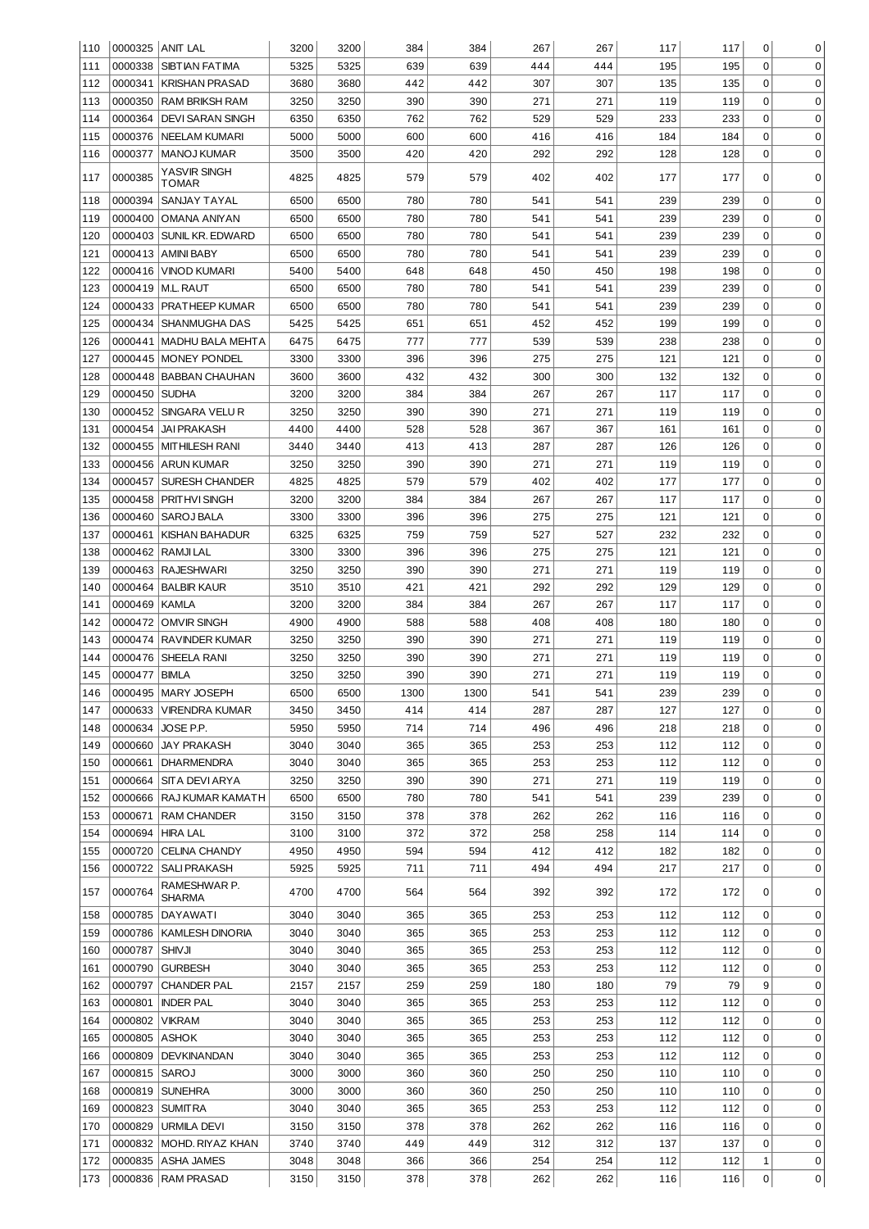| 110        |                    | 0000325 ANIT LAL                | 3200         | 3200         | 384        | 384        | 267        | 267        | 117        | 117        | 0           | 0                |
|------------|--------------------|---------------------------------|--------------|--------------|------------|------------|------------|------------|------------|------------|-------------|------------------|
| 111        | 0000338            | <b>SIBTIAN FATIMA</b>           | 5325         | 5325         | 639        | 639        | 444        | 444        | 195        | 195        | $\mathbf 0$ | $\mathbf 0$      |
| 112        | 0000341            | <b>KRISHAN PRASAD</b>           | 3680         | 3680         | 442        | 442        | 307        | 307        | 135        | 135        | $\mathbf 0$ | $\mathbf 0$      |
| 113        | 0000350            | RAM BRIKSH RAM                  | 3250         | 3250         | 390        | 390        | 271        | 271        | 119        | 119        | $\mathbf 0$ | $\mathbf 0$      |
| 114        | 0000364            | <b>DEVI SARAN SINGH</b>         | 6350         | 6350         | 762        | 762        | 529        | 529        | 233        | 233        | $\mathbf 0$ | $\mathbf 0$      |
| 115        | 0000376            | NEELAM KUMARI                   | 5000         | 5000         | 600        | 600        | 416        | 416        | 184        | 184        | $\mathbf 0$ | $\mathbf 0$      |
| 116        | 0000377            | <b>MANOJ KUMAR</b>              | 3500         | 3500         | 420        | 420        | 292        | 292        | 128        | 128        | $\mathbf 0$ | $\mathbf 0$      |
| 117        | 0000385            | YASVIR SINGH<br>TOMAR           | 4825         | 4825         | 579        | 579        | 402        | 402        | 177        | 177        | 0           | $\mathbf 0$      |
| 118        | 0000394            | <b>SANJAY TAYAL</b>             | 6500         | 6500         | 780        | 780        | 541        | 541        | 239        | 239        | 0           | 0                |
| 119        | 0000400            | <b>OMANA ANIYAN</b>             | 6500         | 6500         | 780        | 780        | 541        | 541        | 239        | 239        | $\mathbf 0$ | 0                |
| 120        | 0000403            | SUNIL KR. EDWARD                | 6500         | 6500         | 780        | 780        | 541        | 541        | 239        | 239        | $\mathbf 0$ | 0                |
| 121        | 0000413            | <b>AMINI BABY</b>               | 6500         | 6500         | 780        | 780        | 541        | 541        | 239        | 239        | $\mathbf 0$ | 0                |
| 122        | 0000416            | <b>VINOD KUMARI</b>             | 5400         | 5400         | 648        | 648        | 450        | 450        | 198        | 198        | $\mathbf 0$ | 0                |
| 123        | 0000419            | <b>M.L. RAUT</b>                | 6500         | 6500         | 780        | 780        | 541        | 541        | 239        | 239        | $\mathbf 0$ | 0                |
| 124        | 0000433            | <b>PRATHEEP KUMAR</b>           | 6500         | 6500         | 780        | 780        | 541        | 541        | 239        | 239        | $\mathbf 0$ | 0                |
| 125        | 0000434            | <b>SHANMUGHA DAS</b>            | 5425         | 5425         | 651        | 651        | 452        | 452        | 199        | 199        | 0           | 0                |
| 126        | 0000441            | MADHU BALA MEHTA                | 6475         | 6475         | 777        | 777        | 539        | 539        | 238        | 238        | 0           | 0                |
| 127        | 0000445            | <b>MONEY PONDEL</b>             | 3300         | 3300         | 396        | 396        | 275        | 275        | 121        | 121        | $\mathbf 0$ | 0                |
| 128        |                    | 0000448   BABBAN CHAUHAN        | 3600         | 3600         | 432        | 432        | 300        | 300        | 132        | 132        | 0           | 0                |
| 129        | 0000450            | <b>SUDHA</b>                    | 3200         | 3200         | 384        | 384        | 267        | 267        | 117        | 117        | $\mathbf 0$ | 0                |
| 130        | 0000452            | SINGARA VELUR                   | 3250         | 3250         | 390        | 390        | 271        | 271        | 119        | 119        | 0           | 0                |
| 131        | 0000454            | <b>JAI PRAKASH</b>              | 4400         | 4400         | 528        | 528        | 367        | 367        | 161        | 161        | $\mathbf 0$ | 0                |
| 132        | 0000455            | <b>MITHILESH RANI</b>           | 3440         | 3440         | 413        | 413        | 287        | 287        | 126        | 126        | $\mathbf 0$ | 0                |
| 133        | 0000456            | <b>ARUN KUMAR</b>               | 3250         | 3250         | 390        | 390        | 271        | 271        | 119        | 119        | $\mathbf 0$ | $\mathbf 0$      |
| 134        | 0000457            | <b>SURESH CHANDER</b>           | 4825         | 4825         | 579        | 579        | 402        | 402        | 177        | 177        | $\mathbf 0$ | $\mathbf 0$      |
| 135        | 0000458            | PRITHVI SINGH                   | 3200         | 3200         | 384        | 384        | 267        | 267        | 117        | 117        | $\mathbf 0$ | $\mathbf 0$      |
| 136        | 0000460            | <b>SAROJ BALA</b>               | 3300         | 3300         | 396        | 396        | 275        | 275        | 121        | 121        | $\mathbf 0$ | $\mathbf 0$      |
| 137        | 0000461            | <b>KISHAN BAHADUR</b>           | 6325         | 6325         | 759        | 759        | 527        | 527        | 232        | 232        | $\mathbf 0$ | $\mathbf 0$      |
| 138        | 0000462            | <b>RAMJILAL</b>                 | 3300         | 3300         | 396        | 396        | 275        | 275        | 121        | 121        | $\mathbf 0$ | $\mathbf 0$      |
| 139        | 0000463            | <b>RAJESHWARI</b>               | 3250         | 3250         | 390        | 390        | 271        | 271        | 119        | 119        | $\mathbf 0$ | $\mathbf 0$      |
| 140        | 0000464            | <b>BALBIR KAUR</b>              | 3510         | 3510         | 421        | 421        | 292        | 292        | 129        | 129        | $\mathbf 0$ | $\mathbf 0$      |
| 141        | 0000469            | <b>KAMLA</b>                    | 3200         | 3200         | 384        | 384        | 267        | 267        | 117        | 117        | $\mathbf 0$ | $\mathbf 0$      |
|            |                    |                                 |              |              |            |            |            |            |            |            |             |                  |
| 142        | 0000472            | <b>OMVIR SINGH</b>              | 4900         | 4900         | 588        | 588        | 408        | 408        | 180        | 180        | 0           | 0                |
| 143        | 0000474            | <b>RAVINDER KUMAR</b>           | 3250         | 3250         | 390        | 390        | 271        | 271        | 119        | 119        | 0           | 0                |
| 144        | 0000476            | SHEELA RANI                     | 3250         | 3250         | 390        | 390        | 271        | 271        | 119        | 119        | 0           | 0                |
| 145        | 0000477            | <b>BIMLA</b>                    | 3250         | 3250         | 390        | 390        | 271        | 271        | 119        | 119        | 0           | 0                |
| 146        |                    | 0000495   MARY JOSEPH           | 6500         | 6500         | 1300       | 1300       | 541        | 541        | 239        | 239        | 0           | O                |
| 147        | 0000633            | <b>VIRENDRA KUMAR</b>           | 3450         | 3450         | 414        | 414        | 287        | 287        | 127        | 127        | 0           | 0                |
| 148        | 0000634            | JOSE P.P.                       | 5950         | 5950         | 714        | 714        | 496        | 496        | 218        | 218        | 0           | 0                |
| 149        | 0000660            | <b>JAY PRAKASH</b>              | 3040         | 3040         | 365        | 365        | 253        | 253        | 112        | 112        | 0           | 0                |
| 150        | 0000661            | <b>DHARMENDRA</b>               | 3040         | 3040         | 365        | 365        | 253        | 253        | 112        | 112        | 0           | 0                |
| 151        | 0000664            | <b>SITA DEVI ARYA</b>           | 3250         | 3250         | 390        | 390        | 271        | 271        | 119        | 119        | 0           | 0                |
| 152        |                    | 0000666   RAJ KUMAR KAMATH      | 6500         | 6500         | 780        | 780        | 541        | 541        | 239        | 239        | 0           | 0                |
| 153        | 0000671            | RAM CHANDER                     | 3150         | 3150         | 378        | 378        | 262        | 262        | 116        | 116        | 0           | 0                |
| 154        | 0000694            | HIRA LAL                        | 3100         | 3100         | 372        | 372        | 258        | 258        | 114        | 114        | 0           | 0                |
| 155        | 0000720            | <b>CELINA CHANDY</b>            | 4950         | 4950         | 594        | 594        | 412        | 412        | 182        | 182        | 0           | 0                |
| 156        | 0000722            | <b>SALI PRAKASH</b>             | 5925         | 5925         | 711        | 711        | 494        | 494        | 217        | 217        | 0           | 0                |
| 157        | 0000764            | RAMESHWAR P.<br><b>SHARMA</b>   | 4700         | 4700         | 564        | 564        | 392        | 392        | 172        | 172        | 0           | 0                |
| 158        | 0000785            | DAYAWATI                        | 3040         | 3040         | 365        | 365        | 253        | 253        | 112        | 112        | 0           | $\mathbf 0$      |
| 159        | 0000786            | <b>KAMLESH DINORIA</b>          | 3040         | 3040         | 365        | 365        | 253        | 253        | 112        | 112        | 0           | $\mathbf 0$      |
| 160        | 0000787            | <b>SHIVJI</b>                   | 3040         | 3040         | 365        | 365        | 253        | 253        | 112        | 112        | 0           | $\mathbf 0$      |
| 161        | 0000790            | <b>GURBESH</b>                  | 3040         | 3040         | 365        | 365        | 253        | 253        | 112        | 112        | 0           | $\mathbf 0$      |
| 162        | 0000797            | CHANDER PAL                     | 2157         | 2157         | 259        | 259        | 180        | 180        | 79         | 79         | 9           | $\mathbf 0$      |
| 163        | 0000801            | <b>INDER PAL</b>                | 3040         | 3040         | 365        | 365        | 253        | 253        | 112        | 112        | 0           | $\mathbf 0$      |
| 164        | 0000802            | <b>VIKRAM</b>                   | 3040         | 3040         | 365        | 365        | 253        | 253        | 112        | 112        | 0           | $\mathbf 0$      |
| 165        | 0000805            | <b>ASHOK</b>                    | 3040         | 3040         | 365        | 365        | 253        | 253        | 112        | 112        | 0           | $\mathbf 0$      |
| 166        | 0000809            | DEVKINANDAN                     | 3040         | 3040         | 365        | 365        | 253        | 253        | 112        | 112        | 0           | $\mathbf 0$      |
| 167        | 0000815            | SAROJ                           | 3000         | 3000         | 360        | 360        | 250        | 250        | 110        | 110        | 0           | $\mathbf 0$      |
| 168        | 0000819            | <b>SUNEHRA</b>                  | 3000         | 3000         | 360        | 360        | 250        | 250        | 110        | 110        | 0           | 0                |
| 169        | 0000823            | <b>SUMITRA</b>                  | 3040         | 3040         | 365        | 365        | 253        | 253        | 112        | 112        | 0           | 0                |
| 170        | 0000829            | <b>URMILA DEVI</b>              | 3150         | 3150         | 378        | 378        | 262        | 262        | 116        | 116        | 0           | 0                |
| 171        | 0000832            | MOHD. RIYAZ KHAN                | 3740         | 3740         | 449        | 449        | 312        | 312        | 137        | 137        | 0           | 0                |
| 172<br>173 | 0000835<br>0000836 | ASHA JAMES<br><b>RAM PRASAD</b> | 3048<br>3150 | 3048<br>3150 | 366<br>378 | 366<br>378 | 254<br>262 | 254<br>262 | 112<br>116 | 112<br>116 | 1<br>0      | 0<br>$\mathbf 0$ |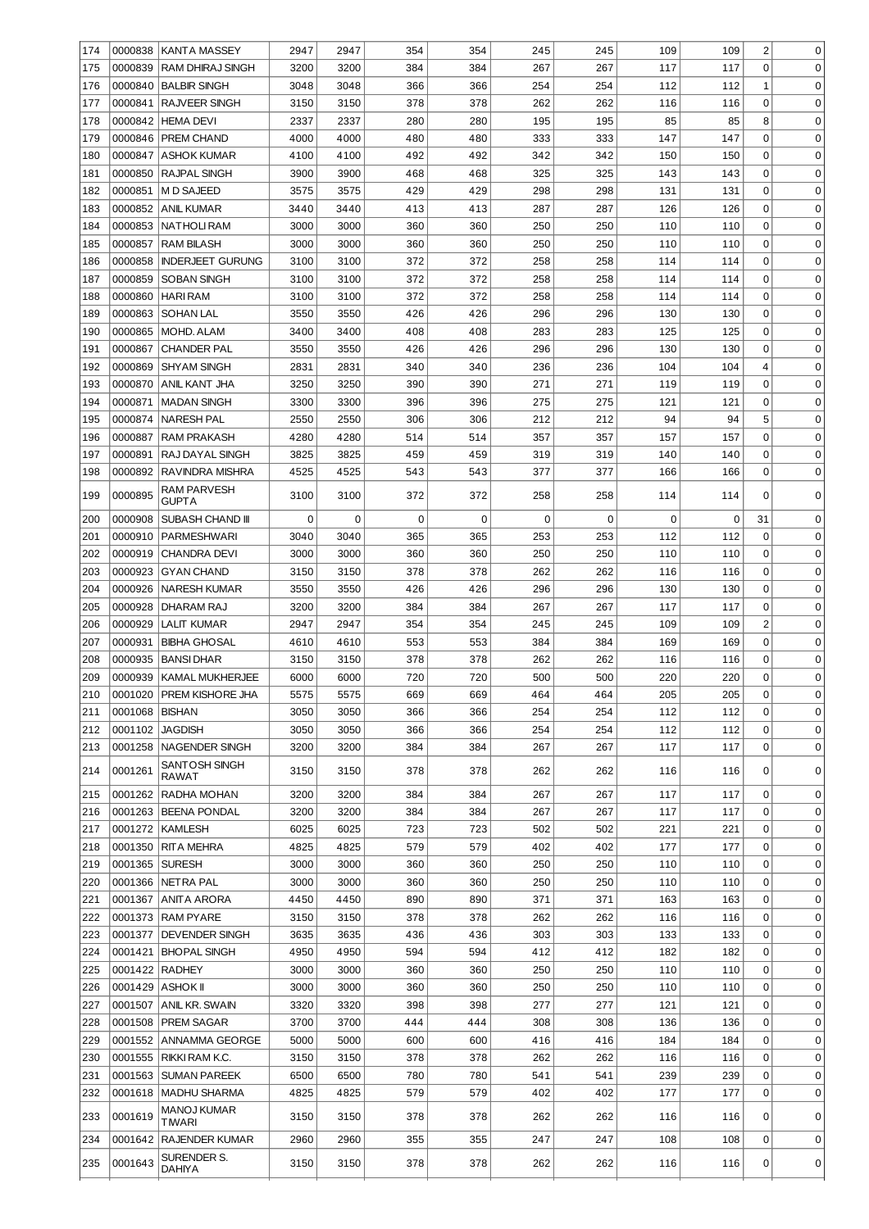| 174        | 0000838 | <b>KANTA MASSEY</b>           | 2947 | 2947 | 354         | 354 | 245 | 245 | 109        | 109 | 2              | 0           |
|------------|---------|-------------------------------|------|------|-------------|-----|-----|-----|------------|-----|----------------|-------------|
| 175        | 0000839 | RAM DHIRAJ SINGH              | 3200 | 3200 | 384         | 384 | 267 | 267 | 117        | 117 | 0              | 0           |
| 176        | 0000840 | <b>BALBIR SINGH</b>           | 3048 | 3048 | 366         | 366 | 254 | 254 | 112        | 112 | 1              | 0           |
| 177        | 0000841 | <b>RAJVEER SINGH</b>          | 3150 | 3150 | 378         | 378 | 262 | 262 | 116        | 116 | 0              | $\mathbf 0$ |
| 178        | 0000842 | <b>HEMA DEVI</b>              | 2337 | 2337 | 280         | 280 | 195 | 195 | 85         | 85  | 8              | $\mathbf 0$ |
| 179        | 0000846 | PREM CHAND                    | 4000 | 4000 | 480         | 480 | 333 | 333 | 147        | 147 | $\mathbf 0$    | $\mathbf 0$ |
| 180        | 0000847 | <b>ASHOK KUMAR</b>            | 4100 | 4100 | 492         | 492 | 342 | 342 | 150        | 150 | $\mathbf 0$    | $\mathbf 0$ |
| 181        | 0000850 | <b>RAJPAL SINGH</b>           | 3900 | 3900 | 468         | 468 | 325 | 325 | 143        | 143 | $\mathbf 0$    | $\mathbf 0$ |
| 182        | 0000851 | M D SAJEED                    | 3575 | 3575 | 429         | 429 | 298 | 298 | 131        | 131 | $\mathbf 0$    | $\mathbf 0$ |
| 183        | 0000852 | <b>ANIL KUMAR</b>             | 3440 | 3440 | 413         | 413 | 287 | 287 | 126        | 126 | $\mathbf 0$    | $\mathbf 0$ |
| 184        | 0000853 | NATHOLI RAM                   | 3000 | 3000 | 360         | 360 | 250 | 250 | 110        | 110 | $\mathbf 0$    | 0           |
| 185        | 0000857 | <b>RAM BILASH</b>             | 3000 | 3000 | 360         | 360 | 250 | 250 | 110        | 110 | $\mathbf 0$    | 0           |
|            | 0000858 | <b>INDERJEET GURUNG</b>       | 3100 | 3100 | 372         | 372 | 258 | 258 | 114        | 114 | 0              | 0           |
| 186<br>187 | 0000859 | <b>SOBAN SINGH</b>            | 3100 | 3100 | 372         | 372 | 258 | 258 | 114        | 114 | 0              | $\mathbf 0$ |
|            |         |                               |      | 3100 | 372         | 372 | 258 | 258 |            |     | 0              | $\mathbf 0$ |
| 188        | 0000860 | <b>HARI RAM</b>               | 3100 | 3550 |             | 426 | 296 | 296 | 114<br>130 | 114 | 0              | $\mathbf 0$ |
| 189        | 0000863 | <b>SOHAN LAL</b>              | 3550 |      | 426         |     |     |     |            | 130 |                |             |
| 190        | 0000865 | MOHD. ALAM                    | 3400 | 3400 | 408         | 408 | 283 | 283 | 125        | 125 | $\mathbf 0$    | $\mathbf 0$ |
| 191        | 0000867 | <b>CHANDER PAL</b>            | 3550 | 3550 | 426         | 426 | 296 | 296 | 130        | 130 | $\mathbf 0$    | $\mathbf 0$ |
| 192        | 0000869 | <b>SHYAM SINGH</b>            | 2831 | 2831 | 340         | 340 | 236 | 236 | 104        | 104 | 4              | $\mathbf 0$ |
| 193        | 0000870 | ANIL KANT JHA                 | 3250 | 3250 | 390         | 390 | 271 | 271 | 119        | 119 | $\mathbf 0$    | $\mathbf 0$ |
| 194        | 0000871 | <b>MADAN SINGH</b>            | 3300 | 3300 | 396         | 396 | 275 | 275 | 121        | 121 | $\mathbf 0$    | $\mathbf 0$ |
| 195        | 0000874 | <b>NARESH PAL</b>             | 2550 | 2550 | 306         | 306 | 212 | 212 | 94         | 94  | 5              | $\mathbf 0$ |
| 196        | 0000887 | <b>RAM PRAKASH</b>            | 4280 | 4280 | 514         | 514 | 357 | 357 | 157        | 157 | $\mathbf 0$    | $\mathbf 0$ |
| 197        | 0000891 | RAJ DAYAL SINGH               | 3825 | 3825 | 459         | 459 | 319 | 319 | 140        | 140 | 0              | $\mathbf 0$ |
| 198        | 0000892 | RAVINDRA MISHRA               | 4525 | 4525 | 543         | 543 | 377 | 377 | 166        | 166 | $\mathbf 0$    | $\mathbf 0$ |
| 199        | 0000895 | RAM PARVESH<br><b>GUPTA</b>   | 3100 | 3100 | 372         | 372 | 258 | 258 | 114        | 114 | 0              | 0           |
| 200        | 0000908 | SUBASH CHAND III              | 0    | 0    | $\mathbf 0$ | 0   | 0   | 0   | 0          | 0   | 31             | 0           |
|            |         |                               |      |      |             |     |     |     |            |     |                |             |
| 201        | 0000910 | PARMESHWARI                   | 3040 | 3040 | 365         | 365 | 253 | 253 | 112        | 112 | 0              | 0           |
| 202        | 0000919 | <b>CHANDRA DEVI</b>           | 3000 | 3000 | 360         | 360 | 250 | 250 | 110        | 110 | $\mathbf 0$    | 0           |
| 203        | 0000923 | <b>GYAN CHAND</b>             | 3150 | 3150 | 378         | 378 | 262 | 262 | 116        | 116 | $\mathbf 0$    | 0           |
| 204        | 0000926 | <b>NARESH KUMAR</b>           | 3550 | 3550 | 426         | 426 | 296 | 296 | 130        | 130 | $\mathbf 0$    | 0           |
| 205        | 0000928 | DHARAM RAJ                    | 3200 | 3200 | 384         | 384 | 267 | 267 | 117        | 117 | $\mathbf 0$    | 0           |
| 206        | 0000929 | LALIT KUMAR                   | 2947 | 2947 | 354         | 354 | 245 | 245 | 109        | 109 | $\overline{c}$ | 0           |
| 207        | 0000931 | <b>BIBHA GHOSAL</b>           | 4610 | 4610 | 553         | 553 | 384 | 384 | 169        | 169 | $\mathbf 0$    | 0           |
| 208        | 0000935 | <b>BANSIDHAR</b>              | 3150 | 3150 | 378         | 378 | 262 | 262 | 116        | 116 | 0              | 0           |
| 209        | 0000939 | <b>KAMAL MUKHERJEE</b>        | 6000 | 6000 | 720         | 720 | 500 | 500 | 220        | 220 | 0              | 0           |
| 210        | 0001020 | PREM KISHORE JHA              | 5575 | 5575 | 669         | 669 | 464 | 464 | 205        | 205 | 0              | $\Omega$    |
| 211        | 0001068 | <b>BISHAN</b>                 | 3050 | 3050 | 366         | 366 | 254 | 254 | 112        | 112 | $\mathbf 0$    | 0           |
| 212        | 0001102 | <b>JAGDISH</b>                | 3050 | 3050 | 366         | 366 | 254 | 254 | 112        | 112 | 0              | 0           |
| 213        | 0001258 | NAGENDER SINGH                | 3200 | 3200 | 384         | 384 | 267 | 267 | 117        | 117 | 0              | 0           |
| 214        | 0001261 | SANTOSH SINGH<br><b>RAWAT</b> | 3150 | 3150 | 378         | 378 | 262 | 262 | 116        | 116 | 0              | 0           |
| 215        | 0001262 | RADHA MOHAN                   | 3200 | 3200 | 384         | 384 | 267 | 267 | 117        | 117 | $\mathbf 0$    | $\mathbf 0$ |
| 216        | 0001263 | <b>BEENA PONDAL</b>           | 3200 | 3200 | 384         | 384 | 267 | 267 | 117        | 117 | 0              | 0           |
| 217        | 0001272 | <b>KAMLESH</b>                | 6025 | 6025 | 723         | 723 | 502 | 502 | 221        | 221 | 0              | $\mathbf 0$ |
| 218        | 0001350 | RITA MEHRA                    | 4825 | 4825 | 579         | 579 | 402 | 402 | 177        | 177 | 0              | 0           |
| 219        | 0001365 | <b>SURESH</b>                 | 3000 | 3000 | 360         | 360 | 250 | 250 | 110        | 110 | 0              | 0           |
| 220        | 0001366 | <b>NETRA PAL</b>              | 3000 | 3000 | 360         | 360 | 250 | 250 | 110        | 110 | 0              | 0           |
| 221        | 0001367 | ANITA ARORA                   | 4450 | 4450 | 890         | 890 | 371 | 371 | 163        | 163 | 0              | 0           |
| 222        | 0001373 | <b>RAM PYARE</b>              | 3150 | 3150 | 378         | 378 | 262 | 262 | 116        | 116 | 0              | 0           |
| 223        | 0001377 | <b>DEVENDER SINGH</b>         | 3635 | 3635 | 436         | 436 | 303 | 303 | 133        | 133 | 0              | $\mathbf 0$ |
| 224        | 0001421 | <b>BHOPAL SINGH</b>           | 4950 | 4950 | 594         | 594 | 412 | 412 | 182        | 182 | 0              | $\mathbf 0$ |
| 225        | 0001422 | <b>RADHEY</b>                 | 3000 | 3000 | 360         | 360 | 250 | 250 | 110        | 110 | 0              | $\mathbf 0$ |
| 226        | 0001429 | ASHOK II                      | 3000 | 3000 | 360         | 360 | 250 | 250 | 110        | 110 | 0              | $\mathbf 0$ |
| 227        | 0001507 | ANIL KR. SWAIN                | 3320 | 3320 | 398         | 398 | 277 | 277 | 121        | 121 | $\Omega$       | $\mathbf 0$ |
| 228        | 0001508 | PREM SAGAR                    | 3700 | 3700 | 444         | 444 | 308 | 308 | 136        | 136 | $\Omega$       | $\mathbf 0$ |
| 229        | 0001552 | ANNAMMA GEORGE                | 5000 | 5000 | 600         | 600 | 416 | 416 | 184        | 184 | $\Omega$       | $\mathbf 0$ |
| 230        | 0001555 | RIKKI RAM K.C.                | 3150 | 3150 | 378         | 378 | 262 | 262 | 116        | 116 | $\Omega$       | $\mathbf 0$ |
| 231        | 0001563 | <b>SUMAN PAREEK</b>           | 6500 | 6500 | 780         | 780 | 541 | 541 | 239        | 239 | 0              | $\mathbf 0$ |
| 232        | 0001618 | <b>MADHU SHARMA</b>           | 4825 | 4825 | 579         | 579 | 402 | 402 | 177        | 177 | $\Omega$       | 0           |
| 233        | 0001619 | <b>MANOJ KUMAR</b>            | 3150 | 3150 | 378         | 378 | 262 | 262 | 116        | 116 | 0              | 0           |
|            |         | <b>TMARI</b>                  |      |      |             |     |     |     |            |     |                |             |
| 234        | 0001642 | <b>RAJENDER KUMAR</b>         | 2960 | 2960 | 355         | 355 | 247 | 247 | 108        | 108 | $\mathbf 0$    | 0           |
| 235        | 0001643 | SURENDER S.<br><b>DAHIYA</b>  | 3150 | 3150 | 378         | 378 | 262 | 262 | 116        | 116 | 0              | 0           |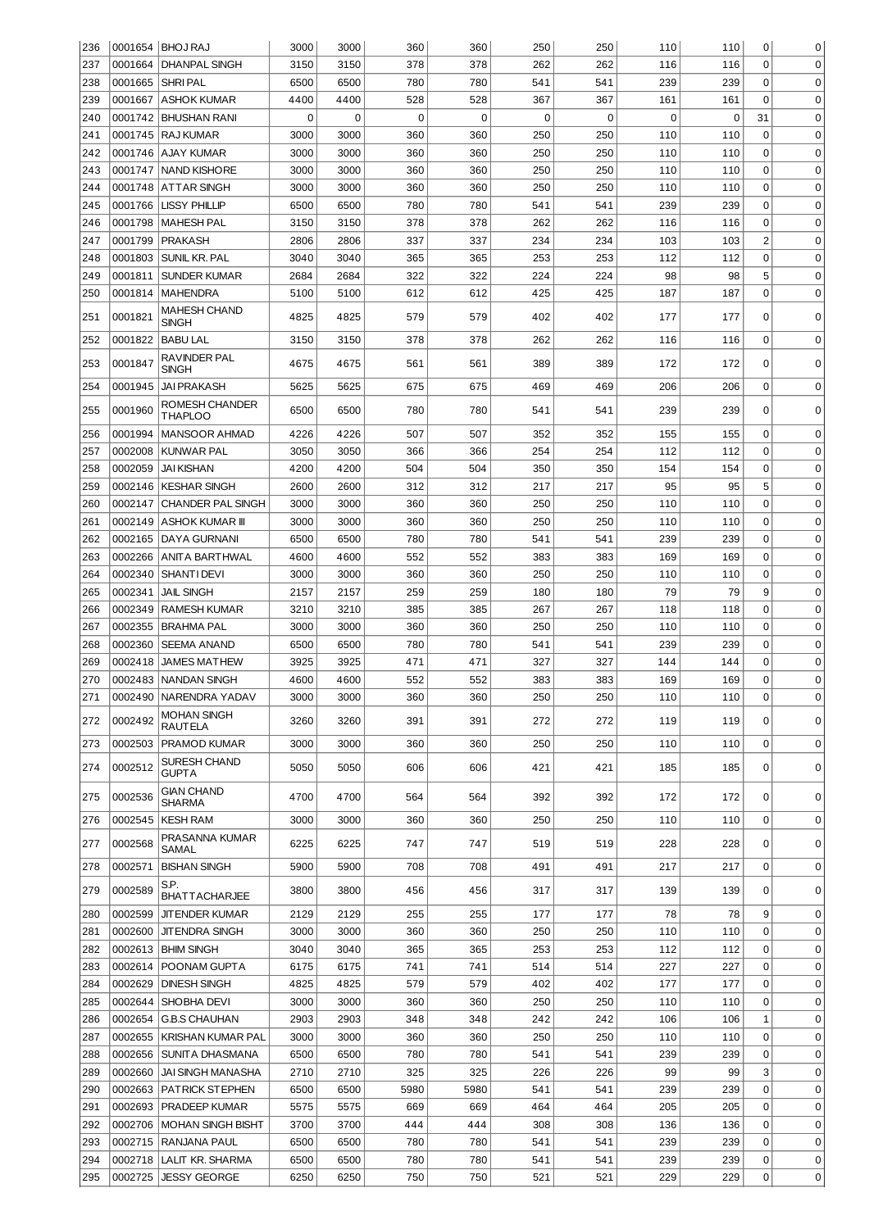| 236 |         | 0001654   BHOJ RAJ                 | 3000 | 3000     | 360         | 360         | 250 | 250 | 110 | 110 | 0              | 0           |
|-----|---------|------------------------------------|------|----------|-------------|-------------|-----|-----|-----|-----|----------------|-------------|
| 237 | 0001664 | <b>DHANPAL SINGH</b>               | 3150 | 3150     | 378         | 378         | 262 | 262 | 116 | 116 | $\mathbf 0$    | $\mathbf 0$ |
| 238 | 0001665 | SHRI PAL                           | 6500 | 6500     | 780         | 780         | 541 | 541 | 239 | 239 | $\mathbf 0$    | 0           |
| 239 | 0001667 | <b>ASHOK KUMAR</b>                 | 4400 | 4400     | 528         | 528         | 367 | 367 | 161 | 161 | $\Omega$       | 0           |
| 240 |         | 0001742 BHUSHAN RANI               | 0    | $\Omega$ | $\mathbf 0$ | $\mathbf 0$ | 0   | 0   | 0   | 0   | 31             | 0           |
| 241 |         | 0001745   RAJ KUMAR                | 3000 | 3000     | 360         | 360         | 250 | 250 | 110 | 110 | 0              | 0           |
| 242 | 0001746 | AJAY KUMAR                         | 3000 | 3000     | 360         | 360         | 250 | 250 | 110 | 110 | 0              | 0           |
| 243 | 0001747 | <b>NAND KISHORE</b>                | 3000 | 3000     | 360         | 360         | 250 | 250 | 110 | 110 | 0              | 0           |
| 244 | 0001748 | ATTAR SINGH                        | 3000 | 3000     | 360         | 360         | 250 | 250 | 110 | 110 | 0              | 0           |
| 245 | 0001766 | <b>LISSY PHILLIP</b>               | 6500 | 6500     | 780         | 780         | 541 | 541 | 239 | 239 | 0              | 0           |
| 246 | 0001798 | <b>MAHESH PAL</b>                  | 3150 | 3150     | 378         | 378         | 262 | 262 | 116 | 116 | 0              | 0           |
| 247 | 0001799 | <b>PRAKASH</b>                     | 2806 | 2806     | 337         | 337         | 234 | 234 | 103 | 103 | $\overline{2}$ | 0           |
| 248 | 0001803 | SUNIL KR. PAL                      | 3040 | 3040     | 365         | 365         | 253 | 253 | 112 | 112 | $\mathbf 0$    | $\mathbf 0$ |
| 249 | 0001811 | <b>SUNDER KUMAR</b>                | 2684 | 2684     | 322         | 322         | 224 | 224 | 98  | 98  | 5              | 0           |
| 250 | 0001814 | <b>MAHENDRA</b>                    | 5100 | 5100     | 612         | 612         | 425 | 425 | 187 | 187 | 0              | 0           |
| 251 | 0001821 | <b>MAHESH CHAND</b><br>SINGH       | 4825 | 4825     | 579         | 579         | 402 | 402 | 177 | 177 | 0              | 0           |
| 252 | 0001822 | <b>BABU LAL</b>                    | 3150 | 3150     | 378         | 378         | 262 | 262 | 116 | 116 | 0              | 0           |
| 253 | 0001847 | RAVINDER PAL                       | 4675 | 4675     | 561         | 561         | 389 | 389 | 172 | 172 | 0              | 0           |
| 254 | 0001945 | SINGH<br><b>JAI PRAKASH</b>        | 5625 | 5625     | 675         | 675         | 469 | 469 | 206 | 206 | 0              | $\mathbf 0$ |
| 255 | 0001960 | ROMESH CHANDER<br><b>THAPLOO</b>   | 6500 | 6500     | 780         | 780         | 541 | 541 | 239 | 239 | 0              | 0           |
| 256 | 0001994 | <b>MANSOOR AHMAD</b>               | 4226 | 4226     | 507         | 507         | 352 | 352 | 155 | 155 | 0              | 0           |
| 257 | 0002008 | <b>KUNWAR PAL</b>                  | 3050 | 3050     | 366         | 366         | 254 | 254 | 112 | 112 | $\mathbf 0$    | $\mathbf 0$ |
| 258 | 0002059 | <b>JAI KISHAN</b>                  | 4200 | 4200     | 504         | 504         | 350 | 350 | 154 | 154 | $\mathbf 0$    | $\mathbf 0$ |
| 259 | 0002146 | <b>KESHAR SINGH</b>                | 2600 | 2600     | 312         | 312         | 217 | 217 | 95  | 95  | 5              | $\mathbf 0$ |
| 260 | 0002147 | <b>CHANDER PAL SINGH</b>           | 3000 | 3000     | 360         | 360         | 250 | 250 | 110 | 110 | $\mathbf 0$    | $\mathbf 0$ |
| 261 | 0002149 | <b>ASHOK KUMAR III</b>             | 3000 | 3000     | 360         | 360         | 250 | 250 | 110 | 110 | $\mathbf 0$    | $\mathbf 0$ |
| 262 | 0002165 | <b>DAYA GURNANI</b>                | 6500 | 6500     | 780         | 780         | 541 | 541 | 239 | 239 | $\mathbf 0$    | $\mathbf 0$ |
| 263 | 0002266 | ANITA BARTHWAL                     | 4600 | 4600     | 552         | 552         | 383 | 383 | 169 | 169 | $\mathbf 0$    | $\mathbf 0$ |
| 264 | 0002340 | <b>SHANTI DEVI</b>                 | 3000 | 3000     | 360         | 360         | 250 | 250 | 110 | 110 | $\mathbf 0$    | $\mathbf 0$ |
| 265 | 0002341 | <b>JAIL SINGH</b>                  | 2157 | 2157     | 259         | 259         | 180 | 180 | 79  | 79  | 9              | $\mathbf 0$ |
| 266 | 0002349 | <b>RAMESH KUMAR</b>                | 3210 | 3210     | 385         | 385         | 267 | 267 | 118 | 118 | $\mathbf 0$    | $\mathbf 0$ |
| 267 | 0002355 | <b>BRAHMA PAL</b>                  | 3000 | 3000     | 360         | 360         | 250 | 250 | 110 | 110 | $\mathbf 0$    | $\mathbf 0$ |
| 268 | 0002360 | <b>SEEMA ANAND</b>                 | 6500 | 6500     | 780         | 780         | 541 | 541 | 239 | 239 | $\mathbf 0$    | $\mathbf 0$ |
| 269 | 0002418 | JAMES MATHEW                       | 3925 | 3925     | 471         | 471         | 327 | 327 | 144 | 144 | $\mathbf 0$    | $\mathbf 0$ |
| 270 | 0002483 | <b>NANDAN SINGH</b>                | 4600 | 4600     | 552         | 552         | 383 | 383 | 169 | 169 | $\mathbf 0$    | $\mathbf 0$ |
| 271 |         | 0002490 NARENDRA YADAV             |      | 3000     | 360         |             | 250 | 250 |     |     |                | 0           |
|     |         | MOHAN SINGH                        | 3000 |          |             | 360         |     |     | 110 | 110 | 0              |             |
| 272 | 0002492 | <b>RAUTELA</b>                     | 3260 | 3260     | 391         | 391         | 272 | 272 | 119 | 119 | 0              | 0           |
| 273 | 0002503 | <b>PRAMOD KUMAR</b>                | 3000 | 3000     | 360         | 360         | 250 | 250 | 110 | 110 | $\mathbf 0$    | $\mathbf 0$ |
| 274 | 0002512 | SURESH CHAND<br>GUPTA              | 5050 | 5050     | 606         | 606         | 421 | 421 | 185 | 185 | 0              | $\mathbf 0$ |
| 275 | 0002536 | <b>GIAN CHAND</b><br><b>SHARMA</b> | 4700 | 4700     | 564         | 564         | 392 | 392 | 172 | 172 | 0              | 0           |
| 276 | 0002545 | <b>KESH RAM</b>                    | 3000 | 3000     | 360         | 360         | 250 | 250 | 110 | 110 | 0              | $\mathbf 0$ |
| 277 | 0002568 | PRASANNA KUMAR<br>SAMAL            | 6225 | 6225     | 747         | 747         | 519 | 519 | 228 | 228 | 0              | 0           |
| 278 | 0002571 | <b>BISHAN SINGH</b>                | 5900 | 5900     | 708         | 708         | 491 | 491 | 217 | 217 | $\mathbf 0$    | $\mathbf 0$ |
| 279 | 0002589 | S.P.<br><b>BHATTACHARJEE</b>       | 3800 | 3800     | 456         | 456         | 317 | 317 | 139 | 139 | 0              | $\mathbf 0$ |
| 280 | 0002599 | <b>JITENDER KUMAR</b>              | 2129 | 2129     | 255         | 255         | 177 | 177 | 78  | 78  | 9              | $\mathbf 0$ |
| 281 |         | 0002600 JJTENDRA SINGH             | 3000 | 3000     | 360         | 360         | 250 | 250 | 110 | 110 | $\mathbf 0$    | $\mathbf 0$ |
| 282 |         | 0002613   BHIM SINGH               | 3040 | 3040     | 365         | 365         | 253 | 253 | 112 | 112 | $\mathbf 0$    | $\mathbf 0$ |
| 283 | 0002614 | POONAM GUPTA                       | 6175 | 6175     | 741         | 741         | 514 | 514 | 227 | 227 | $\mathbf 0$    | $\mathbf 0$ |
| 284 | 0002629 | <b>DINESH SINGH</b>                | 4825 | 4825     | 579         | 579         | 402 | 402 | 177 | 177 | 0              | $\mathbf 0$ |
| 285 |         | 0002644 SHOBHA DEVI                | 3000 | 3000     | 360         | 360         | 250 | 250 | 110 | 110 | 0              | $\mathbf 0$ |
| 286 | 0002654 | G.B.S CHAUHAN                      | 2903 | 2903     | 348         | 348         | 242 | 242 | 106 | 106 | 1              | $\mathbf 0$ |
| 287 |         | 0002655 KRISHAN KUMAR PAL          | 3000 | 3000     | 360         | 360         | 250 | 250 | 110 | 110 | 0              | $\mathbf 0$ |
| 288 |         | 0002656 SUNITA DHASMANA            | 6500 | 6500     | 780         | 780         | 541 | 541 | 239 | 239 | 0              | $\mathbf 0$ |
| 289 |         | 0002660 JAI SINGH MANASHA          | 2710 | 2710     | 325         | 325         | 226 | 226 | 99  | 99  | 3              | $\mathbf 0$ |
| 290 |         | 0002663   PATRICK STEPHEN          | 6500 | 6500     | 5980        | 5980        | 541 | 541 | 239 | 239 | 0              | $\mathbf 0$ |
| 291 |         | 0002693   PRADEEP KUMAR            | 5575 | 5575     | 669         | 669         | 464 | 464 | 205 | 205 | 0              | $\mathbf 0$ |
| 292 |         | 0002706   MOHAN SINGH BISHT        | 3700 | 3700     | 444         | 444         | 308 | 308 | 136 | 136 | 0              | $\mathbf 0$ |
| 293 |         | 0002715 RANJANA PAUL               | 6500 | 6500     | 780         | 780         | 541 | 541 | 239 | 239 | $\mathbf 0$    | $\mathbf 0$ |
| 294 | 0002718 | LALIT KR. SHARMA                   | 6500 | 6500     | 780         | 780         | 541 | 541 | 239 | 239 | $\mathbf 0$    | $\mathbf 0$ |
| 295 | 0002725 | <b>JESSY GEORGE</b>                | 6250 | 6250     | 750         | 750         | 521 | 521 | 229 | 229 | 0              | 0           |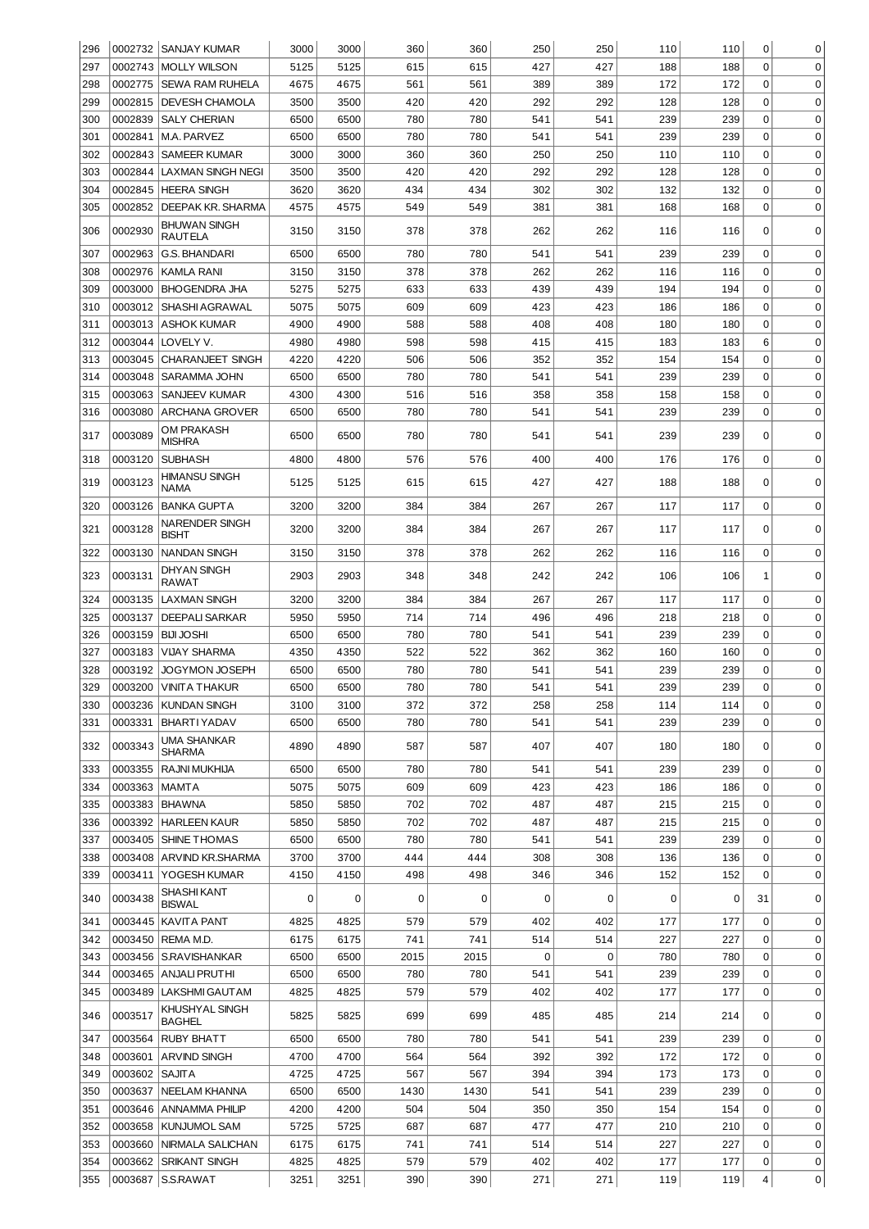| 296 | 0002732            | <b>SANJAY KUMAR</b>                        | 3000 | 3000 | 360  | 360        | 250 | 250 | 110 | 110 | 0                | 0           |
|-----|--------------------|--------------------------------------------|------|------|------|------------|-----|-----|-----|-----|------------------|-------------|
| 297 | 0002743            | <b>MOLLY WILSON</b>                        | 5125 | 5125 | 615  | 615        | 427 | 427 | 188 | 188 | $\Omega$         | $\mathbf 0$ |
| 298 | 0002775            | <b>SEWA RAM RUHELA</b>                     | 4675 | 4675 | 561  | 561        | 389 | 389 | 172 | 172 | $\Omega$         | $\mathbf 0$ |
| 299 | 0002815            | DEVESH CHAMOLA                             | 3500 | 3500 | 420  | 420        | 292 | 292 | 128 | 128 | $\mathbf 0$      | $\mathbf 0$ |
| 300 | 0002839            | <b>SALY CHERIAN</b>                        | 6500 | 6500 | 780  | 780        | 541 | 541 | 239 | 239 | $\mathbf 0$      | $\mathbf 0$ |
| 301 | 0002841            | M.A. PARVEZ                                | 6500 | 6500 | 780  | 780        | 541 | 541 | 239 | 239 | $\mathbf 0$      | $\mathbf 0$ |
| 302 | 0002843            | <b>SAMEER KUMAR</b>                        | 3000 | 3000 | 360  | 360        | 250 | 250 | 110 | 110 | $\mathbf 0$      | $\mathbf 0$ |
| 303 | 0002844            | <b>LAXMAN SINGH NEGI</b>                   | 3500 | 3500 | 420  | 420        | 292 | 292 | 128 | 128 | $\mathbf 0$      | $\mathbf 0$ |
| 304 | 0002845            | <b>HEERA SINGH</b>                         | 3620 | 3620 | 434  | 434        | 302 | 302 | 132 | 132 | $\mathbf 0$      | $\mathbf 0$ |
| 305 | 0002852            | <b>DEEPAK KR. SHARMA</b>                   | 4575 | 4575 | 549  | 549        | 381 | 381 | 168 | 168 | $\mathbf 0$      | $\mathbf 0$ |
| 306 | 0002930            | <b>BHUWAN SINGH</b><br><b>RAUTELA</b>      | 3150 | 3150 | 378  | 378        | 262 | 262 | 116 | 116 | 0                | 0           |
| 307 | 0002963            | <b>G.S. BHANDARI</b>                       | 6500 | 6500 | 780  | 780        | 541 | 541 | 239 | 239 | $\mathbf 0$      | $\mathbf 0$ |
| 308 | 0002976            | <b>KAMLA RANI</b>                          | 3150 | 3150 | 378  | 378        | 262 | 262 | 116 | 116 | $\mathbf 0$      | $\mathbf 0$ |
| 309 | 0003000            | <b>BHOGENDRA JHA</b>                       | 5275 | 5275 | 633  | 633        | 439 | 439 | 194 | 194 | 0                | 0           |
| 310 | 0003012            | SHASHI AGRAWAL                             | 5075 | 5075 | 609  | 609        | 423 | 423 | 186 | 186 | 0                | 0           |
| 311 | 0003013            | <b>ASHOK KUMAR</b>                         | 4900 | 4900 | 588  | 588        | 408 | 408 | 180 | 180 | 0                | 0           |
| 312 | 0003044            | LOVELY V.                                  | 4980 | 4980 | 598  | 598        | 415 | 415 | 183 | 183 | 6                | 0           |
| 313 | 0003045            | <b>CHARANJEET SINGH</b>                    | 4220 | 4220 | 506  | 506        | 352 | 352 | 154 | 154 | 0                | 0           |
| 314 | 0003048            | <b>SARAMMA JOHN</b>                        | 6500 | 6500 | 780  | 780        | 541 | 541 | 239 | 239 | 0                | $\mathbf 0$ |
| 315 | 0003063<br>0003080 | SANJEEV KUMAR                              | 4300 | 4300 | 516  | 516<br>780 | 358 | 358 | 158 | 158 | 0<br>$\mathbf 0$ | $\mathbf 0$ |
| 316 |                    | <b>ARCHANA GROVER</b><br><b>OM PRAKASH</b> | 6500 | 6500 | 780  |            | 541 | 541 | 239 | 239 |                  | 0           |
| 317 | 0003089            | <b>MISHRA</b>                              | 6500 | 6500 | 780  | 780        | 541 | 541 | 239 | 239 | 0                | $\mathbf 0$ |
| 318 | 0003120            | <b>SUBHASH</b>                             | 4800 | 4800 | 576  | 576        | 400 | 400 | 176 | 176 | $\mathbf 0$      | $\mathbf 0$ |
| 319 | 0003123            | <b>HIMANSU SINGH</b><br>NAMA               | 5125 | 5125 | 615  | 615        | 427 | 427 | 188 | 188 | 0                | 0           |
| 320 | 0003126            | <b>BANKA GUPTA</b>                         | 3200 | 3200 | 384  | 384        | 267 | 267 | 117 | 117 | $\mathbf 0$      | $\mathbf 0$ |
| 321 | 0003128            | NARENDER SINGH<br><b>BISHT</b>             | 3200 | 3200 | 384  | 384        | 267 | 267 | 117 | 117 | 0                | $\mathbf 0$ |
| 322 | 0003130            | <b>NANDAN SINGH</b>                        | 3150 | 3150 | 378  | 378        | 262 | 262 | 116 | 116 | $\mathbf 0$      | 0           |
| 323 | 0003131            | <b>DHYAN SINGH</b><br><b>RAWAT</b>         | 2903 | 2903 | 348  | 348        | 242 | 242 | 106 | 106 | 1                | $\Omega$    |
| 324 | 0003135            | <b>LAXMAN SINGH</b>                        | 3200 | 3200 | 384  | 384        | 267 | 267 | 117 | 117 | $\mathbf 0$      | $\mathbf 0$ |
| 325 | 0003137            | <b>DEEPALI SARKAR</b>                      | 5950 | 5950 | 714  | 714        | 496 | 496 | 218 | 218 | $\mathbf 0$      | 0           |
| 326 | 0003159            | <b>BIJI JOSHI</b>                          | 6500 | 6500 | 780  | 780        | 541 | 541 | 239 | 239 | $\mathbf 0$      | $\mathbf 0$ |
| 327 | 0003183            | VIJAY SHARMA                               | 4350 | 4350 | 522  | 522        | 362 | 362 | 160 | 160 | 0                | $\mathbf 0$ |
| 328 | 0003192            | JOGYMON JOSEPH                             | 6500 | 6500 | 780  | 780        | 541 | 541 | 239 | 239 | 0                | $\mathbf 0$ |
| 329 | 0003200            | <b>VINITA THAKUR</b>                       | 6500 | 6500 | 780  | 780        | 541 | 541 | 239 | 239 | 0                | $\mathbf 0$ |
| 330 |                    | 0003236 KUNDAN SINGH                       | 3100 | 3100 | 372  | 372        | 258 | 258 | 114 | 114 | 0                | 0           |
| 331 | 0003331            | <b>BHARTIYADAV</b>                         | 6500 | 6500 | 780  | 780        | 541 | 541 | 239 | 239 | 0                | 0           |
| 332 | 0003343            | UMA SHANKAR<br><b>SHARMA</b>               | 4890 | 4890 | 587  | 587        | 407 | 407 | 180 | 180 | 0                | 0           |
| 333 | 0003355            | <b>RAJNI MUKHIJA</b>                       | 6500 | 6500 | 780  | 780        | 541 | 541 | 239 | 239 | 0                | 0           |
| 334 | 0003363            | <b>MAMTA</b>                               | 5075 | 5075 | 609  | 609        | 423 | 423 | 186 | 186 | 0                | 0           |
| 335 | 0003383            | <b>BHAWNA</b>                              | 5850 | 5850 | 702  | 702        | 487 | 487 | 215 | 215 | 0                | 0           |
| 336 | 0003392            | <b>HARLEEN KAUR</b>                        | 5850 | 5850 | 702  | 702        | 487 | 487 | 215 | 215 | 0                | 0           |
| 337 |                    | 0003405 SHINE THOMAS                       | 6500 | 6500 | 780  | 780        | 541 | 541 | 239 | 239 | 0                | 0           |
| 338 | 0003408            | ARVIND KR.SHARMA                           | 3700 | 3700 | 444  | 444        | 308 | 308 | 136 | 136 | 0                | $\mathbf 0$ |
| 339 | 0003411            | YOGESH KUMAR                               | 4150 | 4150 | 498  | 498        | 346 | 346 | 152 | 152 | 0                | $\mathbf 0$ |
| 340 | 0003438            | SHASHI KANT<br><b>BISWAL</b>               | 0    | 0    | 0    | 0          | 0   | 0   | 0   | 0   | 31               | 0           |
| 341 | 0003445            | <b>KAVITA PANT</b>                         | 4825 | 4825 | 579  | 579        | 402 | 402 | 177 | 177 | $\mathbf 0$      | 0           |
| 342 | 0003450            | REMA M.D.                                  | 6175 | 6175 | 741  | 741        | 514 | 514 | 227 | 227 | 0                | 0           |
| 343 | 0003456            | <b>S.RAVISHANKAR</b>                       | 6500 | 6500 | 2015 | 2015       | 0   | 0   | 780 | 780 | 0                | 0           |
| 344 |                    | 0003465 ANJALI PRUTHI                      | 6500 | 6500 | 780  | 780        | 541 | 541 | 239 | 239 | 0                | 0           |
| 345 | 0003489            | LAKSHMI GAUT AM                            | 4825 | 4825 | 579  | 579        | 402 | 402 | 177 | 177 | 0                | 0           |
| 346 | 0003517            | KHUSHYAL SINGH<br><b>BAGHEL</b>            | 5825 | 5825 | 699  | 699        | 485 | 485 | 214 | 214 | 0                | 0           |
| 347 | 0003564            | <b>RUBY BHATT</b>                          | 6500 | 6500 | 780  | 780        | 541 | 541 | 239 | 239 | 0                | $\mathbf 0$ |
| 348 | 0003601            | <b>ARVIND SINGH</b>                        | 4700 | 4700 | 564  | 564        | 392 | 392 | 172 | 172 | $\mathbf 0$      | $\mathbf 0$ |
| 349 | 0003602            | <b>SAJITA</b>                              | 4725 | 4725 | 567  | 567        | 394 | 394 | 173 | 173 | $\mathbf 0$      | $\mathbf 0$ |
| 350 | 0003637            | NEELAM KHANNA                              | 6500 | 6500 | 1430 | 1430       | 541 | 541 | 239 | 239 | 0                | $\mathbf 0$ |
| 351 | 0003646            | <b>ANNAMMA PHILIP</b>                      | 4200 | 4200 | 504  | 504        | 350 | 350 | 154 | 154 | 0                | $\mathbf 0$ |
| 352 | 0003658            | <b>KUNJUMOL SAM</b>                        | 5725 | 5725 | 687  | 687        | 477 | 477 | 210 | 210 | 0                | $\mathbf 0$ |
| 353 | 0003660            | NIRMALA SALICHAN                           | 6175 | 6175 | 741  | 741        | 514 | 514 | 227 | 227 | 0                | $\mathbf 0$ |
| 354 | 0003662            | <b>SRIKANT SINGH</b>                       | 4825 | 4825 | 579  | 579        | 402 | 402 | 177 | 177 | 0                | $\mathbf 0$ |
| 355 | 0003687            | S.S.RAWAT                                  | 3251 | 3251 | 390  | 390        | 271 | 271 | 119 | 119 | 4                | 0           |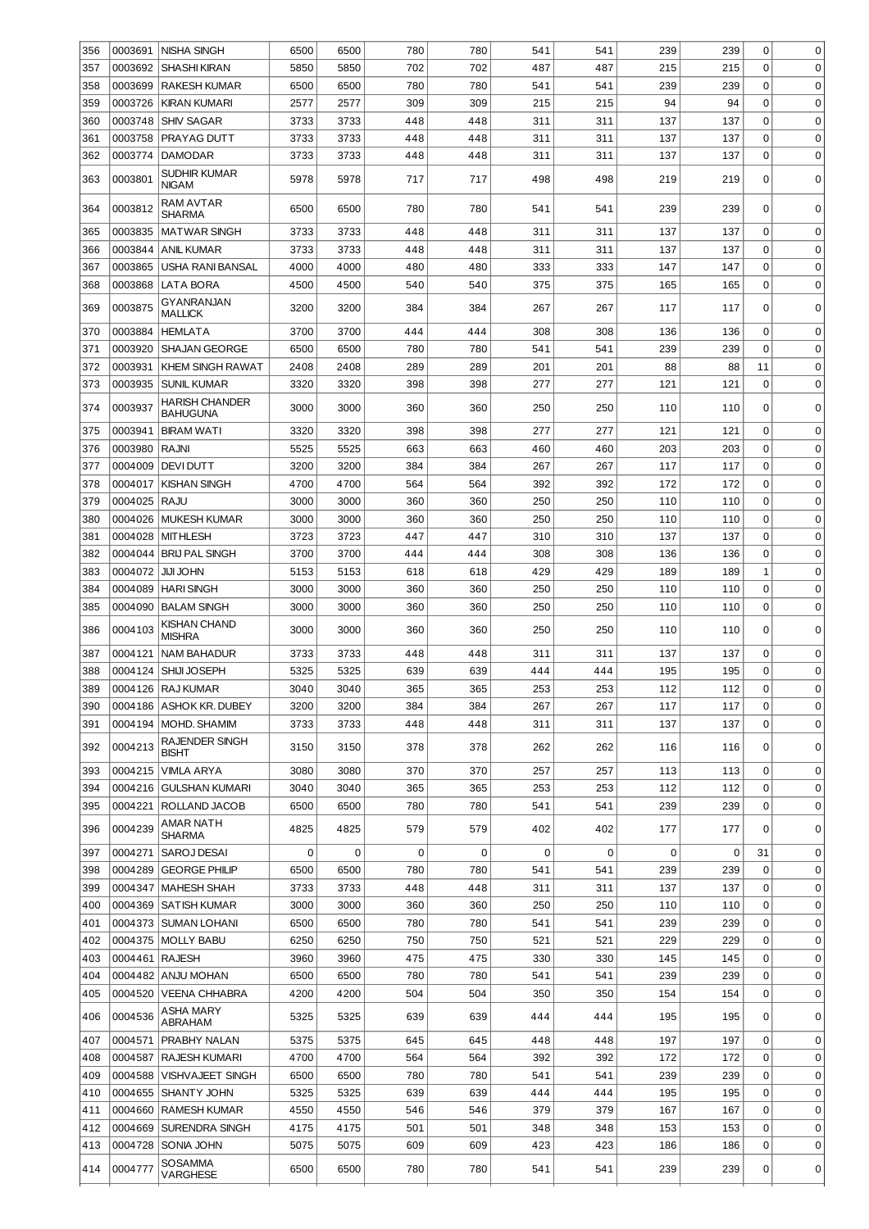| 356        | 0003691            | <b>NISHA SINGH</b>                       | 6500      | 6500      | 780                | 780                | 541      | 541      | 239      | 239      | 0            | 0                          |
|------------|--------------------|------------------------------------------|-----------|-----------|--------------------|--------------------|----------|----------|----------|----------|--------------|----------------------------|
| 357        | 0003692            | <b>SHASHI KIRAN</b>                      | 5850      | 5850      | 702                | 702                | 487      | 487      | 215      | 215      | $\Omega$     | $\mathbf 0$                |
| 358        | 0003699            | <b>RAKESH KUMAR</b>                      | 6500      | 6500      | 780                | 780                | 541      | 541      | 239      | 239      | $\mathbf 0$  | $\mathbf 0$                |
| 359        | 0003726            | <b>KIRAN KUMARI</b>                      | 2577      | 2577      | 309                | 309                | 215      | 215      | 94       | 94       | $\mathbf 0$  | $\mathbf 0$                |
| 360        | 0003748            | <b>SHIV SAGAR</b>                        | 3733      | 3733      | 448                | 448                | 311      | 311      | 137      | 137      | $\mathbf 0$  | $\mathbf 0$                |
| 361        | 0003758            | PRAYAG DUTT                              | 3733      | 3733      | 448                | 448                | 311      | 311      | 137      | 137      | $\mathbf 0$  | $\mathbf 0$                |
| 362        | 0003774            | <b>DAMODAR</b>                           | 3733      | 3733      | 448                | 448                | 311      | 311      | 137      | 137      | $\mathbf 0$  | $\mathbf 0$                |
| 363        | 0003801            | SUDHIR KUMAR<br><b>NIGAM</b>             | 5978      | 5978      | 717                | 717                | 498      | 498      | 219      | 219      | 0            | 0                          |
| 364        | 0003812            | RAM AVTAR<br>SHARMA                      | 6500      | 6500      | 780                | 780                | 541      | 541      | 239      | 239      | 0            | 0                          |
| 365        | 0003835            | <b>MATWAR SINGH</b>                      | 3733      | 3733      | 448                | 448                | 311      | 311      | 137      | 137      | $\mathbf 0$  | $\mathbf 0$                |
| 366        | 0003844            | <b>ANIL KUMAR</b>                        | 3733      | 3733      | 448                | 448                | 311      | 311      | 137      | 137      | $\mathbf 0$  | $\mathbf 0$                |
| 367        | 0003865            | USHA RANI BANSAL                         | 4000      | 4000      | 480                | 480                | 333      | 333      | 147      | 147      | $\mathbf 0$  | 0                          |
| 368        | 0003868            | LATA BORA                                | 4500      | 4500      | 540                | 540                | 375      | 375      | 165      | 165      | 0            | 0                          |
| 369        | 0003875            | GYANRANJAN<br><b>MALLICK</b>             | 3200      | 3200      | 384                | 384                | 267      | 267      | 117      | 117      | 0            | 0                          |
| 370        | 0003884            | <b>HEMLATA</b>                           | 3700      | 3700      | 444                | 444                | 308      | 308      | 136      | 136      | 0            | $\mathbf 0$                |
| 371        | 0003920            | SHAJAN GEORGE                            | 6500      | 6500      | 780                | 780                | 541      | 541      | 239      | 239      | 0            | $\mathbf 0$                |
| 372        | 0003931            | KHEM SINGH RAWAT                         | 2408      | 2408      | 289                | 289                | 201      | 201      | 88       | 88       | 11           | $\mathbf 0$                |
| 373        | 0003935            | <b>SUNIL KUMAR</b>                       | 3320      | 3320      | 398                | 398                | 277      | 277      | 121      | 121      | $\mathbf 0$  | $\mathbf 0$                |
| 374        | 0003937            | <b>HARISH CHANDER</b><br><b>BAHUGUNA</b> | 3000      | 3000      | 360                | 360                | 250      | 250      | 110      | 110      | 0            | $\mathbf 0$                |
| 375        | 0003941            | <b>BIRAM WATI</b>                        | 3320      | 3320      | 398                | 398                | 277      | 277      | 121      | 121      | 0            | 0                          |
| 376        | 0003980            | <b>RAJNI</b>                             | 5525      | 5525      | 663                | 663                | 460      | 460      | 203      | 203      | $\Omega$     | 0                          |
| 377        | 0004009            | <b>DEVIDUTT</b>                          | 3200      | 3200      | 384                | 384                | 267      | 267      | 117      | 117      | $\Omega$     | 0                          |
| 378        | 0004017            | <b>KISHAN SINGH</b>                      | 4700      | 4700      | 564                | 564                | 392      | 392      | 172      | 172      | 0            | 0                          |
| 379        | 0004025            | <b>RAJU</b>                              | 3000      | 3000      | 360                | 360                | 250      | 250      | 110      | 110      | 0            | 0                          |
| 380        | 0004026            | <b>MUKESH KUMAR</b>                      | 3000      | 3000      | 360                | 360                | 250      | 250      | 110      | 110      | $\Omega$     | 0                          |
| 381        | 0004028            | <b>MITHLESH</b>                          | 3723      | 3723      | 447                | 447                | 310      | 310      | 137      | 137      | 0            | $\mathbf 0$                |
| 382        | 0004044            | <b>BRIJ PAL SINGH</b>                    | 3700      | 3700      | 444                | 444                | 308      | 308      | 136      | 136      | 0            | $\mathbf 0$                |
| 383        | 0004072            | <b>JIJI JOHN</b>                         | 5153      | 5153      | 618                | 618                | 429      | 429      | 189      | 189      | $\mathbf{1}$ | $\mathbf 0$                |
| 384        | 0004089            | <b>HARI SINGH</b>                        | 3000      | 3000      | 360                | 360                | 250      | 250      | 110      | 110      | 0            | $\mathbf 0$                |
| 385        | 0004090            | <b>BALAM SINGH</b>                       | 3000      | 3000      | 360                | 360                | 250      | 250      | 110      | 110      | 0            | 0                          |
| 386        | 0004103            | <b>KISHAN CHAND</b><br><b>MISHRA</b>     | 3000      | 3000      | 360                | 360                | 250      | 250      | 110      | 110      | 0            | $\Omega$                   |
| 387        | 0004121            | NAM BAHADUR                              | 3733      | 3733      | 448                | 448                | 311      | 311      | 137      | 137      | 0            | 0                          |
| 388        | 0004124            | SHIJI JOSEPH                             | 5325      | 5325      | 639                | 639                | 444      | 444      | 195      | 195      | 0            | 0                          |
| 389        |                    | 0004126 RAJ KUMAR                        | 3040      | 3040      | 365                | 365                | 253      | 253      | 112      | 112      | 0            | 0                          |
| 390        |                    | 0004186 ASHOK KR. DUBEY                  | 3200      | 3200      | 384                | 384                | 267      | 267      | 117      | 117      | 0            | 0                          |
| 391        | 0004194            | MOHD. SHAMIM                             | 3733      | 3733      | 448                | 448                | 311      | 311      | 137      | 137      | 0            | 0                          |
| 392        | 0004213            | RAJENDER SINGH<br><b>BISHT</b>           | 3150      | 3150      | 378                | 378                | 262      | 262      | 116      | 116      | 0            | 0                          |
| 393        | 0004215            | <b>VIMLA ARYA</b>                        | 3080      | 3080      | 370                | 370                | 257      | 257      | 113      | 113      | 0            | $\mathbf 0$                |
| 394        | 0004216            | <b>GULSHAN KUMARI</b>                    | 3040      | 3040      | 365                | 365                | 253      | 253      | 112      | 112      | 0            | $\mathbf 0$                |
| 395        | 0004221            | ROLLAND JACOB<br>AMAR NATH               | 6500      | 6500      | 780                | 780                | 541      | 541      | 239      | 239      | 0            | $\mathbf 0$                |
| 396<br>397 | 0004239<br>0004271 | <b>SHARMA</b><br>SAROJ DESAI             | 4825<br>0 | 4825<br>0 | 579<br>$\mathbf 0$ | 579<br>$\mathbf 0$ | 402<br>0 | 402<br>0 | 177<br>0 | 177<br>0 | 0<br>31      | $\mathbf 0$<br>$\mathbf 0$ |
| 398        | 0004289            | <b>GEORGE PHILIP</b>                     | 6500      | 6500      | 780                | 780                | 541      | 541      | 239      | 239      | 0            | $\mathbf 0$                |
| 399        |                    | 0004347   MAHESH SHAH                    | 3733      | 3733      | 448                | 448                | 311      | 311      | 137      | 137      | 0            | 0                          |
| 400        | 0004369            | <b>SATISH KUMAR</b>                      | 3000      | 3000      | 360                | 360                | 250      | 250      | 110      | 110      | 0            | 0                          |
| 401        |                    | 0004373   SUMAN LOHANI                   | 6500      | 6500      | 780                | 780                | 541      | 541      | 239      | 239      | 0            | 0                          |
| 402        |                    | 0004375   MOLLY BABU                     | 6250      | 6250      | 750                | 750                | 521      | 521      | 229      | 229      | 0            | 0                          |
| 403        | 0004461            | <b>RAJESH</b>                            | 3960      | 3960      | 475                | 475                | 330      | 330      | 145      | 145      | 0            | 0                          |
| 404        |                    | 0004482 ANJU MOHAN                       | 6500      | 6500      | 780                | 780                | 541      | 541      | 239      | 239      | 0            | 0                          |
| 405        | 0004520            | <b>VEENA CHHABRA</b>                     | 4200      | 4200      | 504                | 504                | 350      | 350      | 154      | 154      | 0            | 0                          |
| 406        | 0004536            | ASHA MARY<br>ABRAHAM                     | 5325      | 5325      | 639                | 639                | 444      | 444      | 195      | 195      | 0            | $\mathbf 0$                |
| 407        | 0004571            | PRABHY NALAN                             | 5375      | 5375      | 645                | 645                | 448      | 448      | 197      | 197      | 0            | $\mathbf 0$                |
| 408        | 0004587            | RAJESH KUMARI                            | 4700      | 4700      | 564                | 564                | 392      | 392      | 172      | 172      | $\Omega$     | $\mathbf 0$                |
| 409        | 0004588            | <b>VISHVAJEET SINGH</b>                  | 6500      | 6500      | 780                | 780                | 541      | 541      | 239      | 239      | $\mathbf 0$  | $\mathbf 0$                |
| 410        | 0004655            | SHANTY JOHN                              | 5325      | 5325      | 639                | 639                | 444      | 444      | 195      | 195      | $\mathbf 0$  | $\mathbf 0$                |
| 411        | 0004660            | <b>RAMESH KUMAR</b>                      | 4550      | 4550      | 546                | 546                | 379      | 379      | 167      | 167      | $\mathbf 0$  | $\mathbf 0$                |
| 412        | 0004669            | SURENDRA SINGH                           | 4175      | 4175      | 501                | 501                | 348      | 348      | 153      | 153      | 0            | $\mathbf 0$                |
| 413        | 0004728            | SONIA JOHN                               | 5075      | 5075      | 609                | 609                | 423      | 423      | 186      | 186      | $\mathbf 0$  | $\mathbf 0$                |
| 414        | 0004777            | <b>SOSAMMA</b>                           | 6500      | 6500      | 780                | 780                | 541      | 541      | 239      | 239      | 0            | 0                          |
|            |                    | VARGHESE                                 |           |           |                    |                    |          |          |          |          |              |                            |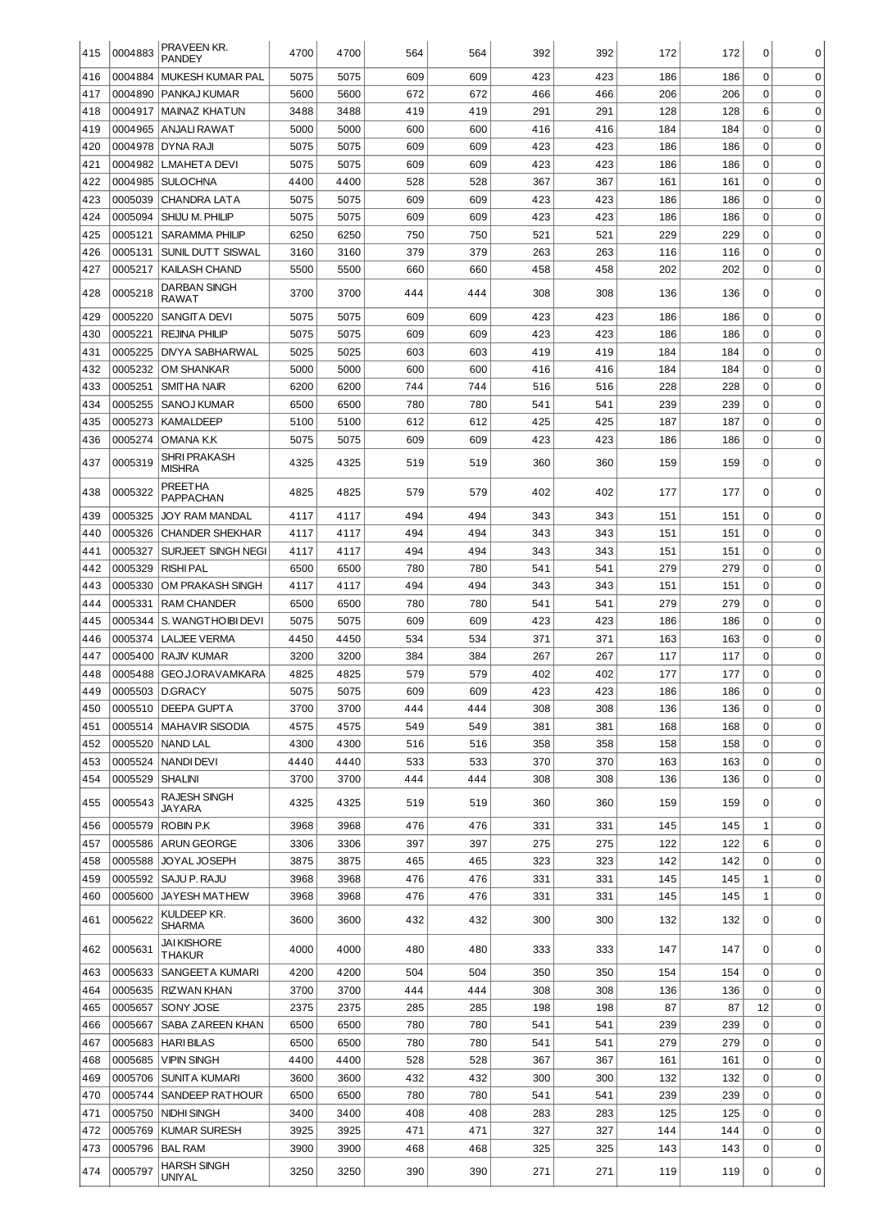| 415        | 0004883 | PRAVEEN KR.<br><b>PANDEY</b>         | 4700         | 4700         | 564        | 564        | 392        | 392        | 172        | 172        | 0           | 0                |
|------------|---------|--------------------------------------|--------------|--------------|------------|------------|------------|------------|------------|------------|-------------|------------------|
| 416        | 0004884 | <b>MUKESH KUMAR PAL</b>              | 5075         | 5075         | 609        | 609        | 423        | 423        | 186        | 186        | 0           | $\mathbf 0$      |
| 417        | 0004890 | PANKAJ KUMAR                         | 5600         | 5600         | 672        | 672        | 466        | 466        | 206        | 206        | 0           | $\mathbf 0$      |
| 418        | 0004917 | MAINAZ KHATUN                        | 3488         | 3488         | 419        | 419        | 291        | 291        | 128        | 128        | 6           | $\mathbf 0$      |
| 419        | 0004965 | ANJALI RAWAT                         | 5000         | 5000         | 600        | 600        | 416        | 416        | 184        | 184        | 0           | $\mathbf 0$      |
| 420        | 0004978 | DYNA RAJI                            | 5075         | 5075         | 609        | 609        | 423        | 423        | 186        | 186        | 0           | $\mathbf 0$      |
| 421        | 0004982 | L.MAHETA DEVI                        | 5075         | 5075         | 609        | 609        | 423        | 423        | 186        | 186        | 0           | $\mathbf 0$      |
| 422        | 0004985 | SULOCHNA                             | 4400         | 4400         | 528        | 528        | 367        | 367        | 161        | 161        | $\mathbf 0$ | $\mathbf 0$      |
| 423        | 0005039 | <b>CHANDRA LATA</b>                  | 5075         | 5075         | 609        | 609        | 423        | 423        | 186        | 186        | $\mathbf 0$ | $\mathbf 0$      |
| 424        | 0005094 | SHIJU M. PHILIP                      | 5075         | 5075         | 609        | 609        | 423        | 423        | 186        | 186        | $\mathbf 0$ | 0                |
| 425        | 0005121 | <b>SARAMMA PHILIP</b>                | 6250         | 6250         | 750        | 750        | 521        | 521        | 229        | 229        | $\mathbf 0$ | 0                |
| 426        | 0005131 | <b>SUNIL DUTT SISWAL</b>             | 3160         | 3160         | 379        | 379        | 263        | 263        | 116        | 116        | $\mathbf 0$ | 0                |
| 427        | 0005217 | <b>KAILASH CHAND</b>                 | 5500         | 5500         | 660        | 660        | 458        | 458        | 202        | 202        | $\mathbf 0$ | 0                |
| 428        | 0005218 | DARBAN SINGH<br>RAWAT                | 3700         | 3700         | 444        | 444        | 308        | 308        | 136        | 136        | 0           | 0                |
| 429        | 0005220 | SANGITA DEVI                         | 5075         | 5075         | 609        | 609        | 423        | 423        | 186        | 186        | 0           | $\mathbf 0$      |
| 430        | 0005221 | <b>REJINA PHILIP</b>                 | 5075         | 5075         | 609        | 609        | 423        | 423        | 186        | 186        | 0           | $\mathbf 0$      |
| 431        | 0005225 | DIVYA SABHARWAL                      | 5025         | 5025         | 603        | 603        | 419        | 419        | 184        | 184        | 0           | $\mathbf 0$      |
| 432        | 0005232 | OM SHANKAR                           | 5000         | 5000         | 600        | 600        | 416        | 416        | 184        | 184        | 0           | $\mathbf 0$      |
| 433        | 0005251 | <b>SMITHA NAIR</b>                   | 6200         | 6200         | 744        | 744        | 516        | 516        | 228        | 228        | 0           | $\mathbf 0$      |
| 434        | 0005255 | SANOJ KUMAR                          | 6500         | 6500         | 780        | 780        | 541        | 541        | 239        | 239        | 0           | $\mathbf 0$      |
| 435        | 0005273 | KAMALDEEP                            | 5100         | 5100         | 612        | 612        | 425        | 425        | 187        | 187        | 0           | $\mathbf 0$      |
| 436        | 0005274 | OMANA K.K                            | 5075         | 5075         | 609        | 609        | 423        | 423        | 186        | 186        | $\mathbf 0$ | 0                |
| 437        | 0005319 | SHRI PRAKASH<br><b>MISHRA</b>        | 4325         | 4325         | 519        | 519        | 360        | 360        | 159        | 159        | 0           | 0                |
| 438        | 0005322 | PREETHA<br><b>PAPPACHAN</b>          | 4825         | 4825         | 579        | 579        | 402        | 402        | 177        | 177        | 0           | $\mathbf 0$      |
| 439        | 0005325 | JOY RAM MANDAL                       | 4117         | 4117         | 494        | 494        | 343        | 343        | 151        | 151        | 0           | 0                |
| 440        | 0005326 | <b>CHANDER SHEKHAR</b>               | 4117         | 4117         | 494        | 494        | 343        | 343        | 151        | 151        | $\mathbf 0$ | 0                |
| 441        | 0005327 | SURJEET SINGH NEGI                   | 4117         | 4117         | 494        | 494        | 343        | 343        | 151        | 151        | $\mathbf 0$ | 0                |
| 442        | 0005329 | <b>RISHI PAL</b>                     | 6500         | 6500         | 780        | 780        | 541        | 541        | 279        | 279        | $\mathbf 0$ | 0                |
| 443        | 0005330 | OM PRAKASH SINGH                     | 4117         | 4117         | 494        | 494        | 343        | 343        | 151        | 151        | $\mathbf 0$ | 0                |
| 444        | 0005331 | <b>RAM CHANDER</b>                   | 6500         | 6500         | 780        | 780        | 541        | 541        | 279        | 279        | $\mathbf 0$ | 0                |
| 445        | 0005344 | S. WANGTHOIBI DEVI                   | 5075         | 5075         | 609        | 609        | 423        | 423        | 186        | 186        | $\mathbf 0$ | 0                |
| 446        | 0005374 | <b>LALJEE VERMA</b>                  | 4450         | 4450         | 534        | 534        | 371        | 371        | 163        | 163        | $\mathbf 0$ | 0                |
| 447        | 0005400 | <b>RAJIV KUMAR</b>                   | 3200         | 3200         | 384        | 384        | 267        | 267        | 117        | 117        | $\mathbf 0$ | 0                |
| 448        | 0005488 | GEO J.ORAVAMKARA                     | 4825         | 4825         | 579        | 579        | 402        | 402        | 177        | 177        | $\mathbf 0$ | 0                |
| 449        |         | 0005503 D.GRACY                      | 5075         | 5075         | 609        | 609        | 423        | 423        | 186        | 186        | $\mathbf 0$ | $\Omega$         |
| 450        |         | 0005510 DEEPA GUPTA                  | 3700         | 3700         | 444        | 444        | 308        | 308        | 136        | 136        | $\mathbf 0$ | 0                |
| 451        | 0005514 | <b>MAHAVIR SISODIA</b>               | 4575         | 4575         | 549        | 549        | 381        | 381        | 168        | 168        | 0           | 0                |
| 452        | 0005520 | <b>NAND LAL</b>                      | 4300         | 4300         | 516        | 516        | 358        | 358        | 158        | 158        | $\mathbf 0$ | $\mathbf 0$      |
| 453        | 0005524 | NANDI DEVI                           | 4440         | 4440         | 533        | 533        | 370        | 370        | 163        | 163        | 0           | $\mathbf 0$      |
| 454        | 0005529 | <b>SHALINI</b>                       | 3700         | 3700         | 444        | 444        | 308        | 308        | 136        | 136        | 0           | 0                |
| 455        | 0005543 | RAJESH SINGH<br>JAYARA               | 4325         | 4325         | 519        | 519        | 360        | 360        | 159        | 159        | 0           | 0                |
| 456        |         | 0005579 ROBIN P.K                    | 3968         | 3968         | 476        | 476        | 331        | 331        | 145        | 145        | 1           | $\mathbf 0$      |
| 457        |         | 0005586 ARUN GEORGE                  | 3306         | 3306         | 397        | 397        | 275        | 275        | 122        | 122        | 6           | 0                |
| 458        |         | 0005588 JOYAL JOSEPH                 | 3875         | 3875         | 465        | 465        | 323        | 323        | 142        | 142        | 0           | 0                |
| 459        |         | 0005592 SAJU P. RAJU                 | 3968         | 3968         | 476        | 476        | 331        | 331        | 145        | 145        | 1           | 0                |
| 460<br>461 | 0005622 | 0005600 JAYESH MATHEW<br>KULDEEP KR. | 3968<br>3600 | 3968<br>3600 | 476<br>432 | 476<br>432 | 331<br>300 | 331<br>300 | 145<br>132 | 145<br>132 | 1<br>0      | 0<br>$\mathbf 0$ |
|            |         | <b>SHARMA</b><br>JAI KISHORE         |              | 4000         | 480        | 480        |            | 333        |            |            | 0           | $\mathbf 0$      |
| 462        | 0005631 | THAKUR                               | 4000         |              |            |            | 333        |            | 147        | 147        |             |                  |
| 463        | 0005633 | SANGEETA KUMARI                      | 4200         | 4200         | 504        | 504        | 350        | 350        | 154        | 154        | $\mathbf 0$ | $\pmb{0}$        |
| 464        | 0005635 | RIZWAN KHAN                          | 3700         | 3700         | 444        | 444        | 308        | 308        | 136        | 136        | 0           | $\pmb{0}$        |
| 465        | 0005657 | SONY JOSE                            | 2375         | 2375         | 285        | 285        | 198        | 198        | 87         | 87         | 12          | $\mathbf 0$      |
| 466        | 0005667 | SABA ZAREEN KHAN                     | 6500         | 6500         | 780        | 780        | 541        | 541        | 239        | 239        | 0           | $\mathbf 0$      |
| 467        | 0005683 | HARI BILAS                           | 6500         | 6500         | 780        | 780        | 541        | 541        | 279        | 279        | 0           | 0                |
| 468        | 0005685 | <b>VIPIN SINGH</b>                   | 4400         | 4400         | 528        | 528        | 367        | 367        | 161        | 161        | 0           | 0                |
| 469        | 0005706 | SUNITA KUMARI                        | 3600         | 3600         | 432        | 432        | 300        | 300        | 132        | 132        | 0           | 0                |
| 470        | 0005744 | <b>SANDEEP RATHOUR</b>               | 6500         | 6500         | 780        | 780        | 541        | 541        | 239        | 239        | 0           | 0                |
| 471        | 0005750 | NIDHI SINGH                          | 3400         | 3400         | 408        | 408        | 283        | 283        | 125        | 125        | 0           | 0                |
| 472        | 0005769 | KUMAR SURESH                         | 3925         | 3925         | 471        | 471        | 327        | 327        | 144        | 144        | 0           | 0                |
| 473        |         | 0005796   BAL RAM                    | 3900         | 3900         | 468        | 468        | 325        | 325        | 143        | 143        | 0           | 0                |
| 474        | 0005797 | <b>HARSH SINGH</b><br>UNIYAL         | 3250         | 3250         | 390        | 390        | 271        | 271        | 119        | 119        | 0           | 0                |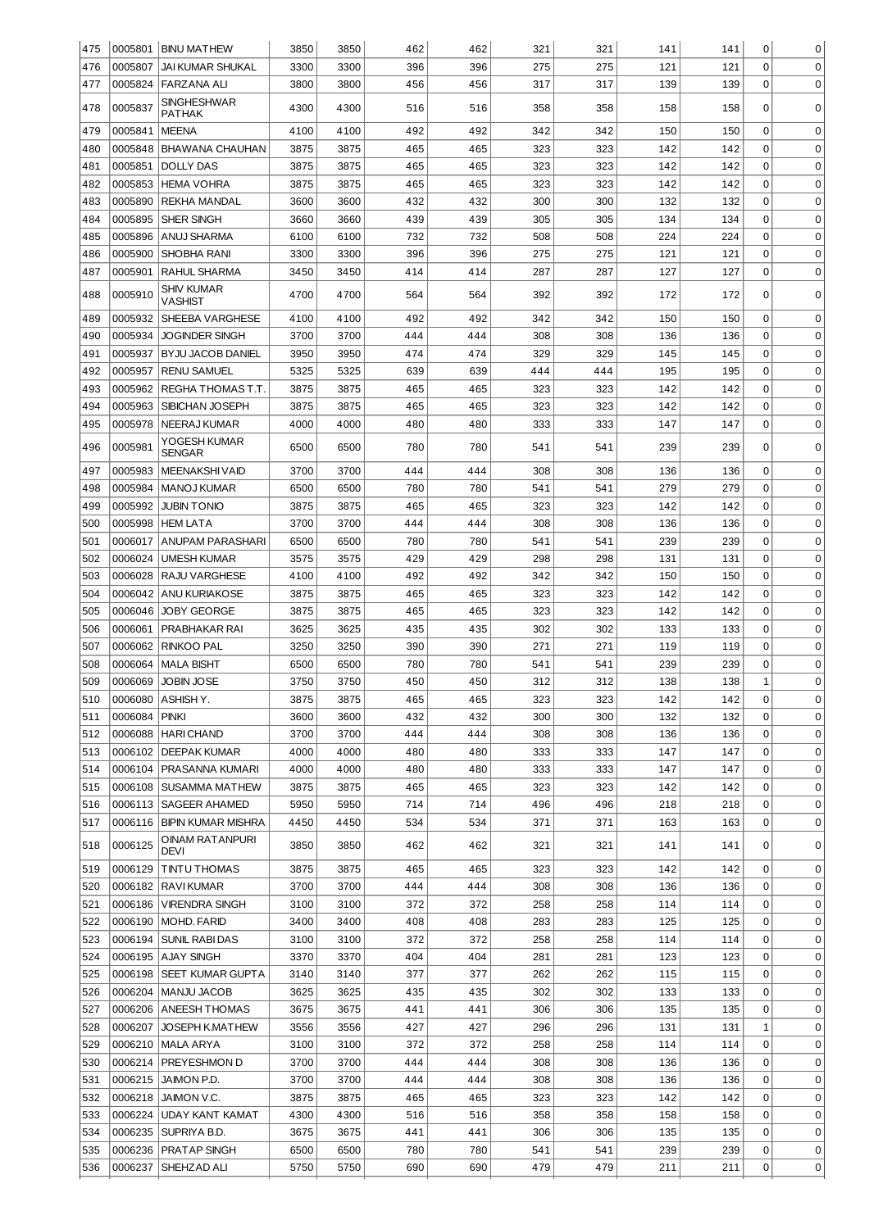| 475 |         | 0005801 BINU MATHEW           | 3850 | 3850 | 462 | 462 | 321 | 321 | 141 | 141 | 0           | 0           |
|-----|---------|-------------------------------|------|------|-----|-----|-----|-----|-----|-----|-------------|-------------|
| 476 | 0005807 | <b>JAI KUMAR SHUKAL</b>       | 3300 | 3300 | 396 | 396 | 275 | 275 | 121 | 121 | $\Omega$    | $\mathbf 0$ |
| 477 | 0005824 | <b>FARZANA ALI</b>            | 3800 | 3800 | 456 | 456 | 317 | 317 | 139 | 139 | $\mathbf 0$ | $\mathbf 0$ |
| 478 | 0005837 | <b>SINGHESHWAR</b>            | 4300 | 4300 | 516 | 516 | 358 | 358 | 158 | 158 | 0           | 0           |
|     |         | <b>PATHAK</b>                 |      |      |     |     |     |     |     |     |             |             |
| 479 | 0005841 | <b>MEENA</b>                  | 4100 | 4100 | 492 | 492 | 342 | 342 | 150 | 150 | 0           | 0           |
| 480 | 0005848 | <b>BHAWANA CHAUHAN</b>        | 3875 | 3875 | 465 | 465 | 323 | 323 | 142 | 142 | $\mathbf 0$ | 0           |
| 481 | 0005851 | <b>DOLLY DAS</b>              | 3875 | 3875 | 465 | 465 | 323 | 323 | 142 | 142 | 0           | 0           |
| 482 | 0005853 | <b>HEMA VOHRA</b>             | 3875 | 3875 | 465 | 465 | 323 | 323 | 142 | 142 | 0           | 0           |
| 483 | 0005890 | <b>REKHA MANDAL</b>           | 3600 | 3600 | 432 | 432 | 300 | 300 | 132 | 132 | 0           | 0           |
| 484 | 0005895 | SHER SINGH                    | 3660 | 3660 | 439 | 439 | 305 | 305 | 134 | 134 | 0           | 0           |
| 485 | 0005896 | ANUJ SHARMA                   | 6100 | 6100 | 732 | 732 | 508 | 508 | 224 | 224 | 0           | $\mathbf 0$ |
| 486 | 0005900 | SHOBHA RANI                   | 3300 | 3300 | 396 | 396 | 275 | 275 | 121 | 121 | 0           | $\mathbf 0$ |
| 487 | 0005901 | RAHUL SHARMA                  | 3450 | 3450 | 414 | 414 | 287 | 287 | 127 | 127 | $\mathbf 0$ | 0           |
| 488 | 0005910 | <b>SHIV KUMAR</b><br>VASHIST  | 4700 | 4700 | 564 | 564 | 392 | 392 | 172 | 172 | 0           | 0           |
| 489 | 0005932 | SHEEBA VARGHESE               | 4100 | 4100 | 492 | 492 | 342 | 342 | 150 | 150 | 0           | $\mathbf 0$ |
| 490 | 0005934 | <b>JOGINDER SINGH</b>         | 3700 | 3700 | 444 | 444 | 308 | 308 | 136 | 136 | 0           | $\mathbf 0$ |
| 491 | 0005937 | BYJU JACOB DANIEL             | 3950 | 3950 | 474 | 474 | 329 | 329 | 145 | 145 | 0           | $\mathbf 0$ |
| 492 | 0005957 | <b>RENU SAMUEL</b>            | 5325 | 5325 | 639 | 639 | 444 | 444 | 195 | 195 | 0           | 0           |
| 493 | 0005962 | REGHA THOMAS T.T.             | 3875 | 3875 | 465 | 465 | 323 | 323 | 142 | 142 | 0           | 0           |
| 494 | 0005963 | SIBICHAN JOSEPH               | 3875 | 3875 | 465 | 465 | 323 | 323 | 142 | 142 | 0           | 0           |
| 495 | 0005978 | <b>NEERAJ KUMAR</b>           | 4000 | 4000 | 480 | 480 | 333 | 333 | 147 | 147 | 0           | $\mathbf 0$ |
| 496 | 0005981 | YOGESH KUMAR<br><b>SENGAR</b> | 6500 | 6500 | 780 | 780 | 541 | 541 | 239 | 239 | 0           | 0           |
| 497 | 0005983 | <b>MEENAKSHIVAID</b>          | 3700 | 3700 | 444 | 444 | 308 | 308 | 136 | 136 | $\mathbf 0$ | 0           |
| 498 | 0005984 | <b>MANOJ KUMAR</b>            | 6500 | 6500 | 780 | 780 | 541 | 541 | 279 | 279 | 0           | 0           |
| 499 | 0005992 | <b>JUBIN TONIO</b>            | 3875 | 3875 | 465 | 465 | 323 | 323 | 142 | 142 | 0           | 0           |
| 500 | 0005998 | <b>HEM LATA</b>               | 3700 | 3700 | 444 | 444 | 308 | 308 | 136 | 136 | 0           | 0           |
| 501 | 0006017 | ANUPAM PARASHARI              | 6500 | 6500 | 780 | 780 | 541 | 541 | 239 | 239 | 0           | 0           |
| 502 | 0006024 | UMESH KUMAR                   | 3575 | 3575 | 429 | 429 | 298 | 298 | 131 | 131 | 0           | 0           |
| 503 | 0006028 | <b>RAJU VARGHESE</b>          | 4100 | 4100 | 492 | 492 | 342 | 342 | 150 | 150 | 0           | 0           |
| 504 | 0006042 | ANU KURIAKOSE                 | 3875 | 3875 | 465 | 465 | 323 | 323 | 142 | 142 | 0           | $\mathbf 0$ |
| 505 | 0006046 | <b>JOBY GEORGE</b>            | 3875 | 3875 | 465 | 465 | 323 | 323 | 142 | 142 | 0           | $\mathbf 0$ |
| 506 | 0006061 | PRABHAKAR RAI                 | 3625 | 3625 | 435 | 435 | 302 | 302 | 133 | 133 | 0           | $\mathbf 0$ |
| 507 | 0006062 | <b>RINKOO PAL</b>             | 3250 | 3250 | 390 | 390 | 271 | 271 | 119 | 119 | 0           | $\mathbf 0$ |
| 508 | 0006064 | <b>MALA BISHT</b>             | 6500 | 6500 | 780 | 780 | 541 | 541 | 239 | 239 | 0           | 0           |
| 509 | 0006069 | JOBIN JOSE                    | 3750 | 3750 | 450 | 450 | 312 | 312 | 138 | 138 | 1           | $\mathbf 0$ |
| 510 |         | 0006080   ASHISH Y.           | 3875 | 3875 | 465 | 465 | 323 | 323 | 142 | 142 | 0           | 0           |
| 511 | 0006084 | <b>PINKI</b>                  | 3600 | 3600 | 432 | 432 | 300 | 300 | 132 | 132 | 0           | 0           |
| 512 | 0006088 | <b>HARI CHAND</b>             | 3700 | 3700 | 444 | 444 | 308 | 308 | 136 | 136 | 0           | 0           |
| 513 | 0006102 | <b>DEEPAK KUMAR</b>           | 4000 | 4000 | 480 | 480 | 333 | 333 | 147 | 147 | 0           | 0           |
| 514 | 0006104 | PRASANNA KUMARI               | 4000 | 4000 | 480 | 480 | 333 | 333 | 147 | 147 | 0           | 0           |
| 515 | 0006108 | <b>SUSAMMA MATHEW</b>         | 3875 | 3875 | 465 | 465 | 323 | 323 | 142 | 142 | 0           | 0           |
| 516 | 0006113 | <b>SAGEER AHAMED</b>          | 5950 | 5950 | 714 | 714 | 496 | 496 | 218 | 218 | 0           | 0           |
| 517 | 0006116 | <b>BIPIN KUMAR MISHRA</b>     | 4450 | 4450 | 534 | 534 | 371 | 371 | 163 | 163 | 0           | 0           |
| 518 | 0006125 | OINAM RATANPURI<br>DEVI       | 3850 | 3850 | 462 | 462 | 321 | 321 | 141 | 141 | 0           | $\mathbf 0$ |
| 519 | 0006129 | <b>TINTU THOMAS</b>           | 3875 | 3875 | 465 | 465 | 323 | 323 | 142 | 142 | 0           | 0           |
| 520 | 0006182 | <b>RAVIKUMAR</b>              | 3700 | 3700 | 444 | 444 | 308 | 308 | 136 | 136 | 0           | $\mathbf 0$ |
| 521 | 0006186 | <b>VIRENDRA SINGH</b>         | 3100 | 3100 | 372 | 372 | 258 | 258 | 114 | 114 | 0           | $\mathbf 0$ |
| 522 | 0006190 | MOHD. FARID                   | 3400 | 3400 | 408 | 408 | 283 | 283 | 125 | 125 | 0           | $\mathbf 0$ |
| 523 | 0006194 | <b>SUNIL RABI DAS</b>         | 3100 | 3100 | 372 | 372 | 258 | 258 | 114 | 114 | 0           | 0           |
| 524 |         | 0006195   AJAY SINGH          | 3370 | 3370 | 404 | 404 | 281 | 281 | 123 | 123 | 0           | 0           |
| 525 | 0006198 | <b>SEET KUMAR GUPTA</b>       | 3140 | 3140 | 377 | 377 | 262 | 262 | 115 | 115 | 0           | 0           |
| 526 | 0006204 | MANJU JACOB                   | 3625 | 3625 | 435 | 435 | 302 | 302 | 133 | 133 | 0           | 0           |
| 527 | 0006206 | <b>ANEESH THOMAS</b>          | 3675 | 3675 | 441 | 441 | 306 | 306 | 135 | 135 | 0           | 0           |
| 528 | 0006207 | <b>JOSEPH K.MATHEW</b>        | 3556 | 3556 | 427 | 427 | 296 | 296 | 131 | 131 | 1           | 0           |
| 529 | 0006210 | MALA ARYA                     | 3100 | 3100 | 372 | 372 | 258 | 258 | 114 | 114 | 0           | 0           |
| 530 | 0006214 | PREYESHMON D                  | 3700 | 3700 | 444 | 444 | 308 | 308 | 136 | 136 | 0           | 0           |
| 531 | 0006215 | JAIMON P.D.                   | 3700 | 3700 | 444 | 444 | 308 | 308 | 136 | 136 | 0           | 0           |
| 532 | 0006218 | JAIMON V.C.                   | 3875 | 3875 | 465 | 465 | 323 | 323 | 142 | 142 | 0           | 0           |
| 533 | 0006224 | <b>UDAY KANT KAMAT</b>        | 4300 | 4300 | 516 | 516 | 358 | 358 | 158 | 158 | 0           | 0           |
| 534 |         | 0006235   SUPRIYA B.D.        | 3675 | 3675 | 441 | 441 | 306 | 306 | 135 | 135 | 0           | 0           |
| 535 | 0006236 | <b>PRATAP SINGH</b>           | 6500 | 6500 | 780 | 780 | 541 | 541 | 239 | 239 | 0           | 0           |
| 536 | 0006237 | SHEHZAD ALI                   | 5750 | 5750 | 690 | 690 | 479 | 479 | 211 | 211 | 0           | 0           |
|     |         |                               |      |      |     |     |     |     |     |     |             |             |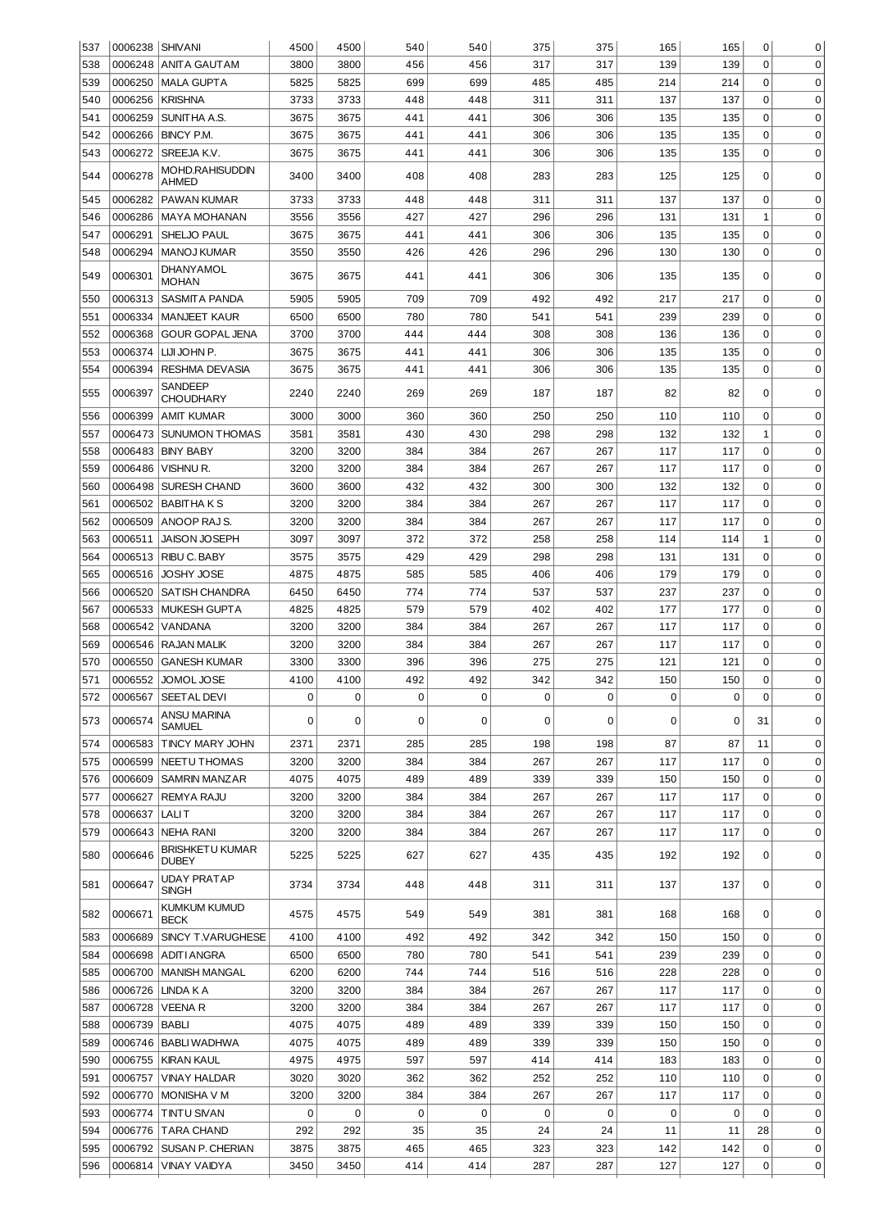| 537 | 0006238 SHIVANI |                                        | 4500 | 4500 | 540 | 540 | 375 | 375 | 165 | 165 | 0           | 0           |
|-----|-----------------|----------------------------------------|------|------|-----|-----|-----|-----|-----|-----|-------------|-------------|
| 538 | 0006248         | IANITA GAUTAM                          | 3800 | 3800 | 456 | 456 | 317 | 317 | 139 | 139 | 0           | $\mathbf 0$ |
| 539 |                 | 0006250 MALA GUPTA                     | 5825 | 5825 | 699 | 699 | 485 | 485 | 214 | 214 | $\mathbf 0$ | $\mathbf 0$ |
| 540 | 0006256         | KRISHNA                                | 3733 | 3733 | 448 | 448 | 311 | 311 | 137 | 137 | $\mathbf 0$ | 0           |
| 541 | 0006259         | SUNITHA A.S.                           | 3675 | 3675 | 441 | 441 | 306 | 306 | 135 | 135 | $\mathbf 0$ | 0           |
| 542 | 0006266         | BINCY P.M.                             | 3675 | 3675 | 441 | 441 | 306 | 306 | 135 | 135 | $\mathbf 0$ | 0           |
| 543 | 0006272         | SREEJA K.V.                            | 3675 | 3675 | 441 | 441 | 306 | 306 | 135 | 135 | $\mathbf 0$ | $\Omega$    |
| 544 | 0006278         | <b>MOHD.RAHISUDDIN</b><br><b>AHMED</b> | 3400 | 3400 | 408 | 408 | 283 | 283 | 125 | 125 | 0           | 0           |
| 545 | 0006282         | <b>PAWAN KUMAR</b>                     | 3733 | 3733 | 448 | 448 | 311 | 311 | 137 | 137 | 0           | $\mathbf 0$ |
| 546 | 0006286         | <b>MAYA MOHANAN</b>                    | 3556 | 3556 | 427 | 427 | 296 | 296 | 131 | 131 | 1           | $\mathbf 0$ |
| 547 | 0006291         | SHELJO PAUL                            | 3675 | 3675 | 441 | 441 | 306 | 306 | 135 | 135 | 0           | $\mathbf 0$ |
| 548 | 0006294         | <b>MANOJ KUMAR</b>                     | 3550 | 3550 | 426 | 426 | 296 | 296 | 130 | 130 | 0           | $\mathbf 0$ |
| 549 | 0006301         | DHANYAMOL<br><b>MOHAN</b>              | 3675 | 3675 | 441 | 441 | 306 | 306 | 135 | 135 | 0           | $\mathbf 0$ |
| 550 | 0006313         | <b>SASMITA PANDA</b>                   | 5905 | 5905 | 709 | 709 | 492 | 492 | 217 | 217 | $\mathbf 0$ | $\mathbf 0$ |
| 551 | 0006334         | <b>MANJEET KAUR</b>                    | 6500 | 6500 | 780 | 780 | 541 | 541 | 239 | 239 | $\mathbf 0$ | $\mathbf 0$ |
| 552 | 0006368         | <b>GOUR GOPAL JENA</b>                 | 3700 | 3700 | 444 | 444 | 308 | 308 | 136 | 136 | $\mathbf 0$ | $\mathbf 0$ |
| 553 | 0006374         | LIJI JOHN P.                           | 3675 | 3675 | 441 | 441 | 306 | 306 | 135 | 135 | $\mathbf 0$ | $\mathbf 0$ |
| 554 | 0006394         | <b>RESHMA DEVASIA</b>                  | 3675 | 3675 | 441 | 441 | 306 | 306 | 135 | 135 | $\mathbf 0$ | $\mathbf 0$ |
| 555 | 0006397         | SANDEEP<br><b>CHOUDHARY</b>            | 2240 | 2240 | 269 | 269 | 187 | 187 | 82  | 82  | 0           | $\Omega$    |
| 556 | 0006399         | <b>AMIT KUMAR</b>                      | 3000 | 3000 | 360 | 360 | 250 | 250 | 110 | 110 | 0           | $\mathbf 0$ |
| 557 | 0006473         | <b>SUNUMON THOMAS</b>                  | 3581 | 3581 | 430 | 430 | 298 | 298 | 132 | 132 | 1           | 0           |
| 558 | 0006483         | <b>BINY BABY</b>                       | 3200 | 3200 | 384 | 384 | 267 | 267 | 117 | 117 | $\mathbf 0$ | 0           |
| 559 | 0006486         | VISHNU R.                              | 3200 | 3200 | 384 | 384 | 267 | 267 | 117 | 117 | $\mathbf 0$ | 0           |
| 560 | 0006498         | <b>SURESH CHAND</b>                    | 3600 | 3600 | 432 | 432 | 300 | 300 | 132 | 132 | $\mathbf 0$ | 0           |
| 561 | 0006502         | BABITHA K S                            | 3200 | 3200 | 384 | 384 | 267 | 267 | 117 | 117 | $\mathbf 0$ | 0           |
| 562 | 0006509         | ANOOP RAJS.                            | 3200 | 3200 | 384 | 384 | 267 | 267 | 117 | 117 | $\mathbf 0$ | 0           |
| 563 | 0006511         | <b>JAISON JOSEPH</b>                   | 3097 | 3097 | 372 | 372 | 258 | 258 | 114 | 114 | 1           | 0           |
| 564 | 0006513         | <b>RIBU C. BABY</b>                    | 3575 | 3575 | 429 | 429 | 298 | 298 | 131 | 131 | $\mathbf 0$ | 0           |
| 565 | 0006516         | JOSHY JOSE                             | 4875 | 4875 | 585 | 585 | 406 | 406 | 179 | 179 | $\mathbf 0$ | $\mathbf 0$ |
| 566 | 0006520         | <b>SATISH CHANDRA</b>                  | 6450 | 6450 | 774 | 774 | 537 | 537 | 237 | 237 | 0           | $\mathbf 0$ |
| 567 | 0006533         | <b>MUKESH GUPTA</b>                    | 4825 | 4825 | 579 | 579 | 402 | 402 | 177 | 177 | 0           | $\mathbf 0$ |
| 568 | 0006542         | VANDANA                                | 3200 | 3200 | 384 | 384 | 267 | 267 | 117 | 117 | 0           | $\mathbf 0$ |
| 569 | 0006546         | <b>RAJAN MALIK</b>                     | 3200 | 3200 | 384 | 384 | 267 | 267 | 117 | 117 | 0           | $\mathbf 0$ |
| 570 | 0006550         | <b>GANESH KUMAR</b>                    | 3300 | 3300 | 396 | 396 | 275 | 275 | 121 | 121 | 0           | $\mathbf 0$ |
| 571 | 0006552         | JOMOL JOSE                             | 4100 | 4100 | 492 | 492 | 342 | 342 | 150 | 150 | 0           | 0           |
| 572 |                 | 0006567 SEET AL DEVI                   | U    | U    | U   | U   | U   | U   | U   | U   | U           | U           |
| 573 | 0006574         | ANSU MARINA<br>SAMUEL                  | 0    | 0    | 0   | 0   | 0   | 0   | 0   | 0   | 31          | 0           |
| 574 |                 | 0006583   TINCY MARY JOHN              | 2371 | 2371 | 285 | 285 | 198 | 198 | 87  | 87  | 11          | 0           |
| 575 | 0006599         | NEETU THOMAS                           | 3200 | 3200 | 384 | 384 | 267 | 267 | 117 | 117 | 0           | 0           |
| 576 | 0006609         | <b>SAMRIN MANZAR</b>                   | 4075 | 4075 | 489 | 489 | 339 | 339 | 150 | 150 | 0           | 0           |
| 577 | 0006627         | REMYA RAJU                             | 3200 | 3200 | 384 | 384 | 267 | 267 | 117 | 117 | 0           | 0           |
| 578 | 0006637         | <b>LALIT</b>                           | 3200 | 3200 | 384 | 384 | 267 | 267 | 117 | 117 | 0           | 0           |
| 579 | 0006643         | NEHA RANI                              | 3200 | 3200 | 384 | 384 | 267 | 267 | 117 | 117 | 0           | 0           |
| 580 | 0006646         | <b>BRISHKETU KUMAR</b><br><b>DUBEY</b> | 5225 | 5225 | 627 | 627 | 435 | 435 | 192 | 192 | 0           | $\mathbf 0$ |
| 581 | 0006647         | UDAY PRATAP<br><b>SINGH</b>            | 3734 | 3734 | 448 | 448 | 311 | 311 | 137 | 137 | 0           | 0           |
| 582 | 0006671         | KUMKUM KUMUD<br><b>BECK</b>            | 4575 | 4575 | 549 | 549 | 381 | 381 | 168 | 168 | 0           | 0           |
| 583 | 0006689         | SINCY T.VARUGHESE                      | 4100 | 4100 | 492 | 492 | 342 | 342 | 150 | 150 | 0           | $\mathbf 0$ |
| 584 | 0006698         | <b>ADITI ANGRA</b>                     | 6500 | 6500 | 780 | 780 | 541 | 541 | 239 | 239 | 0           | 0           |
| 585 | 0006700         | <b>MANISH MANGAL</b>                   | 6200 | 6200 | 744 | 744 | 516 | 516 | 228 | 228 | 0           | $\mathbf 0$ |
| 586 | 0006726         | LINDA K A                              | 3200 | 3200 | 384 | 384 | 267 | 267 | 117 | 117 | 0           | $\mathbf 0$ |
| 587 | 0006728         | <b>VEENAR</b>                          | 3200 | 3200 | 384 | 384 | 267 | 267 | 117 | 117 | 0           | $\mathbf 0$ |
| 588 | 0006739         | BABLI                                  | 4075 | 4075 | 489 | 489 | 339 | 339 | 150 | 150 | 0           | $\mathbf 0$ |
| 589 |                 | 0006746   BABLI WADHWA                 | 4075 | 4075 | 489 | 489 | 339 | 339 | 150 | 150 | $\mathbf 0$ | $\pmb{0}$   |
| 590 | 0006755         | KIRAN KAUL                             | 4975 | 4975 | 597 | 597 | 414 | 414 | 183 | 183 | 0           | $\mathbf 0$ |
| 591 | 0006757         | <b>VINAY HALDAR</b>                    | 3020 | 3020 | 362 | 362 | 252 | 252 | 110 | 110 | 0           | $\mathbf 0$ |
| 592 | 0006770         | MONISHA V M                            | 3200 | 3200 | 384 | 384 | 267 | 267 | 117 | 117 | $\mathbf 0$ | $\mathbf 0$ |
| 593 | 0006774         | <b>TINTU SIVAN</b>                     | 0    | 0    | 0   | 0   | 0   | 0   | 0   | 0   | 0           | $\mathbf 0$ |
| 594 | 0006776         | <b>TARA CHAND</b>                      | 292  | 292  | 35  | 35  | 24  | 24  | 11  | 11  | 28          | $\mathbf 0$ |
| 595 | 0006792         | SUSAN P. CHERIAN                       | 3875 | 3875 | 465 | 465 | 323 | 323 | 142 | 142 | 0           | 0           |
| 596 | 0006814         | VINAY VAIDYA                           | 3450 | 3450 | 414 | 414 | 287 | 287 | 127 | 127 | 0           | 0           |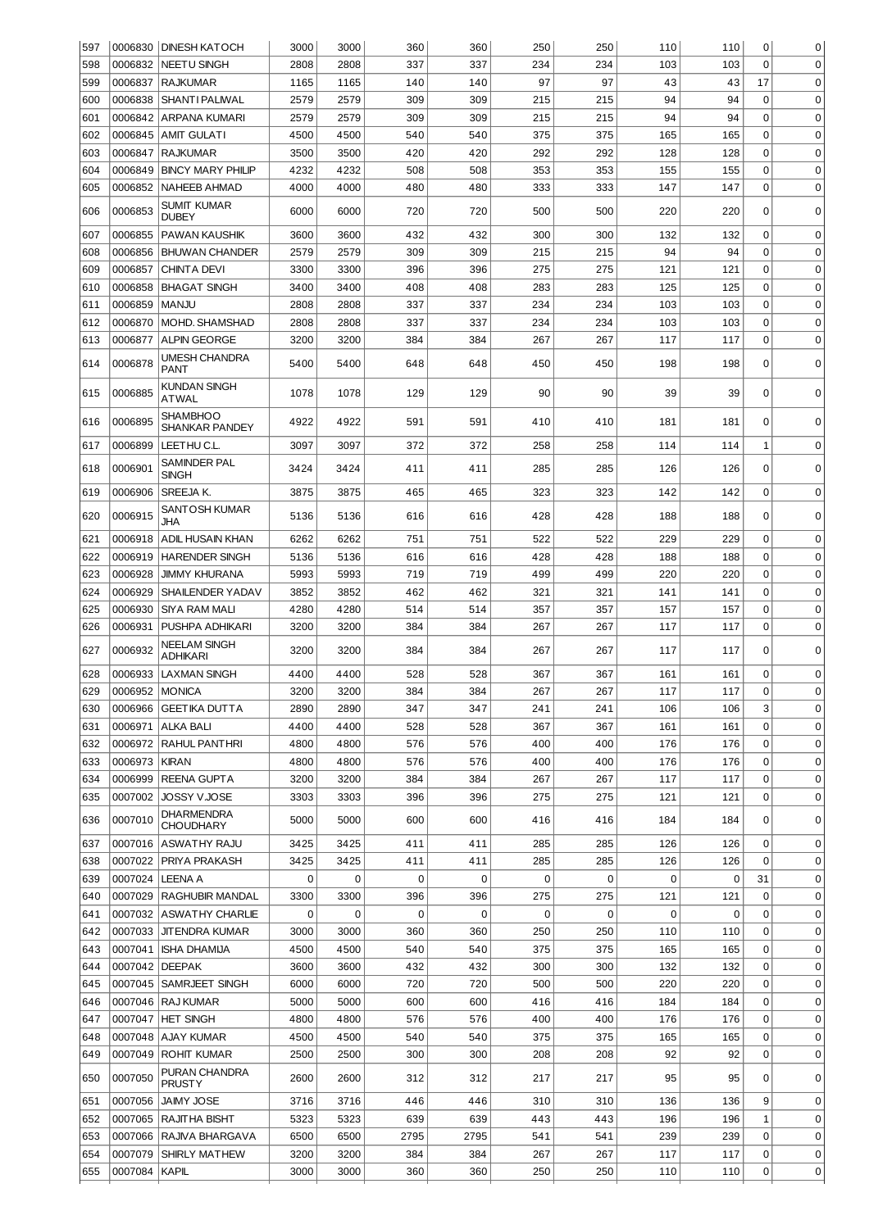| 597        |                   | 0006830   DINESH KATOCH                | 3000         | 3000         | 360                   | 360         | 250         | 250         | 110        | 110        | 0           | 0                |
|------------|-------------------|----------------------------------------|--------------|--------------|-----------------------|-------------|-------------|-------------|------------|------------|-------------|------------------|
| 598        | 0006832           | <b>NEETU SINGH</b>                     | 2808         | 2808         | 337                   | 337         | 234         | 234         | 103        | 103        | $\mathbf 0$ | 0                |
| 599        | 0006837           | <b>RAJKUMAR</b>                        | 1165         | 1165         | 140                   | 140         | 97          | 97          | 43         | 43         | 17          | $\mathbf 0$      |
| 600        | 0006838           | SHANT I PALIWAL                        | 2579         | 2579         | 309                   | 309         | 215         | 215         | 94         | 94         | 0           | $\mathbf 0$      |
| 601        |                   | 0006842 ARPANA KUMARI                  | 2579         | 2579         | 309                   | 309         | 215         | 215         | 94         | 94         | $\mathbf 0$ | $\mathbf 0$      |
| 602        |                   | 0006845 AMIT GULATI                    | 4500         | 4500         | 540                   | 540         | 375         | 375         | 165        | 165        | $\mathbf 0$ | $\mathbf 0$      |
| 603        | 0006847           | <b>RAJKUMAR</b>                        | 3500         | 3500         | 420                   | 420         | 292         | 292         | 128        | 128        | 0           | $\mathbf 0$      |
| 604        | 0006849           | <b>BINCY MARY PHILIP</b>               | 4232         | 4232         | 508                   | 508         | 353         | 353         | 155        | 155        | 0           | $\mathbf 0$      |
| 605        | 0006852           | <b>NAHEEB AHMAD</b>                    | 4000         | 4000         | 480                   | 480         | 333         | 333         | 147        | 147        | 0           | $\mathbf 0$      |
|            |                   | SUMIT KUMAR                            |              |              |                       |             |             |             |            |            |             |                  |
| 606        | 0006853           | <b>DUBEY</b>                           | 6000         | 6000         | 720                   | 720         | 500         | 500         | 220        | 220        | 0           | 0                |
| 607        | 0006855           | <b>PAWAN KAUSHIK</b>                   | 3600         | 3600         | 432                   | 432         | 300         | 300         | 132        | 132        | 0           | $\mathbf 0$      |
| 608        | 0006856           | <b>BHUWAN CHANDER</b>                  | 2579         | 2579         | 309                   | 309         | 215         | 215         | 94         | 94         | 0           | $\mathbf 0$      |
| 609        | 0006857           | <b>CHINTA DEVI</b>                     | 3300         | 3300         | 396                   | 396         | 275         | 275         | 121        | 121        | 0           | $\mathbf 0$      |
| 610        | 0006858           | <b>BHAGAT SINGH</b>                    | 3400         | 3400         | 408                   | 408         | 283         | 283         | 125        | 125        | 0           | $\mathbf 0$      |
| 611        | 0006859           | <b>MANJU</b>                           | 2808         | 2808         | 337                   | 337         | 234         | 234         | 103        | 103        | 0           | $\mathbf 0$      |
| 612        | 0006870           | MOHD. SHAMSHAD                         | 2808         | 2808         | 337                   | 337         | 234         | 234         | 103        | 103        | 0           | $\mathbf 0$      |
| 613        | 0006877           | <b>ALPIN GEORGE</b>                    | 3200         | 3200         | 384                   | 384         | 267         | 267         | 117        | 117        | 0           | $\mathbf 0$      |
|            |                   | UMESH CHANDRA                          |              |              |                       |             |             |             |            |            |             |                  |
| 614        | 0006878           | PANT                                   | 5400         | 5400         | 648                   | 648         | 450         | 450         | 198        | 198        | $\Omega$    | 0                |
| 615        | 0006885           | <b>KUNDAN SINGH</b><br><b>ATWAL</b>    | 1078         | 1078         | 129                   | 129         | 90          | 90          | 39         | 39         | 0           | 0                |
| 616        | 0006895           | SHAMBHOO<br>SHANKAR PANDEY             | 4922         | 4922         | 591                   | 591         | 410         | 410         | 181        | 181        | 0           | 0                |
| 617        | 0006899           | LEET HU C.L.                           | 3097         | 3097         | 372                   | 372         | 258         | 258         | 114        | 114        | 1           | $\mathbf 0$      |
| 618        | 0006901           | SAMINDER PAL<br><b>SINGH</b>           | 3424         | 3424         | 411                   | 411         | 285         | 285         | 126        | 126        | 0           | 0                |
| 619        | 0006906           | SREEJA K.                              | 3875         | 3875         | 465                   | 465         | 323         | 323         | 142        | 142        | $\mathbf 0$ | $\mathbf 0$      |
| 620        | 0006915           | <b>SANTOSH KUMAR</b><br>JHA            | 5136         | 5136         | 616                   | 616         | 428         | 428         | 188        | 188        | 0           | $\mathbf 0$      |
| 621        | 0006918           | <b>ADIL HUSAIN KHAN</b>                | 6262         | 6262         | 751                   | 751         | 522         | 522         | 229        | 229        | 0           | $\mathbf 0$      |
| 622        | 0006919           | <b>HARENDER SINGH</b>                  | 5136         | 5136         | 616                   | 616         | 428         | 428         | 188        | 188        | $\Omega$    | $\mathbf 0$      |
| 623        | 0006928           | <b>JIMMY KHURANA</b>                   | 5993         | 5993         | 719                   | 719         | 499         | 499         | 220        | 220        | $\mathbf 0$ | $\mathbf 0$      |
| 624        | 0006929           | SHAILENDER YADAV                       | 3852         | 3852         | 462                   | 462         | 321         | 321         | 141        | 141        | 0           | $\mathbf 0$      |
| 625        | 0006930           | <b>SIYA RAM MALI</b>                   | 4280         | 4280         | 514                   | 514         | 357         | 357         | 157        | 157        | 0           | $\mathbf 0$      |
| 626        | 0006931           | PUSHPA ADHIKARI                        | 3200         | 3200         | 384                   | 384         | 267         | 267         | 117        | 117        | 0           | $\mathbf 0$      |
| 627        | 0006932           | NEELAM SINGH                           | 3200         | 3200         | 384                   | 384         | 267         | 267         | 117        | 117        | 0           | 0                |
| 628        | 0006933           | <b>ADHIKARI</b><br><b>LAXMAN SINGH</b> | 4400         | 4400         | 528                   | 528         | 367         | 367         | 161        | 161        | 0           | $\mathbf 0$      |
| 629        | 0006952 MONICA    |                                        | 3200         | 3200         | 384                   | 384         | 267         | 267         | 117        | 117        | $\Omega$    | $\Omega$         |
| 630        |                   | 0006966 GEETIKA DUTTA                  | 2890         | 2890         | 347                   | 347         | 241         | 241         | 106        | 106        | 3           | 0                |
| 631        | 0006971           | ALKA BALI                              | 4400         | 4400         | 528                   | 528         | 367         | 367         | 161        | 161        | 0           | 0                |
| 632        |                   | 0006972 RAHUL PANTHRI                  | 4800         | 4800         | 576                   | 576         | 400         | 400         | 176        | 176        | 0           | 0                |
| 633        | 0006973           | KIRAN                                  | 4800         | 4800         | 576                   | 576         | 400         | 400         | 176        | 176        | 0           | 0                |
|            |                   |                                        |              |              |                       |             |             |             |            |            |             |                  |
| 634        | 0006999           | <b>REENA GUPTA</b>                     | 3200         | 3200         | 384                   | 384         | 267         | 267         | 117        | 117        | 0           | 0                |
| 635        | 0007002           | JOSSY VJOSE<br><b>DHARMENDRA</b>       | 3303         | 3303         | 396                   | 396         | 275         | 275         | 121        | 121        | 0           | 0                |
| 636<br>637 | 0007010           | CHOUDHARY<br>0007016 ASWATHY RAJU      | 5000<br>3425 | 5000<br>3425 | 600<br>411            | 600<br>411  | 416<br>285  | 416<br>285  | 184<br>126 | 184<br>126 | 0<br>0      | $\mathbf 0$<br>0 |
|            |                   |                                        |              |              |                       |             |             |             |            |            |             |                  |
| 638        |                   | 0007022 PRIYA PRAKASH                  | 3425         | 3425         | 411<br>$\overline{0}$ | 411         | 285         | 285         | 126        | 126        | 0           | $\mathbf 0$      |
| 639        | 0007024   LEENA A |                                        | 0            | $\mathbf 0$  |                       | $\mathbf 0$ | $\mathbf 0$ | 0           | 0          | 0          | 31          | $\mathbf 0$      |
| 640        |                   | 0007029   RAGHUBIR MANDAL              | 3300         | 3300         | 396                   | 396         | 275         | 275         | 121        | 121        | 0           | $\mathbf 0$      |
| 641        |                   | 0007032 ASWATHY CHARLIE                | 0            | $\mathbf 0$  | 0                     | $\mathbf 0$ | $\mathbf 0$ | $\mathbf 0$ | 0          | 0          | 0           | $\mathbf 0$      |
| 642        |                   | 0007033 JJTENDRA KUMAR                 | 3000         | 3000         | 360                   | 360         | 250         | 250         | 110        | 110        | 0           | $\mathbf 0$      |
| 643        |                   | 0007041   ISHA DHAMIJA                 | 4500         | 4500         | 540                   | 540         | 375         | 375         | 165        | 165        | 0           | $\mathbf 0$      |
| 644        | 0007042   DEEPAK  |                                        | 3600         | 3600         | 432                   | 432         | 300         | 300         | 132        | 132        | 0           | 0                |
| 645        |                   | 0007045   SAMRJEET SINGH               | 6000         | 6000         | 720                   | 720         | 500         | 500         | 220        | 220        | 0           | $\mathbf 0$      |
| 646        |                   | 0007046 RAJ KUMAR                      | 5000         | 5000         | 600                   | 600         | 416         | 416         | 184        | 184        | 0           | $\mathbf 0$      |
| 647        |                   | 0007047 HET SINGH                      | 4800         | 4800         | 576                   | 576         | 400         | 400         | 176        | 176        | 0           | $\mathbf 0$      |
| 648        |                   | 0007048 AJAY KUMAR                     | 4500         | 4500         | 540                   | 540         | 375         | 375         | 165        | 165        | 0           | $\mathbf 0$      |
| 649        |                   | 0007049 ROHIT KUMAR<br>PURAN CHANDRA   | 2500         | 2500         | 300                   | 300         | 208         | 208         | 92         | 92         | $\mathbf 0$ | $\mathbf 0$      |
| 650        | 0007050           | <b>PRUSTY</b>                          | 2600         | 2600         | 312                   | 312         | 217         | 217         | 95         | 95         | 0           | 0                |
| 651        |                   | 0007056 JAIMY JOSE                     | 3716         | 3716         | 446                   | 446         | 310         | 310         | 136        | 136        | 9           | $\mathbf 0$      |
| 652        |                   | 0007065 RAJITHA BISHT                  | 5323         | 5323         | 639                   | 639         | 443         | 443         | 196        | 196        | 1           | $\mathbf 0$      |
| 653        |                   | 0007066 RAJIVA BHARGAVA                | 6500         | 6500         | 2795                  | 2795        | 541         | 541         | 239        | 239        | $\mathbf 0$ | $\mathbf 0$      |
| 654        | 0007079           | SHIRLY MATHEW                          | 3200         | 3200         | 384                   | 384         | 267         | 267         | 117        | 117        | 0           | 0                |
| 655        | 0007084   KAPIL   |                                        | 3000         | 3000         | 360                   | 360         | 250         | 250         | 110        | 110        | 0           | $\pmb{0}$        |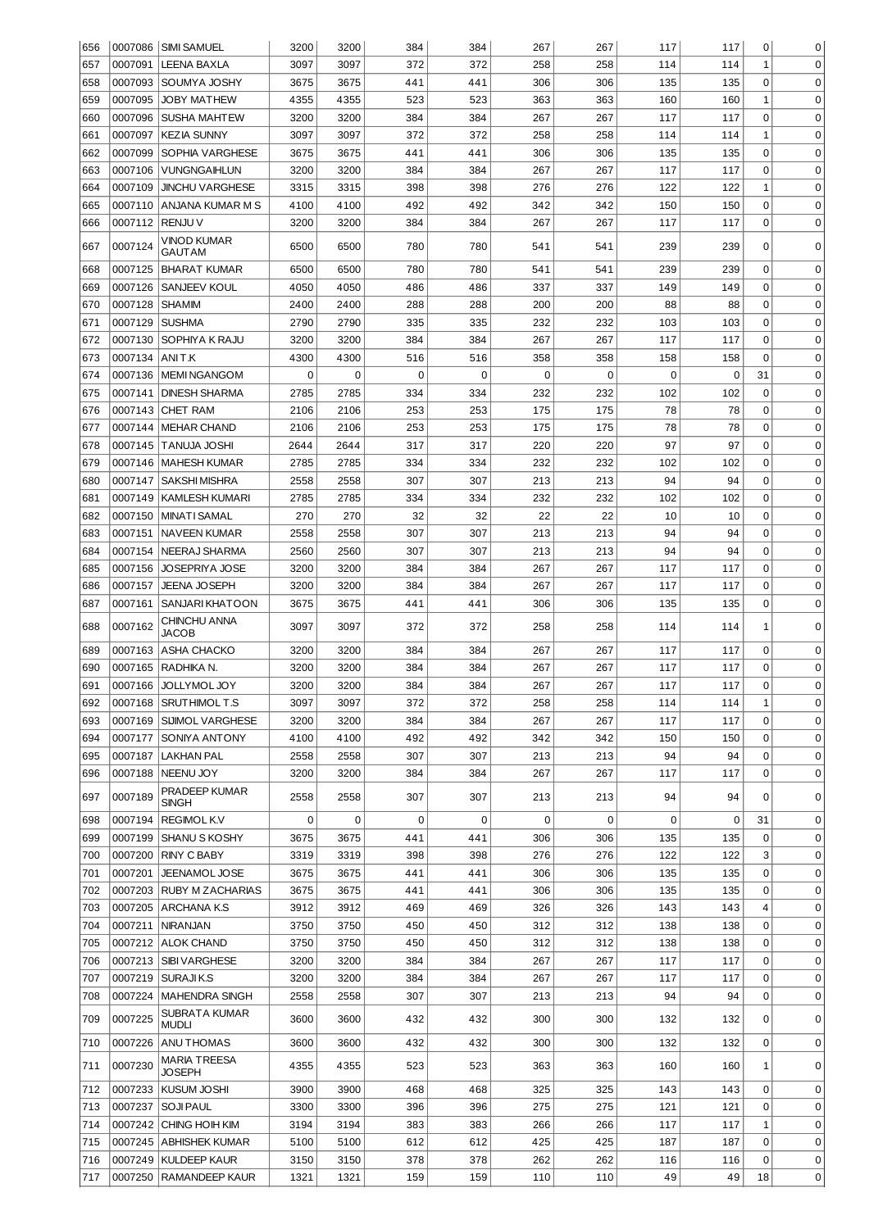| 656 |                   | 0007086 SIMI SAMUEL                  | 3200        | 3200 | 384         | 384         | 267 | 267 | 117 | 117 | 0            | 0           |
|-----|-------------------|--------------------------------------|-------------|------|-------------|-------------|-----|-----|-----|-----|--------------|-------------|
| 657 | 0007091           | <b>LEENA BAXLA</b>                   | 3097        | 3097 | 372         | 372         | 258 | 258 | 114 | 114 | $\mathbf{1}$ | $\mathbf 0$ |
| 658 |                   | 0007093 SOUMYA JOSHY                 | 3675        | 3675 | 441         | 441         | 306 | 306 | 135 | 135 | $\mathbf 0$  | $\mathbf 0$ |
| 659 | 0007095           | <b>JOBY MATHEW</b>                   | 4355        | 4355 | 523         | 523         | 363 | 363 | 160 | 160 | $\mathbf{1}$ | $\mathbf 0$ |
| 660 | 0007096           | <b>SUSHA MAHTEW</b>                  | 3200        | 3200 | 384         | 384         | 267 | 267 | 117 | 117 | $\mathbf 0$  | 0           |
| 661 | 0007097           | KEZIA SUNNY                          | 3097        | 3097 | 372         | 372         | 258 | 258 | 114 | 114 | $\mathbf{1}$ | 0           |
| 662 | 0007099           | <b>SOPHIA VARGHESE</b>               | 3675        | 3675 | 441         | 441         | 306 | 306 | 135 | 135 | $\mathbf 0$  | 0           |
| 663 | 0007106           | VUNGNGAIHLUN                         | 3200        | 3200 | 384         | 384         | 267 | 267 | 117 | 117 | $\mathbf 0$  | 0           |
| 664 | 0007109           | <b>JINCHU VARGHESE</b>               | 3315        | 3315 | 398         | 398         | 276 | 276 | 122 | 122 | $\mathbf{1}$ | 0           |
| 665 |                   | 0007110 ANJANA KUMAR M S             | 4100        | 4100 | 492         | 492         | 342 | 342 | 150 | 150 | $\mathbf 0$  | 0           |
| 666 | 0007112   RENJU V |                                      | 3200        | 3200 | 384         | 384         | 267 | 267 | 117 | 117 | $\mathbf 0$  | 0           |
| 667 | 0007124           | VINOD KUMAR<br>GAUTAM                | 6500        | 6500 | 780         | 780         | 541 | 541 | 239 | 239 | 0            | 0           |
| 668 | 0007125           | <b>BHARAT KUMAR</b>                  | 6500        | 6500 | 780         | 780         | 541 | 541 | 239 | 239 | 0            | $\mathbf 0$ |
| 669 | 0007126           | SANJEEV KOUL                         | 4050        | 4050 | 486         | 486         | 337 | 337 | 149 | 149 | 0            | $\mathbf 0$ |
| 670 | 0007128           | <b>SHAMIM</b>                        | 2400        | 2400 | 288         | 288         | 200 | 200 | 88  | 88  | 0            | $\mathbf 0$ |
| 671 | 0007129           | <b>SUSHMA</b>                        | 2790        | 2790 | 335         | 335         | 232 | 232 | 103 | 103 | 0            | $\mathbf 0$ |
| 672 | 0007130           | SOPHIYA K RAJU                       | 3200        | 3200 | 384         | 384         | 267 | 267 | 117 | 117 | $\mathbf 0$  | $\mathbf 0$ |
| 673 | 0007134           | ANIT.K                               | 4300        | 4300 | 516         | 516         | 358 | 358 | 158 | 158 | 0            | $\mathbf 0$ |
| 674 | 0007136           | <b>IMEMINGANGOM</b>                  | $\mathbf 0$ | 0    | $\mathbf 0$ | $\mathbf 0$ | 0   | 0   | 0   | 0   | 31           | $\mathbf 0$ |
| 675 | 0007141           | DINESH SHARMA                        | 2785        | 2785 | 334         | 334         | 232 | 232 | 102 | 102 | 0            | $\mathbf 0$ |
| 676 |                   | 0007143 CHET RAM                     | 2106        | 2106 | 253         | 253         | 175 | 175 | 78  | 78  | 0            | $\mathbf 0$ |
| 677 | 0007144           | MEHAR CHAND                          | 2106        | 2106 | 253         | 253         | 175 | 175 | 78  | 78  | 0            | $\mathbf 0$ |
| 678 |                   | 0007145   TANUJA JOSHI               | 2644        | 2644 | 317         | 317         | 220 | 220 | 97  | 97  | 0            | $\mathbf 0$ |
| 679 | 0007146           | MAHESH KUMAR                         | 2785        | 2785 | 334         | 334         | 232 | 232 | 102 | 102 | 0            | $\mathbf 0$ |
|     |                   |                                      |             |      |             |             |     |     | 94  | 94  | 0            | $\mathbf 0$ |
| 680 |                   | 0007147   SAKSHI MISHRA              | 2558        | 2558 | 307         | 307         | 213 | 213 |     |     |              |             |
| 681 |                   | 0007149   KAMLESH KUMARI             | 2785        | 2785 | 334         | 334         | 232 | 232 | 102 | 102 | 0            | $\mathbf 0$ |
| 682 | 0007150           | <b>MINATI SAMAL</b>                  | 270         | 270  | 32          | 32          | 22  | 22  | 10  | 10  | 0            | 0           |
| 683 | 0007151           | <b>NAVEEN KUMAR</b>                  | 2558        | 2558 | 307         | 307         | 213 | 213 | 94  | 94  | $\mathbf 0$  | $\mathbf 0$ |
| 684 | 0007154           | NEERAJ SHARMA                        | 2560        | 2560 | 307         | 307         | 213 | 213 | 94  | 94  | 0            | 0           |
| 685 | 0007156           | JOSEPRIYA JOSE                       | 3200        | 3200 | 384         | 384         | 267 | 267 | 117 | 117 | 0            | 0           |
| 686 | 0007157           | <b>JEENA JOSEPH</b>                  | 3200        | 3200 | 384         | 384         | 267 | 267 | 117 | 117 | 0            | 0           |
| 687 | 0007161           | SANJARI KHATOON                      | 3675        | 3675 | 441         | 441         | 306 | 306 | 135 | 135 | 0            | 0           |
| 688 | 0007162           | CHINCHU ANNA<br>JACOB                | 3097        | 3097 | 372         | 372         | 258 | 258 | 114 | 114 | 1            | 0           |
| 689 | 0007163           | ASHA CHACKO                          | 3200        | 3200 | 384         | 384         | 267 | 267 | 117 | 117 | 0            | $\mathbf 0$ |
| 690 | 0007165           | RADHIKA N.                           | 3200        | 3200 | 384         | 384         | 267 | 267 | 117 | 117 | 0            | 0           |
| 691 | 0007166           | JOLLYMOL JOY                         | 3200        | 3200 | 384         | 384         | 267 | 267 | 117 | 117 | 0            | 0           |
| 692 |                   | 0007168   SRUTHIMOL T.S              | 3097        | 3097 | 372         | 372         | 258 | 258 | 114 | 114 | 1            | 0           |
| 693 |                   | 0007169 SIJIMOL VARGHESE             | 3200        | 3200 | 384         | 384         | 267 | 267 | 117 | 117 | $\Omega$     | 0           |
| 694 |                   | 0007177 SONIYA ANTONY                | 4100        | 4100 | 492         | 492         | 342 | 342 | 150 | 150 | 0            | 0           |
| 695 | 0007187           | LAKHAN PAL                           | 2558        | 2558 | 307         | 307         | 213 | 213 | 94  | 94  | 0            | 0           |
| 696 |                   | 0007188   NEENU JOY                  | 3200        | 3200 | 384         | 384         | 267 | 267 | 117 | 117 | 0            | $\mathbf 0$ |
| 697 | 0007189           | PRADEEP KUMAR<br><b>SINGH</b>        | 2558        | 2558 | 307         | 307         | 213 | 213 | 94  | 94  | $\Omega$     | $\mathbf 0$ |
| 698 |                   | 0007194   REGIMOL K.V                | 0           | 0    | 0           | 0           | 0   | 0   | 0   | 0   | 31           | $\mathbf 0$ |
| 699 |                   | 0007199 SHANU S KOSHY                | 3675        | 3675 | 441         | 441         | 306 | 306 | 135 | 135 | 0            | $\mathbf 0$ |
| 700 |                   | 0007200 RINY C BABY                  | 3319        | 3319 | 398         | 398         | 276 | 276 | 122 | 122 | 3            | $\mathbf 0$ |
| 701 | 0007201           | JEENAMOL JOSE                        | 3675        | 3675 | 441         | 441         | 306 | 306 | 135 | 135 | $\mathbf 0$  | $\mathbf 0$ |
| 702 |                   | 0007203 RUBY M ZACHARIAS             | 3675        | 3675 | 441         | 441         | 306 | 306 | 135 | 135 | $\mathbf 0$  | $\mathbf 0$ |
| 703 |                   | 0007205   ARCHANA K.S                | 3912        | 3912 | 469         | 469         | 326 | 326 | 143 | 143 | 4            | 0           |
| 704 | 0007211           | NIRANJAN                             | 3750        | 3750 | 450         | 450         | 312 | 312 | 138 | 138 | 0            | 0           |
| 705 |                   | 0007212 ALOK CHAND                   | 3750        | 3750 | 450         | 450         | 312 | 312 | 138 | 138 | 0            | 0           |
| 706 |                   | 0007213   SIBI VARGHESE              | 3200        | 3200 | 384         | 384         | 267 | 267 | 117 | 117 | 0            | 0           |
| 707 |                   | 0007219   SURAJI K.S                 | 3200        | 3200 | 384         | 384         | 267 | 267 | 117 | 117 | 0            | 0           |
| 708 |                   | 0007224   MAHENDRA SINGH             | 2558        | 2558 | 307         | 307         | 213 | 213 | 94  | 94  | 0            | 0           |
| 709 | 0007225           | SUBRATA KUMAR<br><b>MUDLI</b>        | 3600        | 3600 | 432         | 432         | 300 | 300 | 132 | 132 | 0            | 0           |
| 710 | 0007226           | ANU THOMAS                           | 3600        | 3600 | 432         | 432         | 300 | 300 | 132 | 132 | $\mathbf 0$  | 0           |
| 711 | 0007230           | <b>MARIA TREESA</b><br><b>JOSEPH</b> | 4355        | 4355 | 523         | 523         | 363 | 363 | 160 | 160 | 1            | $\mathbf 0$ |
| 712 |                   | 0007233 KUSUM JOSHI                  | 3900        | 3900 | 468         | 468         | 325 | 325 | 143 | 143 | 0            | $\mathbf 0$ |
| 713 |                   | 0007237 SOJI PAUL                    | 3300        | 3300 | 396         | 396         | 275 | 275 | 121 | 121 | 0            | $\mathbf 0$ |
| 714 |                   | 0007242 CHING HOIH KIM               | 3194        | 3194 | 383         | 383         | 266 | 266 | 117 | 117 | 1            | $\mathbf 0$ |
| 715 |                   | 0007245   ABHISHEK KUMAR             | 5100        | 5100 | 612         | 612         | 425 | 425 | 187 | 187 | 0            | 0           |
| 716 |                   | 0007249 KULDEEP KAUR                 | 3150        | 3150 | 378         | 378         | 262 | 262 | 116 | 116 | 0            | 0           |
| 717 |                   | 0007250   RAMANDEEP KAUR             | 1321        | 1321 | 159         | 159         | 110 | 110 | 49  | 49  | 18           | 0           |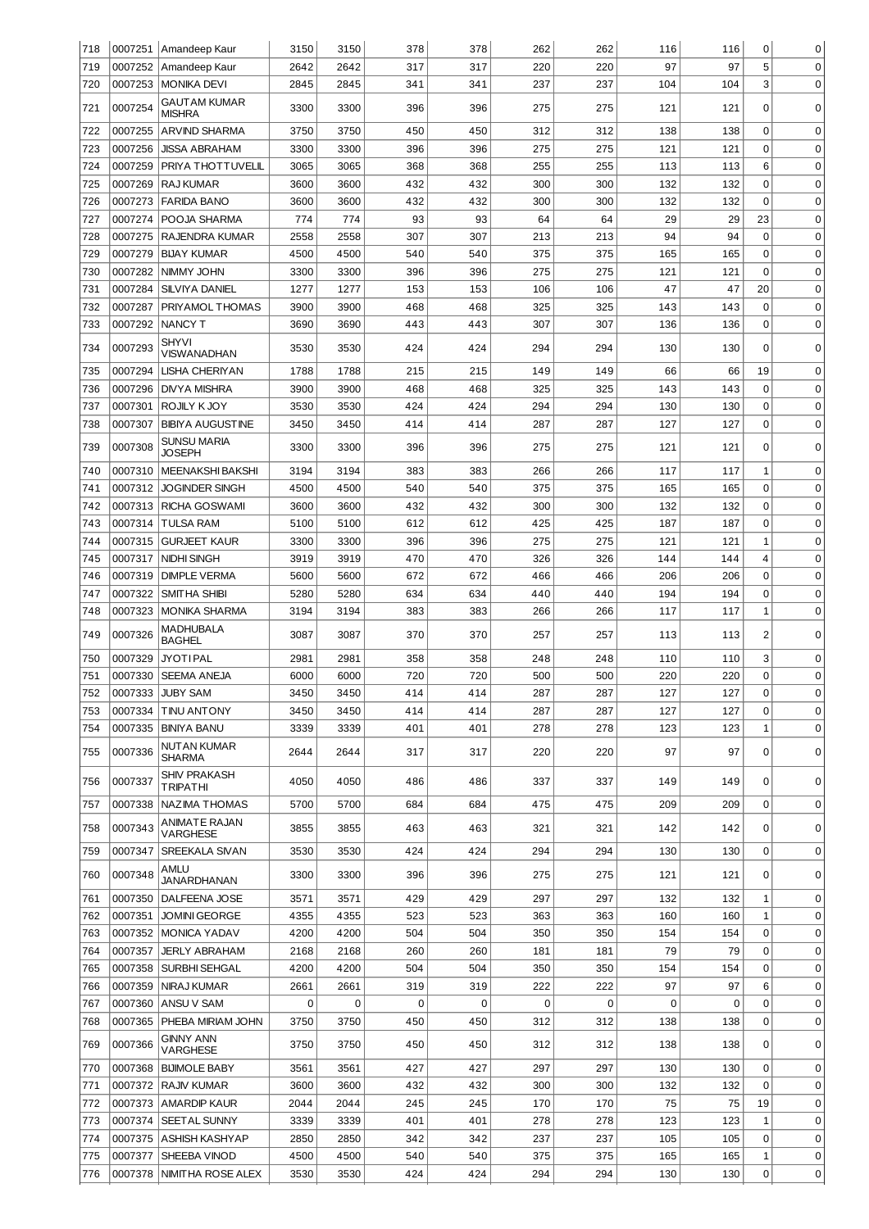| 718        |                    | 0007251   Amandeep Kaur                      | 3150         | 3150         | 378         | 378         | 262         | 262        | 116       | 116         | 0              | 0                          |
|------------|--------------------|----------------------------------------------|--------------|--------------|-------------|-------------|-------------|------------|-----------|-------------|----------------|----------------------------|
| 719        | 0007252            | Amandeep Kaur                                | 2642         | 2642         | 317         | 317         | 220         | 220        | 97        | 97          | 5              | $\mathbf 0$                |
| 720        | 0007253            | <b>MONIKA DEVI</b>                           | 2845         | 2845         | 341         | 341         | 237         | 237        | 104       | 104         | 3              | $\mathbf 0$                |
| 721        | 0007254            | <b>GAUTAM KUMAR</b>                          | 3300         | 3300         | 396         | 396         | 275         | 275        | 121       | 121         | 0              | 0                          |
| 722        | 0007255            | <b>MISHRA</b><br><b>ARVIND SHARMA</b>        | 3750         | 3750         | 450         | 450         | 312         | 312        | 138       | 138         | 0              | $\mathbf 0$                |
| 723        | 0007256            | <b>JISSA ABRAHAM</b>                         | 3300         | 3300         | 396         | 396         | 275         | 275        | 121       | 121         | $\mathbf 0$    | $\mathbf 0$                |
| 724        | 0007259            | PRIYA THOTTUVELIL                            | 3065         | 3065         | 368         | 368         | 255         | 255        | 113       | 113         | 6              | $\mathbf 0$                |
| 725        | 0007269            | <b>RAJ KUMAR</b>                             | 3600         | 3600         | 432         | 432         | 300         | 300        | 132       | 132         | $\mathbf 0$    | $\mathbf 0$                |
| 726        | 0007273            | <b>FARIDA BANO</b>                           | 3600         | 3600         | 432         | 432         | 300         | 300        | 132       | 132         | $\mathbf 0$    | $\mathbf 0$                |
| 727        | 0007274            | POOJA SHARMA                                 | 774          | 774          | 93          | 93          | 64          | 64         | 29        | 29          | 23             | $\mathbf 0$                |
| 728        | 0007275            | RAJENDRA KUMAR                               | 2558         | 2558         | 307         | 307         | 213         | 213        | 94        | 94          | 0              | $\mathbf 0$                |
| 729        | 0007279            | <b>BIJAY KUMAR</b>                           | 4500         | 4500         | 540         | 540         | 375         | 375        | 165       | 165         | 0              | $\mathbf 0$                |
| 730        | 0007282            | NIMMY JOHN                                   | 3300         | 3300         | 396         | 396         | 275         | 275        | 121       | 121         | 0              | $\mathbf 0$                |
| 731        | 0007284            | <b>SILVIYA DANIEL</b>                        | 1277         | 1277         | 153         | 153         | 106         | 106        | 47        | 47          | 20             | $\mathbf 0$                |
| 732        | 0007287            | PRIYAMOL THOMAS                              | 3900         | 3900         | 468         | 468         | 325         | 325        | 143       | 143         | 0              | $\mathbf 0$                |
| 733        | 0007292            | <b>NANCY T</b>                               | 3690         | 3690         | 443         | 443         | 307         | 307        | 136       | 136         | 0              | $\mathbf 0$                |
| 734        | 0007293            | <b>SHYVI</b>                                 | 3530         | 3530         | 424         | 424         | 294         | 294        | 130       | 130         | 0              | 0                          |
|            |                    | VISWANADHAN                                  |              |              |             |             |             |            |           |             |                |                            |
| 735        | 0007294            | <b>LISHA CHERIYAN</b>                        | 1788         | 1788         | 215         | 215         | 149         | 149        | 66        | 66          | 19             | $\mathbf 0$                |
| 736        | 0007296            | <b>DIVYA MISHRA</b>                          | 3900         | 3900         | 468         | 468         | 325         | 325        | 143       | 143         | 0              | 0                          |
| 737        | 0007301            | ROJILY K JOY                                 | 3530         | 3530         | 424         | 424         | 294         | 294        | 130       | 130         | 0              | 0                          |
| 738        | 0007307            | <b>BIBIYA AUGUSTINE</b>                      | 3450         | 3450         | 414         | 414         | 287         | 287        | 127       | 127         | 0              | $\mathbf 0$                |
| 739        | 0007308            | <b>SUNSU MARIA</b><br><b>JOSEPH</b>          | 3300         | 3300         | 396         | 396         | 275         | 275        | 121       | 121         | 0              | 0                          |
| 740        | 0007310            | <b>MEENAKSHI BAKSHI</b>                      | 3194         | 3194         | 383         | 383         | 266         | 266        | 117       | 117         | $\mathbf 1$    | 0                          |
| 741        | 0007312            | <b>JOGINDER SINGH</b>                        | 4500         | 4500         | 540         | 540         | 375         | 375        | 165       | 165         | 0              | $\mathbf 0$                |
| 742        | 0007313            | RICHA GOSWAMI                                | 3600         | 3600         | 432         | 432         | 300         | 300        | 132       | 132         | $\mathbf 0$    | $\mathbf 0$                |
| 743        | 0007314            | <b>TULSA RAM</b>                             | 5100         | 5100         | 612         | 612         | 425         | 425        | 187       | 187         | $\mathbf 0$    | $\mathbf 0$                |
| 744        | 0007315            | <b>GURJEET KAUR</b>                          | 3300         | 3300         | 396         | 396         | 275         | 275        | 121       | 121         | $\mathbf 1$    | $\mathbf 0$                |
| 745        | 0007317            | <b>NIDHI SINGH</b>                           | 3919         | 3919         | 470         | 470         | 326         | 326        | 144       | 144         | 4              | $\mathbf 0$                |
| 746        | 0007319            | <b>DIMPLE VERMA</b>                          | 5600         | 5600         | 672         | 672         | 466         | 466        | 206       | 206         | $\mathbf 0$    | $\mathbf 0$                |
| 747        | 0007322            | <b>SMITHA SHIBI</b>                          | 5280         | 5280         | 634         | 634         | 440         | 440        | 194       | 194         | $\mathbf 0$    | $\mathbf 0$                |
| 748        | 0007323            | <b>MONIKA SHARMA</b>                         | 3194         | 3194         | 383         | 383         | 266         | 266        | 117       | 117         | $\mathbf 1$    | $\mathbf 0$                |
| 749        | 0007326            | MADHUBALA<br><b>BAGHEL</b>                   | 3087         | 3087         | 370         | 370         | 257         | 257        | 113       | 113         | $\overline{c}$ | 0                          |
| 750        | 0007329            | <b>JYOTIPAL</b>                              | 2981         | 2981         | 358         | 358         | 248         | 248        | 110       | 110         | 3              | 0                          |
| 751        | 0007330            | <b>SEEMA ANEJA</b>                           | 6000         | 6000         | 720         | 720         | 500         | 500        | 220       | 220         | 0              | 0                          |
| 752        | 0007333            | <b>JUBY SAM</b>                              | 3450         | 3450         | 414         | 414         | 287         | 287        | 127       | 127         | $\Omega$       | $\Omega$                   |
| 753        | 0007334            | <b>TINU ANTONY</b>                           | 3450         | 3450         | 414         | 414         | 287         | 287        | 127       | 127         | 0              | 0                          |
| 754        | 0007335            | <b>BINIYA BANU</b>                           | 3339         | 3339         | 401         | 401         | 278         | 278        | 123       | 123         | 1              | 0                          |
|            |                    | <b>NUTAN KUMAR</b>                           |              |              |             |             |             |            |           |             |                |                            |
| 755        | 0007336            | SHARMA                                       | 2644         | 2644         | 317         | 317         | 220         | 220        | 97        | 97          | 0              | $\mathbf 0$                |
| 756        | 0007337            | <b>SHIV PRAKASH</b>                          | 4050         | 4050         | 486         | 486         | 337         | 337        | 149       | 149         | 0              | 0                          |
|            |                    | <b>TRIPATHI</b>                              |              |              | 684         | 684         |             |            |           |             | $\mathbf 0$    | $\mathbf 0$                |
| 757        | 0007338            | NAZIMA THOMAS                                | 5700         | 5700         |             |             | 475         | 475        | 209       | 209         |                |                            |
| 758        | 0007343            | ANIMATE RAJAN<br><b>VARGHESE</b>             | 3855         | 3855         | 463         | 463         | 321         | 321        | 142       | 142         | 0              | 0                          |
| 759        | 0007347            | SREEKALA SIVAN                               | 3530         | 3530         | 424         | 424         | 294         | 294        | 130       | 130         | $\mathbf 0$    | $\mathbf 0$                |
| 760        | 0007348            | AMLU                                         | 3300         | 3300         | 396         | 396         | 275         | 275        | 121       | 121         | 0              | $\mathbf 0$                |
|            |                    | <b>JANARDHANAN</b>                           |              |              |             |             |             |            |           |             |                |                            |
| 761        | 0007350            | DALFEENA JOSE                                | 3571         | 3571         | 429         | 429         | 297         | 297        | 132       | 132         | 1              | $\mathbf 0$                |
| 762        | 0007351            | <b>JOMINI GEORGE</b>                         | 4355         | 4355         | 523         | 523         | 363         | 363        | 160       | 160         | $\mathbf 1$    | $\mathbf 0$                |
| 763        |                    | 0007352 MONICA YADAV                         | 4200         | 4200         | 504         | 504         | 350         | 350        | 154       | 154         | $\mathbf 0$    | $\mathbf 0$                |
| 764<br>765 | 0007357<br>0007358 | <b>JERLY ABRAHAM</b><br><b>SURBHI SEHGAL</b> | 2168<br>4200 | 2168<br>4200 | 260<br>504  | 260<br>504  | 181<br>350  | 181<br>350 | 79<br>154 | 79<br>154   | 0<br>0         | $\mathbf 0$<br>$\mathbf 0$ |
| 766        | 0007359            | NIRAJ KUMAR                                  | 2661         | 2661         | 319         | 319         | 222         | 222        | 97        | 97          | 6              | $\mathbf 0$                |
| 767        |                    | 0007360 ANSU V SAM                           | $\mathbf 0$  | $\mathbf 0$  | $\mathbf 0$ | $\mathbf 0$ | $\mathbf 0$ | 0          | 0         | $\mathbf 0$ | 0              | $\mathbf 0$                |
| 768        |                    | 0007365   PHEBA MIRIAM JOHN                  | 3750         | 3750         | 450         | 450         | 312         | 312        | 138       | 138         | 0              | $\mathbf 0$                |
|            |                    | <b>GINNY ANN</b>                             |              |              |             |             |             |            |           |             |                |                            |
| 769        | 0007366            | VARGHESE                                     | 3750         | 3750         | 450         | 450         | 312         | 312        | 138       | 138         | 0              | 0                          |
| 770        | 0007368            | <b>BIJIMOLE BABY</b>                         | 3561         | 3561         | 427         | 427         | 297         | 297        | 130       | 130         | $\mathbf 0$    | $\mathbf 0$                |
| 771        | 0007372            | <b>RAJIV KUMAR</b>                           | 3600         | 3600         | 432         | 432         | 300         | 300        | 132       | 132         | $\Omega$       | 0                          |
| 772        | 0007373            | <b>AMARDIP KAUR</b>                          | 2044         | 2044         | 245         | 245         | 170         | 170        | 75        | 75          | 19             | 0                          |
| 773        | 0007374            | <b>SEET AL SUNNY</b>                         | 3339         | 3339         | 401         | 401         | 278         | 278        | 123       | 123         | 1              | 0                          |
| 774        | 0007375            | ASHISH KASHYAP                               | 2850         | 2850         | 342         | 342         | 237         | 237        | 105       | 105         | 0              | 0                          |
| 775        | 0007377            | SHEEBA VINOD                                 | 4500         | 4500         | 540         | 540         | 375         | 375        | 165       | 165         | 1              | 0                          |
| 776        | 0007378            | NIMITHA ROSE ALEX                            | 3530         | 3530         | 424         | 424         | 294         | 294        | 130       | 130         | 0              | 0                          |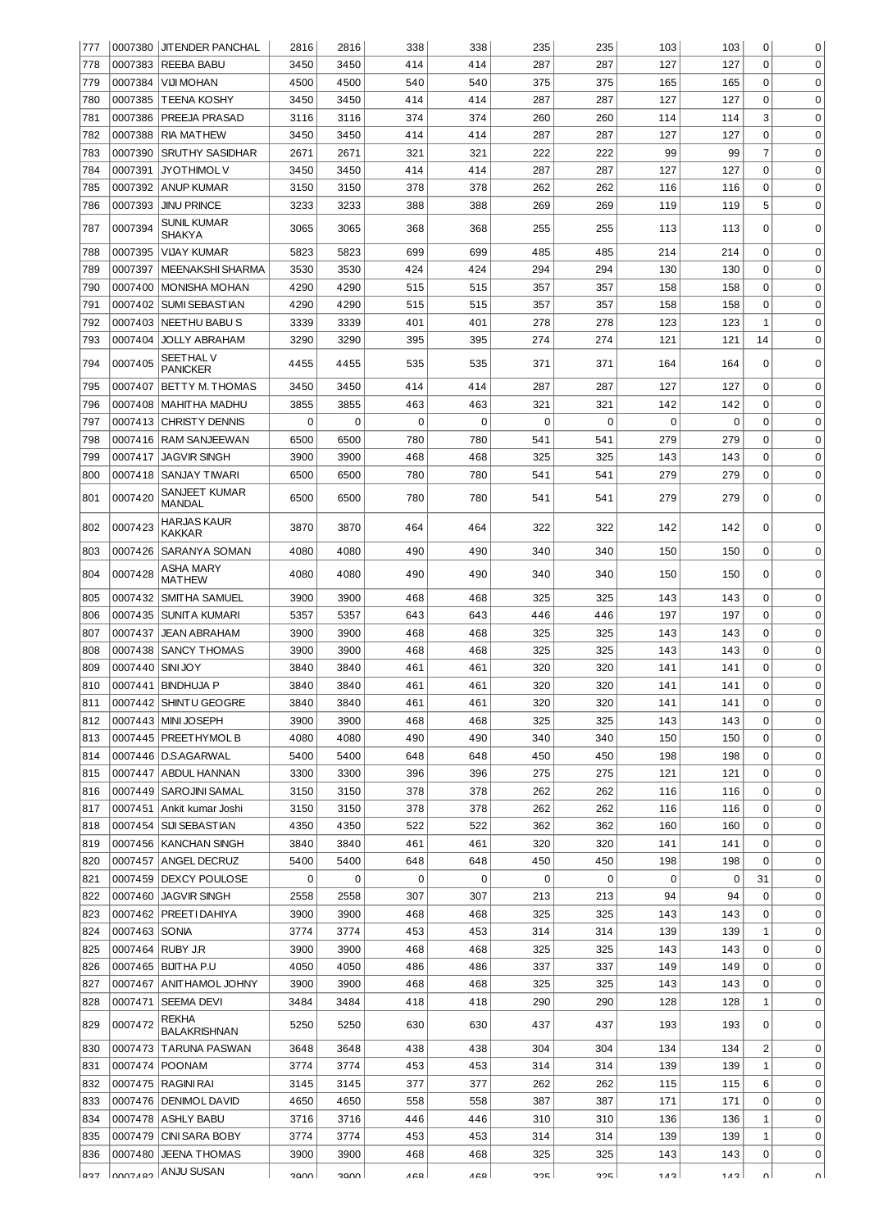| 777 |               | 0007380 JJTENDER PANCHAL          | 2816 | 2816 | 338         | 338 | 235      | 235         | 103 | 103 | 0              | 0           |
|-----|---------------|-----------------------------------|------|------|-------------|-----|----------|-------------|-----|-----|----------------|-------------|
| 778 | 0007383       | REEBA BABU                        | 3450 | 3450 | 414         | 414 | 287      | 287         | 127 | 127 | 0              | 0           |
| 779 | 0007384       | <b>VIJI MOHAN</b>                 | 4500 | 4500 | 540         | 540 | 375      | 375         | 165 | 165 | 0              | $\mathbf 0$ |
| 780 | 0007385       | <b>TEENA KOSHY</b>                | 3450 | 3450 | 414         | 414 | 287      | 287         | 127 | 127 | 0              | $\mathbf 0$ |
| 781 | 0007386       | PREEJA PRASAD                     | 3116 | 3116 | 374         | 374 | 260      | 260         | 114 | 114 | 3              | $\mathbf 0$ |
| 782 | 0007388       | <b>RIA MATHEW</b>                 | 3450 | 3450 | 414         | 414 | 287      | 287         | 127 | 127 | $\mathbf 0$    | $\mathbf 0$ |
|     |               |                                   |      |      |             |     |          |             | 99  |     | 7              | $\mathbf 0$ |
| 783 | 0007390       | <b>SRUTHY SASIDHAR</b>            | 2671 | 2671 | 321         | 321 | 222      | 222         |     | 99  |                |             |
| 784 | 0007391       | <b>JYOTHIMOL V</b>                | 3450 | 3450 | 414         | 414 | 287      | 287         | 127 | 127 | 0              | $\mathbf 0$ |
| 785 | 0007392       | <b>ANUP KUMAR</b>                 | 3150 | 3150 | 378         | 378 | 262      | 262         | 116 | 116 | 0              | $\mathbf 0$ |
| 786 | 0007393       | <b>JINU PRINCE</b>                | 3233 | 3233 | 388         | 388 | 269      | 269         | 119 | 119 | 5              | $\mathbf 0$ |
| 787 | 0007394       | SUNIL KUMAR<br>SHAKYA             | 3065 | 3065 | 368         | 368 | 255      | 255         | 113 | 113 | 0              | 0           |
| 788 | 0007395       | VIJAY KUMAR                       | 5823 | 5823 | 699         | 699 | 485      | 485         | 214 | 214 | 0              | $\mathbf 0$ |
| 789 | 0007397       | MEENAKSHI SHARMA                  | 3530 | 3530 | 424         | 424 | 294      | 294         | 130 | 130 | 0              | $\mathbf 0$ |
| 790 | 0007400       | <b>MONISHA MOHAN</b>              | 4290 | 4290 | 515         | 515 | 357      | 357         | 158 | 158 | 0              | $\mathbf 0$ |
| 791 | 0007402       | <b>SUMI SEBASTIAN</b>             | 4290 | 4290 | 515         | 515 | 357      | 357         | 158 | 158 | 0              | $\mathbf 0$ |
| 792 | 0007403       | <b>NEETHU BABUS</b>               | 3339 | 3339 | 401         | 401 | 278      | 278         | 123 | 123 | 1              | $\mathbf 0$ |
| 793 | 0007404       | <b>JOLLY ABRAHAM</b>              | 3290 | 3290 | 395         | 395 | 274      | 274         | 121 | 121 | 14             | $\mathbf 0$ |
| 794 | 0007405       | SEETHAL V<br>PANICKER             | 4455 | 4455 | 535         | 535 | 371      | 371         | 164 | 164 | 0              | $\mathbf 0$ |
| 795 | 0007407       | <b>BETTY M. THOMAS</b>            | 3450 | 3450 | 414         | 414 | 287      | 287         | 127 | 127 | 0              | 0           |
| 796 | 0007408       | MAHITHA MADHU                     | 3855 | 3855 | 463         | 463 | 321      | 321         | 142 | 142 | 0              | 0           |
|     |               |                                   |      |      |             |     |          |             |     |     |                |             |
| 797 | 0007413       | <b>CHRISTY DENNIS</b>             | 0    | 0    | $\mathbf 0$ | 0   | $\Omega$ | $\mathbf 0$ | 0   | 0   | 0              | 0           |
| 798 | 0007416       | <b>RAM SANJEEWAN</b>              | 6500 | 6500 | 780         | 780 | 541      | 541         | 279 | 279 | 0              | 0           |
| 799 | 0007417       | <b>JAGVIR SINGH</b>               | 3900 | 3900 | 468         | 468 | 325      | 325         | 143 | 143 | 0              | 0           |
| 800 | 0007418       | SANJAY TIWARI                     | 6500 | 6500 | 780         | 780 | 541      | 541         | 279 | 279 | 0              | $\mathbf 0$ |
| 801 | 0007420       | SANJEET KUMAR<br>MANDAL           | 6500 | 6500 | 780         | 780 | 541      | 541         | 279 | 279 | 0              | $\Omega$    |
| 802 | 0007423       | HARJAS KAUR<br>KAKKAR             | 3870 | 3870 | 464         | 464 | 322      | 322         | 142 | 142 | 0              | 0           |
| 803 | 0007426       | SARANYA SOMAN                     | 4080 | 4080 | 490         | 490 | 340      | 340         | 150 | 150 | 0              | $\mathbf 0$ |
| 804 | 0007428       | ASHA MARY<br>MATHEW               | 4080 | 4080 | 490         | 490 | 340      | 340         | 150 | 150 | 0              | 0           |
| 805 | 0007432       | SMITHA SAMUEL                     | 3900 | 3900 | 468         | 468 | 325      | 325         | 143 | 143 | 0              | 0           |
| 806 | 0007435       | <b>SUNITA KUMARI</b>              | 5357 | 5357 | 643         | 643 | 446      | 446         | 197 | 197 | 0              | $\mathbf 0$ |
| 807 | 0007437       | <b>JEAN ABRAHAM</b>               | 3900 | 3900 | 468         | 468 | 325      | 325         | 143 | 143 | 0              | $\mathbf 0$ |
| 808 | 0007438       | <b>SANCY THOMAS</b>               | 3900 | 3900 | 468         | 468 | 325      | 325         | 143 | 143 | 0              | $\mathbf 0$ |
|     |               |                                   |      |      |             |     |          |             |     |     |                |             |
|     |               |                                   |      |      |             |     |          |             |     |     |                |             |
| 809 | 0007440       | <b>SINIJOY</b>                    | 3840 | 3840 | 461         | 461 | 320      | 320         | 141 | 141 | 0              | 0           |
| 810 |               | 0007441   BINDHUJA P              | 3840 | 3840 | 461         | 461 | 320      | 320         | 141 | 141 | $\Omega$       | $\mathbf 0$ |
| 811 |               | 0007442 SHINTU GEOGRE             | 3840 | 3840 | 461         | 461 | 320      | 320         | 141 | 141 | 0              | 0           |
| 812 |               | 0007443   MINI JOSEPH             | 3900 | 3900 | 468         | 468 | 325      | 325         | 143 | 143 | $\Omega$       | $\mathbf 0$ |
| 813 |               | 0007445   PREETHYMOL B            | 4080 | 4080 | 490         | 490 | 340      | 340         | 150 | 150 | 0              | 0           |
| 814 |               | 0007446   D.S.AGARWAL             | 5400 | 5400 | 648         | 648 | 450      | 450         | 198 | 198 | 0              | 0           |
| 815 |               | 0007447 ABDUL HANNAN              | 3300 | 3300 | 396         | 396 | 275      | 275         | 121 | 121 | 0              | 0           |
| 816 |               | 0007449   SAROJINI SAMAL          | 3150 | 3150 | 378         | 378 | 262      | 262         | 116 | 116 | 0              | 0           |
| 817 |               | 0007451 Ankit kumar Joshi         | 3150 | 3150 | 378         | 378 | 262      | 262         | 116 | 116 | 0              | 0           |
| 818 |               | 0007454 SIJI SEBASTIAN            | 4350 | 4350 | 522         | 522 | 362      | 362         | 160 | 160 | 0              | 0           |
|     |               |                                   |      |      |             |     |          |             |     |     | 0              |             |
| 819 |               | 0007456   KANCHAN SINGH           | 3840 | 3840 | 461         | 461 | 320      | 320         | 141 | 141 |                | 0           |
| 820 |               | 0007457 ANGEL DECRUZ              | 5400 | 5400 | 648         | 648 | 450      | 450         | 198 | 198 | 0              | 0           |
| 821 |               | 0007459   DEXCY POULOSE           | 0    | 0    | 0           | 0   | 0        | $\mathbf 0$ | 0   | 0   | 31             | 0           |
| 822 |               | 0007460 JAGVIR SINGH              | 2558 | 2558 | 307         | 307 | 213      | 213         | 94  | 94  | 0              | 0           |
| 823 |               | 0007462   PREETI DAHIYA           | 3900 | 3900 | 468         | 468 | 325      | 325         | 143 | 143 | 0              | 0           |
| 824 | 0007463 SONIA |                                   | 3774 | 3774 | 453         | 453 | 314      | 314         | 139 | 139 | 1              | 0           |
| 825 |               | 0007464 RUBY J.R                  | 3900 | 3900 | 468         | 468 | 325      | 325         | 143 | 143 | 0              | 0           |
| 826 |               | 0007465 BIJIT HA P.U              | 4050 | 4050 | 486         | 486 | 337      | 337         | 149 | 149 | 0              | $\mathbf 0$ |
| 827 |               | 0007467 ANITHAMOL JOHNY           | 3900 | 3900 | 468         | 468 | 325      | 325         | 143 | 143 | 0              | $\mathbf 0$ |
| 828 |               | 0007471   SEEMA DEVI              | 3484 | 3484 | 418         | 418 | 290      | 290         | 128 | 128 | 1              | $\mathbf 0$ |
| 829 | 0007472       | REKHA<br><b>BALAKRISHNAN</b>      | 5250 | 5250 | 630         | 630 | 437      | 437         | 193 | 193 | 0              | 0           |
| 830 |               | 0007473 TARUNA PASWAN             | 3648 | 3648 | 438         | 438 | 304      | 304         | 134 | 134 | $\overline{2}$ | $\mathbf 0$ |
| 831 |               | 0007474   POONAM                  | 3774 | 3774 | 453         | 453 | 314      | 314         | 139 | 139 | $\mathbf 1$    | $\mathbf 0$ |
| 832 |               | 0007475   RAGINI RAI              | 3145 | 3145 | 377         | 377 | 262      | 262         | 115 | 115 | 6              | 0           |
|     |               |                                   |      |      |             |     |          |             |     |     | 0              | 0           |
| 833 |               | 0007476   DENIMOL DAVID           | 4650 | 4650 | 558         | 558 | 387      | 387         | 171 | 171 |                |             |
| 834 |               | 0007478 ASHLY BABU                | 3716 | 3716 | 446         | 446 | 310      | 310         | 136 | 136 | 1              | 0           |
| 835 | 0007479       | <b>CINI SARA BOBY</b>             | 3774 | 3774 | 453         | 453 | 314      | 314         | 139 | 139 | 1              | 0           |
| 836 | 0007480       | <b>JEENA THOMAS</b><br>ANJU SUSAN | 3900 | 3900 | 468         | 468 | 325      | 325         | 143 | 143 | 0              | 0           |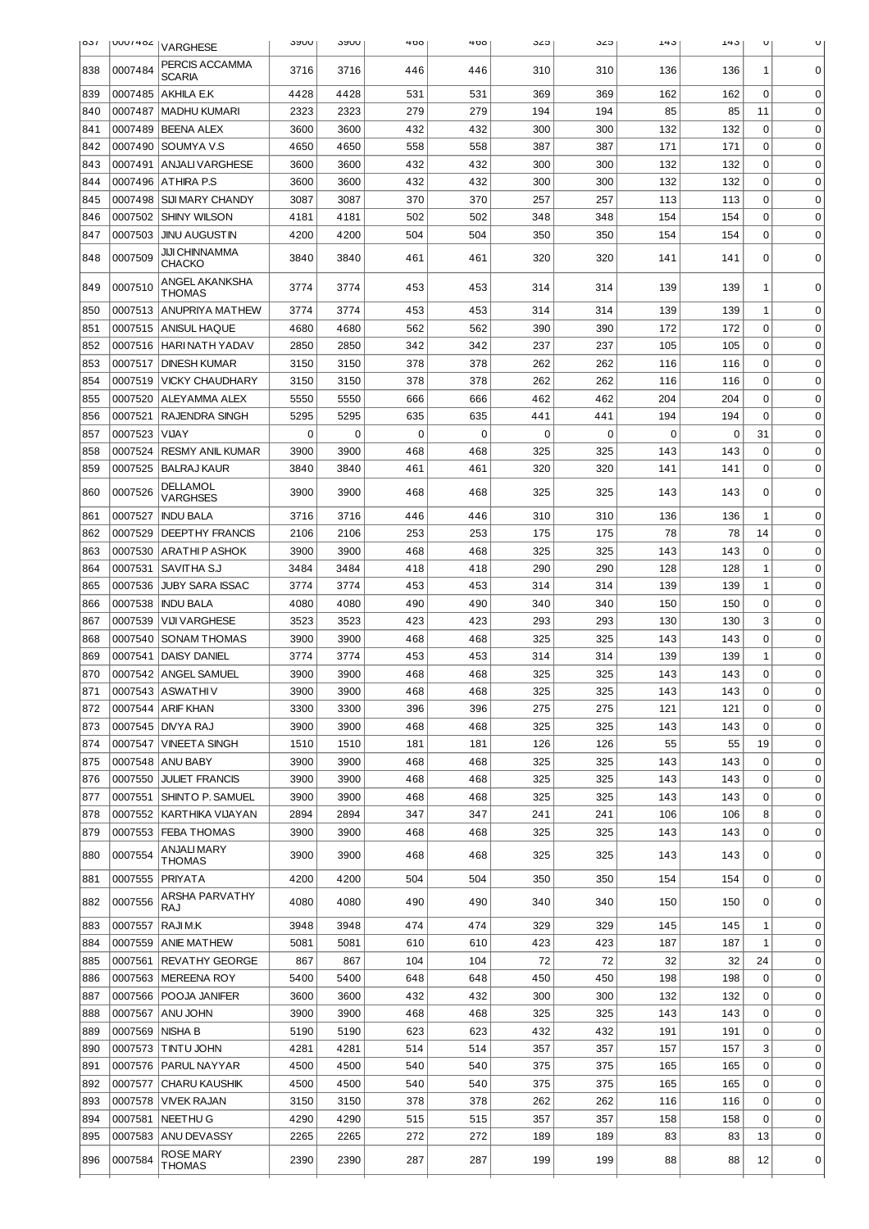| <b>031</b> |         | UUU / 404   VARGHESE              | วงบบ | <b>JANN</b> | 400 | 400         | ა∠ა      | ა∠ა         | 143 | 143 | U           |              |
|------------|---------|-----------------------------------|------|-------------|-----|-------------|----------|-------------|-----|-----|-------------|--------------|
| 838        | 0007484 | PERCIS ACCAMMA<br><b>SCARIA</b>   | 3716 | 3716        | 446 | 446         | 310      | 310         | 136 | 136 | 1           | 0            |
| 839        | 0007485 | AKHILA E.K                        | 4428 | 4428        | 531 | 531         | 369      | 369         | 162 | 162 | $\Omega$    | 0            |
| 840        | 0007487 | <b>MADHU KUMARI</b>               | 2323 | 2323        | 279 | 279         | 194      | 194         | 85  | 85  | 11          | 0            |
| 841        | 0007489 | <b>BEENA ALEX</b>                 | 3600 | 3600        | 432 | 432         | 300      | 300         | 132 | 132 | $\Omega$    | 0            |
| 842        | 0007490 | SOUMYA V.S                        | 4650 | 4650        | 558 | 558         | 387      | 387         | 171 | 171 | $\Omega$    | 0            |
| 843        | 0007491 | <b>ANJALI VARGHESE</b>            | 3600 | 3600        | 432 | 432         | 300      | 300         | 132 | 132 | $\Omega$    | 0            |
| 844        | 0007496 | <b>ATHIRA P.S</b>                 | 3600 | 3600        | 432 | 432         | 300      | 300         | 132 | 132 | 0           | 0            |
| 845        | 0007498 | SIJI MARY CHANDY                  | 3087 | 3087        | 370 | 370         | 257      | 257         | 113 | 113 | 0           | $\mathbf 0$  |
| 846        | 0007502 | <b>SHINY WILSON</b>               | 4181 | 4181        | 502 | 502         | 348      | 348         | 154 | 154 | 0           | $\mathbf 0$  |
| 847        | 0007503 | <b>JINU AUGUSTIN</b>              | 4200 | 4200        | 504 | 504         | 350      | 350         | 154 | 154 | 0           | 0            |
| 848        | 0007509 | JIJI CHINNAMMA<br>СНАСКО          | 3840 | 3840        | 461 | 461         | 320      | 320         | 141 | 141 | 0           | $\Omega$     |
| 849        | 0007510 | ANGEL AKANKSHA<br>THOMAS          | 3774 | 3774        | 453 | 453         | 314      | 314         | 139 | 139 | 1           | 0            |
| 850        | 0007513 | ANUPRIYA MATHEW                   | 3774 | 3774        | 453 | 453         | 314      | 314         | 139 | 139 | 1           | 0            |
| 851        | 0007515 | <b>ANISUL HAQUE</b>               | 4680 | 4680        | 562 | 562         | 390      | 390         | 172 | 172 | $\mathbf 0$ | 0            |
| 852        | 0007516 | HARI NATH YADAV                   | 2850 | 2850        | 342 | 342         | 237      | 237         | 105 | 105 | $\mathbf 0$ | 0            |
| 853        | 0007517 | <b>DINESH KUMAR</b>               | 3150 | 3150        | 378 | 378         | 262      | 262         | 116 | 116 | $\mathbf 0$ | 0            |
| 854        | 0007519 | <b>VICKY CHAUDHARY</b>            | 3150 | 3150        | 378 | 378         | 262      | 262         | 116 | 116 | $\mathbf 0$ | 0            |
| 855        | 0007520 | <b>ALEYAMMA ALEX</b>              | 5550 | 5550        | 666 | 666         | 462      | 462         | 204 | 204 | $\mathbf 0$ | 0            |
| 856        | 0007521 | <b>RAJENDRA SINGH</b>             | 5295 | 5295        | 635 | 635         | 441      | 441         | 194 | 194 | 0           | $\mathbf 0$  |
| 857        | 0007523 | <b>VIJAY</b>                      | 0    | 0           | 0   | $\mathbf 0$ | $\Omega$ | $\mathbf 0$ | 0   | 0   | 31          | 0            |
| 858        | 0007524 | <b>RESMY ANIL KUMAR</b>           | 3900 | 3900        | 468 | 468         | 325      | 325         | 143 | 143 | $\mathbf 0$ | 0            |
| 859        | 0007525 | BALRAJ KAUR                       | 3840 | 3840        | 461 | 461         | 320      | 320         | 141 | 141 | 0           | $\mathbf 0$  |
| 860        | 0007526 | DELLAMOL<br><b>VARGHSES</b>       | 3900 | 3900        | 468 | 468         | 325      | 325         | 143 | 143 | 0           | 0            |
| 861        | 0007527 | <b>INDU BALA</b>                  | 3716 | 3716        | 446 | 446         | 310      | 310         | 136 | 136 | 1           | $\mathbf 0$  |
| 862        | 0007529 | <b>DEEPTHY FRANCIS</b>            | 2106 | 2106        | 253 | 253         | 175      | 175         | 78  | 78  | 14          | $\mathbf 0$  |
| 863        | 0007530 | ARATHIP ASHOK                     | 3900 | 3900        | 468 | 468         | 325      | 325         | 143 | 143 | 0           | 0            |
| 864        | 0007531 | SAVITHA S.J                       | 3484 | 3484        | 418 | 418         | 290      | 290         | 128 | 128 | 1           | $\mathbf 0$  |
| 865        | 0007536 | <b>JUBY SARA ISSAC</b>            | 3774 | 3774        | 453 | 453         | 314      | 314         | 139 | 139 | 1           | $\mathbf 0$  |
| 866        | 0007538 | <b>INDU BALA</b>                  | 4080 | 4080        | 490 | 490         | 340      | 340         | 150 | 150 | 0           | $\mathbf 0$  |
| 867        | 0007539 | <b>VIJI VARGHESE</b>              | 3523 | 3523        | 423 | 423         | 293      | 293         | 130 | 130 | 3           | 0            |
| 868        | 0007540 | <b>SONAM THOMAS</b>               | 3900 | 3900        | 468 | 468         | 325      | 325         | 143 | 143 | 0           | 0            |
| 869        | 0007541 | <b>DAISY DANIEL</b>               | 3774 | 3774        | 453 | 453         | 314      | 314         | 139 | 139 | 1           | 0            |
| 870        |         | 0007542 ANGEL SAMUEL              | 3900 | 3900        | 468 | 468         | 325      | 325         | 143 | 143 | 0           | 0            |
| 871        |         | 0007543 ASWATHIV                  | 3900 | 3900        | 468 | 468         | 325      | 325         | 143 | 143 | 0           | <sup>0</sup> |
| 872        |         | 0007544   ARIF KHAN               | 3300 | 3300        | 396 | 396         | 275      | 275         | 121 | 121 | 0           | 0            |
| 873        |         | 0007545   DNYA RAJ                | 3900 | 3900        | 468 | 468         | 325      | 325         | 143 | 143 | 0           | 0            |
| 874        |         | 0007547   VINEETA SINGH           | 1510 | 1510        | 181 | 181         | 126      | 126         | 55  | 55  | 19          | 0            |
| 875        |         | 0007548   ANU BABY                | 3900 | 3900        | 468 | 468         | 325      | 325         | 143 | 143 | 0           | 0            |
| 876        |         | 0007550 JULIET FRANCIS            | 3900 | 3900        | 468 | 468         | 325      | 325         | 143 | 143 | 0           | 0            |
| 877        |         | 0007551   SHINTO P. SAMUEL        | 3900 | 3900        | 468 | 468         | 325      | 325         | 143 | 143 | 0           | 0            |
| 878        |         | 0007552 KARTHIKA VIJAYAN          | 2894 | 2894        | 347 | 347         | 241      | 241         | 106 | 106 | 8           | 0            |
| 879        |         | 0007553   FEBA THOMAS             | 3900 | 3900        | 468 | 468         | 325      | 325         | 143 | 143 | 0           | $\mathbf 0$  |
| 880        | 0007554 | ANJALI MARY<br>THOMAS             | 3900 | 3900        | 468 | 468         | 325      | 325         | 143 | 143 | 0           | $\mathbf 0$  |
| 881        | 0007555 | <b>PRIYATA</b>                    | 4200 | 4200        | 504 | 504         | 350      | 350         | 154 | 154 | 0           | $\mathbf 0$  |
| 882        | 0007556 | ARSHA PARVATHY<br>RAJ             | 4080 | 4080        | 490 | 490         | 340      | 340         | 150 | 150 | 0           | 0            |
| 883        | 0007557 | RAJI M.K                          | 3948 | 3948        | 474 | 474         | 329      | 329         | 145 | 145 | 1           | $\mathbf 0$  |
| 884        | 0007559 | <b>ANIE MATHEW</b>                | 5081 | 5081        | 610 | 610         | 423      | 423         | 187 | 187 | 1           | 0            |
| 885        | 0007561 | <b>REVATHY GEORGE</b>             | 867  | 867         | 104 | 104         | 72       | 72          | 32  | 32  | 24          | 0            |
| 886        | 0007563 | MEREENA ROY                       | 5400 | 5400        | 648 | 648         | 450      | 450         | 198 | 198 | 0           | 0            |
| 887        | 0007566 | POOJA JANIFER                     | 3600 | 3600        | 432 | 432         | 300      | 300         | 132 | 132 | 0           | 0            |
| 888        | 0007567 | ANU JOHN                          | 3900 | 3900        | 468 | 468         | 325      | 325         | 143 | 143 | 0           | 0            |
| 889        | 0007569 | nisha b                           | 5190 | 5190        | 623 | 623         | 432      | 432         | 191 | 191 | 0           | 0            |
| 890        | 0007573 | <b>TINTU JOHN</b>                 | 4281 | 4281        | 514 | 514         | 357      | 357         | 157 | 157 | 3           | 0            |
| 891        |         | 0007576   PARUL NAYYAR            | 4500 | 4500        | 540 | 540         | 375      | 375         | 165 | 165 | 0           | 0            |
| 892        | 0007577 | <b>CHARU KAUSHIK</b>              | 4500 | 4500        | 540 | 540         | 375      | 375         | 165 | 165 | 0           | $\mathbf 0$  |
| 893        | 0007578 | VIVEK RAJAN                       | 3150 | 3150        | 378 | 378         | 262      | 262         | 116 | 116 | $\mathbf 0$ | $\mathbf 0$  |
| 894        | 0007581 | NEETHU G                          | 4290 | 4290        | 515 | 515         | 357      | 357         | 158 | 158 | 0           | $\mathbf 0$  |
| 895        | 0007583 | <b>ANU DEVASSY</b>                | 2265 | 2265        | 272 | 272         | 189      | 189         | 83  | 83  | 13          | 0            |
| 896        | 0007584 | <b>ROSE MARY</b><br><b>THOMAS</b> | 2390 | 2390        | 287 | 287         | 199      | 199         | 88  | 88  | 12          | 0            |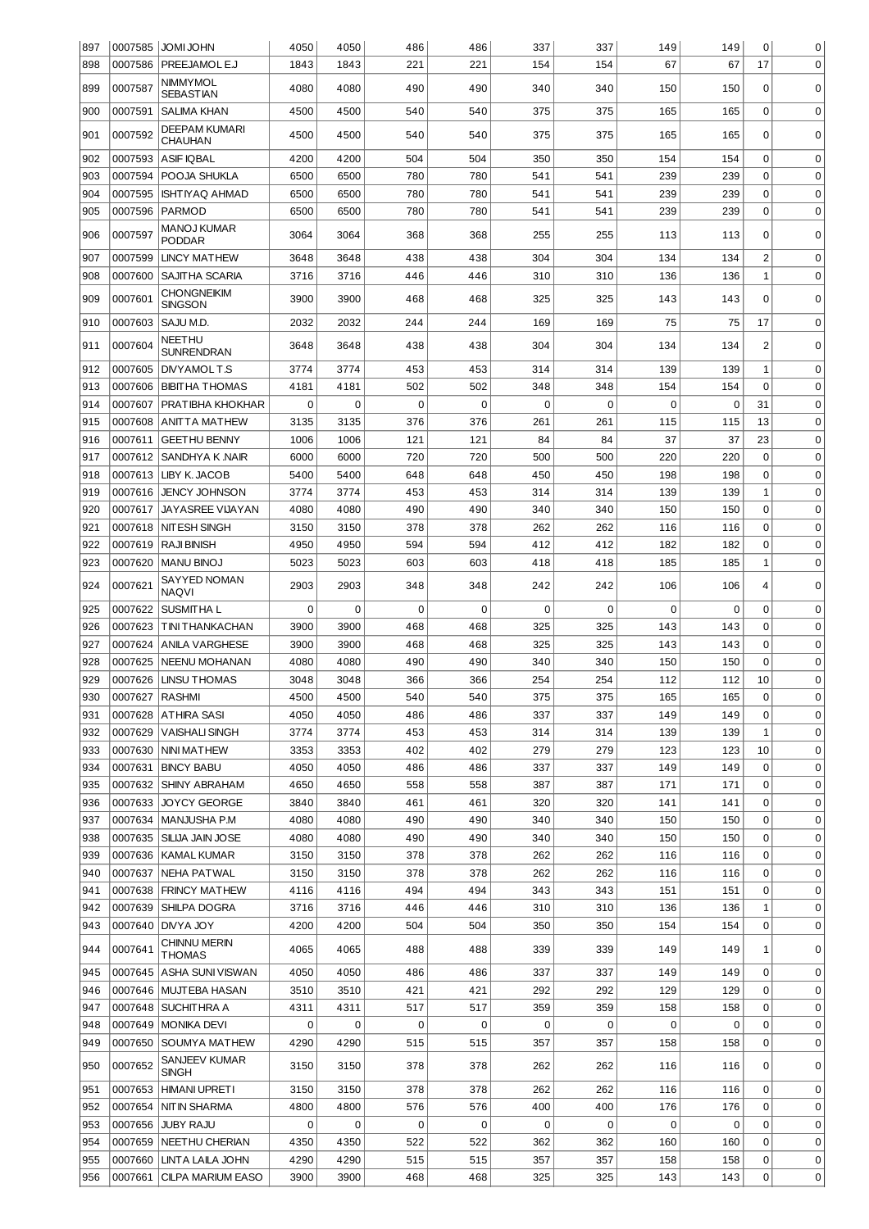| 897 |                | 0007585 JOMI JOHN             | 4050 | 4050     | 486      | 486         | 337      | 337 | 149         | 149 | 0              | 0           |
|-----|----------------|-------------------------------|------|----------|----------|-------------|----------|-----|-------------|-----|----------------|-------------|
| 898 | 0007586        | PREEJAMOLE.J                  | 1843 | 1843     | 221      | 221         | 154      | 154 | 67          | 67  | 17             | $\mathbf 0$ |
| 899 | 0007587        | NIMMYMOL                      | 4080 | 4080     | 490      | 490         | 340      | 340 | 150         | 150 | 0              | 0           |
|     |                | SEBASTIAN                     |      |          |          |             |          |     |             |     |                |             |
| 900 | 0007591        | <b>SALIMA KHAN</b>            | 4500 | 4500     | 540      | 540         | 375      | 375 | 165         | 165 | 0              | 0           |
| 901 | 0007592        | DEEPAM KUMARI<br>CHAUHAN      | 4500 | 4500     | 540      | 540         | 375      | 375 | 165         | 165 | 0              | $\mathbf 0$ |
| 902 | 0007593        | <b>ASIF IQBAL</b>             | 4200 | 4200     | 504      | 504         | 350      | 350 | 154         | 154 | $\mathbf 0$    | $\mathbf 0$ |
| 903 | 0007594        | POOJA SHUKLA                  | 6500 | 6500     | 780      | 780         | 541      | 541 | 239         | 239 | 0              | $\mathbf 0$ |
| 904 | 0007595        | <b>ISHTIYAQ AHMAD</b>         | 6500 | 6500     | 780      | 780         | 541      | 541 | 239         | 239 | $\mathbf 0$    | $\mathbf 0$ |
| 905 | 0007596        | PARMOD                        | 6500 | 6500     | 780      | 780         | 541      | 541 | 239         | 239 | $\mathbf 0$    | 0           |
|     |                | <b>MANOJ KUMAR</b>            |      |          |          |             |          |     |             |     |                |             |
| 906 | 0007597        | PODDAR                        | 3064 | 3064     | 368      | 368         | 255      | 255 | 113         | 113 | 0              | 0           |
| 907 | 0007599        | <b>LINCY MATHEW</b>           | 3648 | 3648     | 438      | 438         | 304      | 304 | 134         | 134 | $\overline{c}$ | $\mathbf 0$ |
| 908 | 0007600        | SAJITHA SCARIA                | 3716 | 3716     | 446      | 446         | 310      | 310 | 136         | 136 | $\mathbf 1$    | 0           |
| 909 | 0007601        | CHONGNEIKIM                   | 3900 | 3900     | 468      | 468         | 325      | 325 | 143         | 143 | 0              | 0           |
|     |                | <b>SINGSON</b>                |      |          |          |             |          |     |             |     |                |             |
| 910 | 0007603        | SAJU M.D.                     | 2032 | 2032     | 244      | 244         | 169      | 169 | 75          | 75  | 17             | 0           |
| 911 | 0007604        | NEETHU<br><b>SUNRENDRAN</b>   | 3648 | 3648     | 438      | 438         | 304      | 304 | 134         | 134 | $\overline{2}$ | 0           |
| 912 | 0007605        | DIVYAMOL T.S                  | 3774 | 3774     | 453      | 453         | 314      | 314 | 139         | 139 | 1              | $\mathbf 0$ |
| 913 | 0007606        | <b>BIBITHA THOMAS</b>         | 4181 | 4181     | 502      | 502         | 348      | 348 | 154         | 154 | 0              | $\mathbf 0$ |
| 914 | 0007607        | PRATIBHA KHOKHAR              | 0    | $\Omega$ | 0        | $\mathbf 0$ | $\Omega$ | 0   | 0           | 0   | 31             | $\mathbf 0$ |
| 915 | 0007608        | ANITTA MATHEW                 | 3135 | 3135     | 376      | 376         | 261      | 261 | 115         | 115 | 13             | $\mathbf 0$ |
| 916 | 0007611        | <b>GEETHU BENNY</b>           | 1006 | 1006     | 121      | 121         | 84       | 84  | 37          | 37  | 23             | $\mathbf 0$ |
| 917 | 0007612        | SANDHYA K NAIR                | 6000 | 6000     | 720      | 720         | 500      | 500 | 220         | 220 | 0              | $\mathbf 0$ |
| 918 | 0007613        | LIBY K. JACOB                 | 5400 | 5400     | 648      | 648         | 450      | 450 | 198         | 198 | 0              | 0           |
| 919 | 0007616        | <b>JENCY JOHNSON</b>          | 3774 | 3774     | 453      | 453         | 314      | 314 | 139         | 139 | 1              | 0           |
| 920 | 0007617        | JAYASREE VIJAYAN              | 4080 | 4080     | 490      | 490         | 340      | 340 | 150         | 150 | 0              | 0           |
| 921 | 0007618        | <b>NIT ESH SINGH</b>          | 3150 | 3150     | 378      | 378         | 262      | 262 | 116         | 116 | 0              | 0           |
| 922 | 0007619        | <b>RAJI BINISH</b>            | 4950 | 4950     | 594      | 594         | 412      | 412 | 182         | 182 | 0              | 0           |
| 923 | 0007620        | <b>MANU BINOJ</b>             | 5023 | 5023     | 603      | 603         | 418      | 418 | 185         | 185 | $\mathbf 1$    | 0           |
|     |                | SAYYED NOMAN                  |      |          |          |             |          |     |             |     |                |             |
| 924 | 0007621        | <b>NAQVI</b>                  | 2903 | 2903     | 348      | 348         | 242      | 242 | 106         | 106 | 4              | 0           |
| 925 | 0007622        | <b>SUSMITHA L</b>             | 0    | 0        | 0        | $\mathbf 0$ | 0        | 0   | $\mathbf 0$ | 0   | $\mathbf 0$    | $\mathbf 0$ |
| 926 | 0007623        | T INI THANKACHAN              | 3900 | 3900     | 468      | 468         | 325      | 325 | 143         | 143 | $\mathbf 0$    | $\mathbf 0$ |
| 927 | 0007624        | <b>ANILA VARGHESE</b>         | 3900 | 3900     | 468      | 468         | 325      | 325 | 143         | 143 | $\mathbf 0$    | $\mathbf 0$ |
| 928 | 0007625        | <b>NEENU MOHANAN</b>          | 4080 | 4080     | 490      | 490         | 340      | 340 | 150         | 150 | $\mathbf 0$    | $\mathbf 0$ |
| 929 | 0007626        | <b>LINSU THOMAS</b>           | 3048 | 3048     | 366      | 366         | 254      | 254 | 112         | 112 | 10             | $\mathbf 0$ |
| 930 | 0007627 RASHMI |                               | 4500 | 4500     | 540      | 540         | 375      | 375 | 165         | 165 | 0              | 0           |
| 931 | 0007628        | <b>ATHIRA SASI</b>            | 4050 | 4050     | 486      | 486         | 337      | 337 | 149         | 149 | $\mathbf 0$    | $\mathbf 0$ |
| 932 | 0007629        | <b>VAISHALI SINGH</b>         | 3774 | 3774     | 453      | 453         | 314      | 314 | 139         | 139 | 1              | $\mathbf 0$ |
| 933 | 0007630        | <b>NINI MATHEW</b>            | 3353 | 3353     | 402      | 402         | 279      | 279 | 123         | 123 | 10             | 0           |
| 934 | 0007631        | <b>BINCY BABU</b>             | 4050 | 4050     | 486      | 486         | 337      | 337 | 149         | 149 | 0              | 0           |
| 935 | 0007632        | <b>SHINY ABRAHAM</b>          | 4650 | 4650     | 558      | 558         | 387      | 387 | 171         | 171 | 0              | 0           |
| 936 | 0007633        | <b>JOYCY GEORGE</b>           | 3840 | 3840     | 461      | 461         | 320      | 320 | 141         | 141 | 0              | 0           |
| 937 | 0007634        | MANJUSHA P.M                  | 4080 | 4080     | 490      | 490         | 340      | 340 | 150         | 150 | 0              | 0           |
| 938 | 0007635        | İSILIJA JAIN JOSE             | 4080 | 4080     | 490      | 490         | 340      | 340 | 150         | 150 | 0              | 0           |
| 939 | 0007636        | KAMAL KUMAR                   | 3150 | 3150     | 378      | 378         | 262      | 262 | 116         | 116 | 0              | 0           |
| 940 | 0007637        | NEHA PATWAL                   | 3150 | 3150     | 378      | 378         | 262      | 262 | 116         | 116 | 0              | 0           |
| 941 | 0007638        | FRINCY MATHEW                 | 4116 | 4116     | 494      | 494         | 343      | 343 | 151         | 151 | 0              | 0           |
| 942 | 0007639        | <b>SHILPA DOGRA</b>           | 3716 | 3716     | 446      | 446         | 310      | 310 | 136         | 136 | 1              | 0           |
| 943 |                | 0007640 DNYA JOY              | 4200 | 4200     | 504      | 504         | 350      | 350 | 154         | 154 | 0              | 0           |
| 944 | 0007641        | CHINNU MERIN<br>THOMAS        | 4065 | 4065     | 488      | 488         | 339      | 339 | 149         | 149 | 1              | 0           |
| 945 | 0007645        | ASHA SUNI VISWAN              | 4050 | 4050     | 486      | 486         | 337      | 337 | 149         | 149 | 0              | 0           |
| 946 | 0007646        | MUJTEBA HASAN                 | 3510 | 3510     | 421      | 421         | 292      | 292 | 129         | 129 | 0              | 0           |
| 947 |                | 0007648 SUCHITHRA A           | 4311 | 4311     | 517      | 517         | 359      | 359 | 158         | 158 | 0              | 0           |
| 948 | 0007649        | <b>MONIKA DEVI</b>            | 0    | 0        | 0        | $\mathbf 0$ | 0        | 0   | 0           | 0   | $\mathbf 0$    | $\mathbf 0$ |
| 949 | 0007650        | SOUMYA MATHEW                 | 4290 | 4290     | 515      | 515         | 357      | 357 | 158         | 158 | $\mathbf 0$    | $\mathbf 0$ |
| 950 | 0007652        | SANJEEV KUMAR<br><b>SINGH</b> | 3150 | 3150     | 378      | 378         | 262      | 262 | 116         | 116 | 0              | 0           |
| 951 |                | 0007653   HIMANI UPRETI       | 3150 | 3150     | 378      | 378         | 262      | 262 | 116         | 116 | 0              | 0           |
| 952 |                | 0007654   NIT IN SHARMA       | 4800 | 4800     | 576      | 576         | 400      | 400 | 176         | 176 | 0              | 0           |
| 953 |                | 0007656 JUBY RAJU             | 0    | 0        | $\Omega$ | $\Omega$    | 0        | 0   | 0           | 0   | 0              | 0           |
| 954 |                | 0007659   NEETHU CHERIAN      | 4350 | 4350     | 522      | 522         | 362      | 362 | 160         | 160 | 0              | 0           |
| 955 | 0007660        | LINTA LAILA JOHN              | 4290 | 4290     | 515      | 515         | 357      | 357 | 158         | 158 | 0              | 0           |
| 956 | 0007661        | <b>CILPA MARIUM EASO</b>      | 3900 | 3900     | 468      | 468         | 325      | 325 | 143         | 143 | 0              | 0           |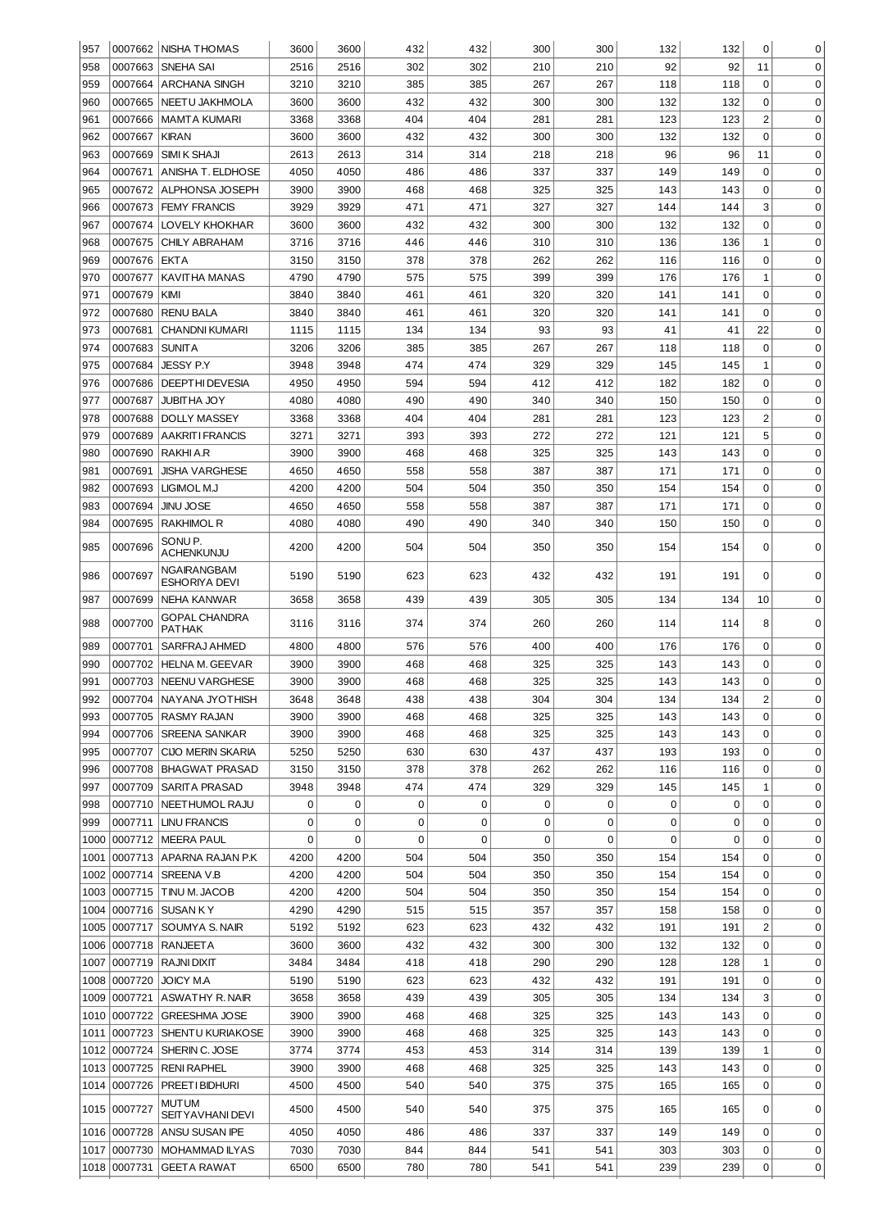| 957  |              | 0007662 NISHA THOMAS                | 3600 | 3600        | 432         | 432         | 300 | 300 | 132 | 132 | 0              | 0           |
|------|--------------|-------------------------------------|------|-------------|-------------|-------------|-----|-----|-----|-----|----------------|-------------|
| 958  | 0007663      | <b>SNEHA SAI</b>                    | 2516 | 2516        | 302         | 302         | 210 | 210 | 92  | 92  | 11             | $\mathbf 0$ |
| 959  | 0007664      | <b>ARCHANA SINGH</b>                | 3210 | 3210        | 385         | 385         | 267 | 267 | 118 | 118 | $\mathbf 0$    | $\mathbf 0$ |
| 960  | 0007665      | NEETU JAKHMOLA                      | 3600 | 3600        | 432         | 432         | 300 | 300 | 132 | 132 | $\mathbf 0$    | $\mathbf 0$ |
| 961  | 0007666      | <b>MAMTA KUMARI</b>                 | 3368 | 3368        | 404         | 404         | 281 | 281 | 123 | 123 | $\overline{c}$ | $\mathbf 0$ |
| 962  | 0007667      | <b>KIRAN</b>                        | 3600 | 3600        | 432         | 432         | 300 | 300 | 132 | 132 | $\mathbf 0$    | $\mathbf 0$ |
| 963  | 0007669      | SIMI K SHAJI                        | 2613 | 2613        | 314         | 314         | 218 | 218 | 96  | 96  | 11             | 0           |
| 964  | 0007671      | ANISHA T. ELDHOSE                   | 4050 | 4050        | 486         | 486         | 337 | 337 | 149 | 149 | $\mathbf 0$    | $\mathbf 0$ |
| 965  | 0007672      | <b>ALPHONSA JOSEPH</b>              | 3900 | 3900        | 468         | 468         | 325 | 325 | 143 | 143 | $\mathbf 0$    | $\mathbf 0$ |
| 966  | 0007673      | <b>FEMY FRANCIS</b>                 | 3929 | 3929        | 471         | 471         | 327 | 327 | 144 | 144 | 3              | $\mathbf 0$ |
| 967  | 0007674      | LOVELY KHOKHAR                      | 3600 | 3600        | 432         | 432         | 300 | 300 | 132 | 132 | $\mathbf 0$    | $\mathbf 0$ |
| 968  | 0007675      | <b>CHILY ABRAHAM</b>                | 3716 | 3716        | 446         | 446         | 310 | 310 | 136 | 136 | $\mathbf{1}$   | $\mathbf 0$ |
| 969  | 0007676      | <b>EKTA</b>                         | 3150 | 3150        | 378         | 378         | 262 | 262 | 116 | 116 | $\mathbf 0$    | $\mathbf 0$ |
| 970  | 0007677      | KAVITHA MANAS                       | 4790 | 4790        | 575         | 575         | 399 | 399 | 176 | 176 | $\mathbf{1}$   | $\mathbf 0$ |
| 971  | 0007679      | KIMI                                | 3840 | 3840        | 461         | 461         | 320 | 320 | 141 | 141 | $\mathbf 0$    | $\mathbf 0$ |
| 972  | 0007680      | <b>RENU BALA</b>                    | 3840 | 3840        | 461         | 461         | 320 | 320 | 141 | 141 | $\Omega$       | $\mathbf 0$ |
| 973  | 0007681      | <b>CHANDNI KUMARI</b>               | 1115 | 1115        | 134         | 134         | 93  | 93  | 41  | 41  | 22             | $\mathbf 0$ |
| 974  | 0007683      | <b>SUNITA</b>                       | 3206 | 3206        | 385         | 385         | 267 | 267 | 118 | 118 | $\mathbf 0$    | $\mathbf 0$ |
| 975  | 0007684      | <b>JESSY P.Y</b>                    | 3948 | 3948        | 474         | 474         | 329 | 329 | 145 | 145 | $\mathbf{1}$   | $\mathbf 0$ |
| 976  | 0007686      | <b>DEEPTHI DEVESIA</b>              | 4950 | 4950        | 594         | 594         | 412 | 412 | 182 | 182 | $\mathbf 0$    | $\mathbf 0$ |
| 977  | 0007687      | JUBITHA JOY                         | 4080 | 4080        | 490         | 490         | 340 | 340 | 150 | 150 | $\mathbf 0$    | $\mathbf 0$ |
| 978  | 0007688      | <b>DOLLY MASSEY</b>                 | 3368 | 3368        | 404         | 404         | 281 | 281 | 123 | 123 | $\overline{2}$ | $\mathbf 0$ |
| 979  | 0007689      | <b>AAKRITI FRANCIS</b>              | 3271 | 3271        | 393         | 393         | 272 | 272 | 121 | 121 | 5              | $\mathbf 0$ |
| 980  | 0007690      | RAKHI A.R                           | 3900 | 3900        | 468         | 468         | 325 | 325 | 143 | 143 | $\mathbf 0$    | $\mathbf 0$ |
| 981  | 0007691      | <b>JISHA VARGHESE</b>               | 4650 | 4650        | 558         | 558         | 387 | 387 | 171 | 171 | $\mathbf 0$    | $\mathbf 0$ |
| 982  | 0007693      | LIGIMOL M.J                         | 4200 | 4200        | 504         | 504         | 350 | 350 | 154 | 154 | $\mathbf 0$    | $\mathbf 0$ |
| 983  | 0007694      | <b>JINU JOSE</b>                    | 4650 | 4650        | 558         | 558         | 387 | 387 | 171 | 171 | 0              | $\mathbf 0$ |
| 984  | 0007695      | RAKHIMOL R                          | 4080 | 4080        | 490         | 490         | 340 | 340 | 150 | 150 | 0              | $\mathbf 0$ |
| 985  | 0007696      | SONU P.<br>ACHENKUNJU               | 4200 | 4200        | 504         | 504         | 350 | 350 | 154 | 154 | 0              | $\mathbf 0$ |
| 986  | 0007697      | NGAIRANGBAM<br><b>ESHORIYA DEVI</b> | 5190 | 5190        | 623         | 623         | 432 | 432 | 191 | 191 | 0              | $\Omega$    |
| 987  | 0007699      | NEHA KANWAR                         | 3658 | 3658        | 439         | 439         | 305 | 305 | 134 | 134 | 10             | $\mathbf 0$ |
| 988  | 0007700      | <b>GOPAL CHANDRA</b><br>PATHAK      | 3116 | 3116        | 374         | 374         | 260 | 260 | 114 | 114 | 8              | 0           |
| 989  | 0007701      | SARFRAJ AHMED                       | 4800 | 4800        | 576         | 576         | 400 | 400 | 176 | 176 | 0              | $\mathbf 0$ |
| 990  | 0007702      | <b>HELNA M. GEEVAR</b>              | 3900 | 3900        | 468         | 468         | 325 | 325 | 143 | 143 | 0              | 0           |
| 991  | 0007703      | <b>NEENU VARGHESE</b>               | 3900 | 3900        | 468         | 468         | 325 | 325 | 143 | 143 | 0              | $\mathbf 0$ |
| 992  |              | 0007704   NAYANA JYOTHISH           | 3648 | 3648        | 438         | 438         | 304 | 304 | 134 | 134 | 2              | 0           |
| 993  | 0007705      | <b>IRASMY RAJAN</b>                 | 3900 | 3900        | 468         | 468         | 325 | 325 | 143 | 143 | 0              | 0           |
| 994  | 0007706      | <b>SREENA SANKAR</b>                | 3900 | 3900        | 468         | 468         | 325 | 325 | 143 | 143 | 0              | 0           |
| 995  | 0007707      | <b>CIJO MERIN SKARIA</b>            | 5250 | 5250        | 630         | 630         | 437 | 437 | 193 | 193 | 0              | 0           |
| 996  | 0007708      | <b>BHAGWAT PRASAD</b>               | 3150 | 3150        | 378         | 378         | 262 | 262 | 116 | 116 | 0              | 0           |
| 997  | 0007709      | SARITA PRASAD                       | 3948 | 3948        | 474         | 474         | 329 | 329 | 145 | 145 | 1              | 0           |
| 998  | 0007710      | NEETHUMOL RAJU                      | 0    | 0           | 0           | 0           | 0   | 0   | 0   | 0   | 0              | 0           |
| 999  |              | 0007711   LINU FRANCIS              | 0    | 0           | 0           | 0           | 0   | 0   | 0   | 0   | 0              | $\mathbf 0$ |
| 1000 |              | 0007712   MEERA PAUL                | 0    | $\mathbf 0$ | $\mathbf 0$ | $\mathbf 0$ | 0   | 0   | 0   | 0   | 0              | 0           |
| 1001 |              | 0007713 APARNA RAJAN P.K            | 4200 | 4200        | 504         | 504         | 350 | 350 | 154 | 154 | 0              | 0           |
| 1002 |              | 0007714 SREENA V.B                  | 4200 | 4200        | 504         | 504         | 350 | 350 | 154 | 154 | 0              | 0           |
| 1003 |              | 0007715   TINU M. JACOB             | 4200 | 4200        | 504         | 504         | 350 | 350 | 154 | 154 | 0              | 0           |
| 1004 |              | 0007716 SUSAN KY                    | 4290 | 4290        | 515         | 515         | 357 | 357 | 158 | 158 | 0              | 0           |
| 1005 |              | 0007717 SOUMYA S. NAIR              | 5192 | 5192        | 623         | 623         | 432 | 432 | 191 | 191 | 2              | 0           |
| 1006 |              | 0007718   RANJEET A                 | 3600 | 3600        | 432         | 432         | 300 | 300 | 132 | 132 | 0              | 0           |
| 1007 |              | 0007719   RAJNI DIXIT               | 3484 | 3484        | 418         | 418         | 290 | 290 | 128 | 128 | 1              | 0           |
| 1008 | 0007720      | <b>JOICY MA</b>                     | 5190 | 5190        | 623         | 623         | 432 | 432 | 191 | 191 | 0              | $\mathbf 0$ |
| 1009 |              | 0007721 ASWATHY R. NAIR             | 3658 | 3658        | 439         | 439         | 305 | 305 | 134 | 134 | 3              | 0           |
| 1010 |              | 0007722 GREESHMA JOSE               | 3900 | 3900        | 468         | 468         | 325 | 325 | 143 | 143 | 0              | 0           |
| 1011 |              | 0007723 SHENTU KURIAKOSE            | 3900 | 3900        | 468         | 468         | 325 | 325 | 143 | 143 | 0              | 0           |
| 1012 |              | 0007724   SHERIN C. JOSE            | 3774 | 3774        | 453         | 453         | 314 | 314 | 139 | 139 | 1              | 0           |
| 1013 |              | 0007725   RENI RAPHEL               | 3900 | 3900        | 468         | 468         | 325 | 325 | 143 | 143 | 0              | 0           |
| 1014 | 0007726      | PREETI BIDHURI                      | 4500 | 4500        | 540         | 540         | 375 | 375 | 165 | 165 | 0              | 0           |
|      | 1015 0007727 | MUTUM<br><b>SEITY AVHANI DEVI</b>   | 4500 | 4500        | 540         | 540         | 375 | 375 | 165 | 165 | 0              | 0           |
| 1016 | 0007728      | ANSU SUSAN IPE                      | 4050 | 4050        | 486         | 486         | 337 | 337 | 149 | 149 | 0              | 0           |
| 1017 |              | 0007730   MOHAMMAD ILYAS            | 7030 | 7030        | 844         | 844         | 541 | 541 | 303 | 303 | 0              | 0           |
|      | 1018 0007731 | <b>GEETA RAWAT</b>                  | 6500 | 6500        | 780         | 780         | 541 | 541 | 239 | 239 | 0              | 0           |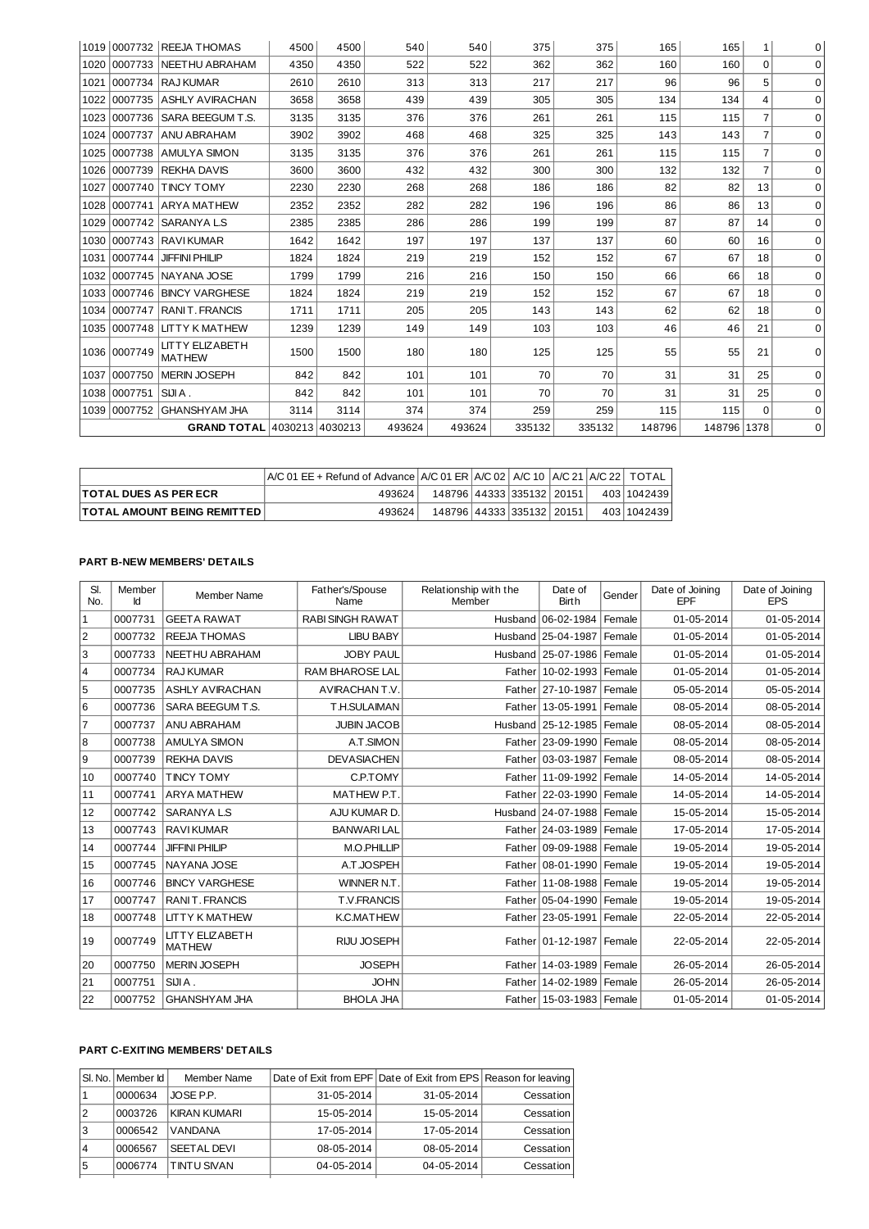|      |              | 1019   0007732   REEJA THOMAS           | 4500 | 4500 | 540    | 540    | 375    | 375    | 165    | 165         | 1              | 0        |
|------|--------------|-----------------------------------------|------|------|--------|--------|--------|--------|--------|-------------|----------------|----------|
| 1020 | 0007733      | NEETHU ABRAHAM                          | 4350 | 4350 | 522    | 522    | 362    | 362    | 160    | 160         | 0              | $\Omega$ |
| 1021 |              | 0007734 RAJKUMAR                        | 2610 | 2610 | 313    | 313    | 217    | 217    | 96     | 96          | 5              | $\Omega$ |
| 1022 |              | 0007735 ASHLY AVIRACHAN                 | 3658 | 3658 | 439    | 439    | 305    | 305    | 134    | 134         | 4              | $\Omega$ |
| 1023 | 0007736      | SARA BEEGUM T.S.                        | 3135 | 3135 | 376    | 376    | 261    | 261    | 115    | 115         | $\overline{7}$ | 0        |
| 1024 |              | 0007737 ANU ABRAHAM                     | 3902 | 3902 | 468    | 468    | 325    | 325    | 143    | 143         | $\overline{7}$ | $\Omega$ |
|      |              | 1025 0007738 AMULYA SIMON               | 3135 | 3135 | 376    | 376    | 261    | 261    | 115    | 115         | $\overline{7}$ | $\Omega$ |
| 1026 |              | 0007739 REKHA DAVIS                     | 3600 | 3600 | 432    | 432    | 300    | 300    | 132    | 132         | $\overline{7}$ | 0        |
| 1027 | 0007740      | <b>TINCY TOMY</b>                       | 2230 | 2230 | 268    | 268    | 186    | 186    | 82     | 82          | 13             | $\Omega$ |
| 1028 |              | 0007741 ARYA MATHEW                     | 2352 | 2352 | 282    | 282    | 196    | 196    | 86     | 86          | 13             | $\Omega$ |
| 1029 |              | 10007742   SARANYA L.S                  | 2385 | 2385 | 286    | 286    | 199    | 199    | 87     | 87          | 14             | $\Omega$ |
|      |              | 1030 0007743 RAVI KUMAR                 | 1642 | 1642 | 197    | 197    | 137    | 137    | 60     | 60          | 16             | $\Omega$ |
| 1031 | 0007744      | <b>JIFFINI PHILIP</b>                   | 1824 | 1824 | 219    | 219    | 152    | 152    | 67     | 67          | 18             | $\Omega$ |
| 1032 |              | 0007745 NAYANA JOSE                     | 1799 | 1799 | 216    | 216    | 150    | 150    | 66     | 66          | 18             | 0        |
|      |              | 1033 0007746 BINCY VARGHESE             | 1824 | 1824 | 219    | 219    | 152    | 152    | 67     | 67          | 18             | $\Omega$ |
|      |              | 1034 0007747 RANIT, FRANCIS             | 1711 | 1711 | 205    | 205    | 143    | 143    | 62     | 62          | 18             | $\Omega$ |
|      | 1035 0007748 | <b>LITTY K MATHEW</b>                   | 1239 | 1239 | 149    | 149    | 103    | 103    | 46     | 46          | 21             | $\Omega$ |
|      | 1036 0007749 | <b>LITTY ELIZABETH</b><br><b>MATHEW</b> | 1500 | 1500 | 180    | 180    | 125    | 125    | 55     | 55          | 21             | $\Omega$ |
| 1037 | 0007750      | <b>MERIN JOSEPH</b>                     | 842  | 842  | 101    | 101    | 70     | 70     | 31     | 31          | 25             | $\Omega$ |
|      | 1038 0007751 | SIJIA.                                  | 842  | 842  | 101    | 101    | 70     | 70     | 31     | 31          | 25             | $\Omega$ |
|      |              | 1039 0007752 GHANSHYAM JHA              | 3114 | 3114 | 374    | 374    | 259    | 259    | 115    | 115         | $\Omega$       | $\Omega$ |
|      |              | GRAND TOTAL 4030213 4030213             |      |      | 493624 | 493624 | 335132 | 335132 | 148796 | 148796 1378 |                | $\Omega$ |

|                                    | $ A/C 01 EE +$ Refund of Advance $ A/C 01 ER  A/C 02$   A/C 10   A/C 21   A/C 22   TOTAL |                                 |  |  |             |
|------------------------------------|------------------------------------------------------------------------------------------|---------------------------------|--|--|-------------|
| <b>ITOTAL DUES AS PER ECR</b>      | 493624                                                                                   | 148796   44333   335132   20151 |  |  | 403 1042439 |
| <b>TOTAL AMOUNT BEING REMITTED</b> | 493624                                                                                   | 148796   44333   335132   20151 |  |  | 403 1042439 |

## **PART B-NEW MEMBERS' DETAILS**

| SI.<br>No.     | Member<br>Id | <b>Member Name</b>                      | Father's/Spouse<br>Name | Relationship with the<br>Member | Date of<br><b>Birth</b>       | Gender | Date of Joining<br><b>EPF</b> | Date of Joining<br><b>EPS</b> |
|----------------|--------------|-----------------------------------------|-------------------------|---------------------------------|-------------------------------|--------|-------------------------------|-------------------------------|
| $1\,$          | 0007731      | <b>GEETA RAWAT</b>                      | <b>RABI SINGH RAWAT</b> |                                 | Husband 06-02-1984            | Female | 01-05-2014                    | 01-05-2014                    |
| $\overline{c}$ | 0007732      | <b>REEJA THOMAS</b>                     | <b>LIBU BABY</b>        |                                 | Husband 25-04-1987            | Female | 01-05-2014                    | 01-05-2014                    |
| 3              | 0007733      | NEETHU ABRAHAM                          | <b>JOBY PAUL</b>        |                                 | Husband   25-07-1986   Female |        | 01-05-2014                    | 01-05-2014                    |
| 4              | 0007734      | <b>RAJ KUMAR</b>                        | <b>RAM BHAROSE LAL</b>  |                                 | Father   10-02-1993           | Female | 01-05-2014                    | 01-05-2014                    |
| 5              | 0007735      | <b>ASHLY AVIRACHAN</b>                  | AVIRACHAN T.V.          |                                 | Father 27-10-1987             | Female | 05-05-2014                    | 05-05-2014                    |
| 6              | 0007736      | SARA BEEGUM T.S.                        | T.H.SULAIMAN            | Father                          | 13-05-1991                    | Female | 08-05-2014                    | 08-05-2014                    |
| $\overline{7}$ | 0007737      | ANU ABRAHAM                             | <b>JUBIN JACOB</b>      |                                 | Husband 25-12-1985 Female     |        | 08-05-2014                    | 08-05-2014                    |
| 8              | 0007738      | <b>AMULYA SIMON</b>                     | A.T.SIMON               | Father                          | 23-09-1990 Female             |        | 08-05-2014                    | 08-05-2014                    |
| 9              | 0007739      | <b>REKHA DAVIS</b>                      | <b>DEVASIACHEN</b>      | Father                          | 03-03-1987                    | Female | 08-05-2014                    | 08-05-2014                    |
| 10             | 0007740      | <b>TINCY TOMY</b>                       | <b>C.P.TOMY</b>         |                                 | Father   11-09-1992   Female  |        | 14-05-2014                    | 14-05-2014                    |
| 11             | 0007741      | <b>ARYA MATHEW</b>                      | MATHEW P.T.             | <b>Father</b>                   | 22-03-1990 Female             |        | 14-05-2014                    | 14-05-2014                    |
| 12             | 0007742      | <b>SARANYALS</b>                        | AJU KUMAR D.            |                                 | Husband 24-07-1988            | Female | 15-05-2014                    | 15-05-2014                    |
| 13             | 0007743      | <b>RAVIKUMAR</b>                        | <b>BANWARILAL</b>       |                                 | Father 24-03-1989 Female      |        | 17-05-2014                    | 17-05-2014                    |
| 14             | 0007744      | <b>JIFFINI PHILIP</b>                   | M.O.PHILLIP             |                                 | Father   09-09-1988   Female  |        | 19-05-2014                    | 19-05-2014                    |
| 15             | 0007745      | NAYANA JOSE                             | A.T.JOSPEH              | Father                          | 08-01-1990 Female             |        | 19-05-2014                    | 19-05-2014                    |
| 16             | 0007746      | <b>BINCY VARGHESE</b>                   | WINNER N.T              |                                 | Father   11-08-1988   Female  |        | 19-05-2014                    | 19-05-2014                    |
| 17             | 0007747      | <b>RANIT. FRANCIS</b>                   | <b>T.V.FRANCIS</b>      |                                 | Father   05-04-1990   Female  |        | 19-05-2014                    | 19-05-2014                    |
| 18             | 0007748      | <b>LITTY K MATHEW</b>                   | <b>K.C.MATHEW</b>       |                                 | Father 23-05-1991 Female      |        | 22-05-2014                    | 22-05-2014                    |
| 19             | 0007749      | <b>LITTY ELIZABETH</b><br><b>MATHEW</b> | RIJU JOSEPH             |                                 | Father   01-12-1987   Female  |        | 22-05-2014                    | 22-05-2014                    |
| 20             | 0007750      | <b>MERIN JOSEPH</b>                     | <b>JOSEPH</b>           |                                 | Father   14-03-1989   Female  |        | 26-05-2014                    | 26-05-2014                    |
| 21             | 0007751      | SIJIA.                                  | <b>JOHN</b>             |                                 | Father   14-02-1989   Female  |        | 26-05-2014                    | 26-05-2014                    |
| 22             | 0007752      | <b>GHANSHYAM JHA</b>                    | <b>BHOLA JHA</b>        |                                 | Father   15-03-1983   Female  |        | 01-05-2014                    | 01-05-2014                    |

## **PART C-EXITING MEMBERS' DETAILS**

|   | SI. No.   Member Id | Member Name        |                  | Date of Exit from EPF Date of Exit from EPS Reason for leaving |           |
|---|---------------------|--------------------|------------------|----------------------------------------------------------------|-----------|
|   | 0000634             | JOSE P.P.          | $31 - 05 - 2014$ | 31-05-2014                                                     | Cessation |
| 2 | 0003726             | KIRAN KUMARI       | 15-05-2014       | 15-05-2014                                                     | Cessation |
| 3 | 0006542             | <b>VANDANA</b>     | 17-05-2014       | 17-05-2014                                                     | Cessation |
| 4 | 0006567             | <b>SEETAL DEVI</b> | $08 - 05 - 2014$ | 08-05-2014                                                     | Cessation |
| 5 | 0006774             | <b>TINTU SIVAN</b> | 04-05-2014       | 04-05-2014                                                     | Cessation |